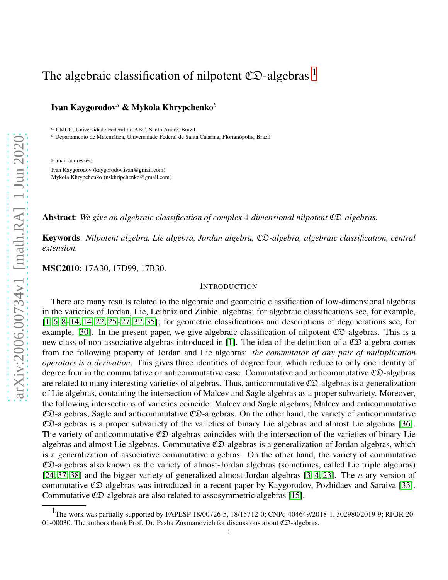# The algebraic classification of nilpotent  $\mathfrak{CD}$ -algebras <sup>[1](#page-0-0)</sup>

Ivan Kaygorodov<sup>a</sup> & Mykola Khrypchenko<sup>b</sup>

<sup>a</sup> CMCC, Universidade Federal do ABC, Santo André, Brazil

 $<sup>b</sup>$  Departamento de Matemática, Universidade Federal de Santa Catarina, Florianópolis, Brazil</sup>

E-mail addresses:

Ivan Kaygorodov (kaygorodov.ivan@gmail.com) Mykola Khrypchenko (nskhripchenko@gmail.com)

Abstract: *We give an algebraic classification of complex* 4*-dimensional nilpotent* CD*-algebras.*

Keywords: *Nilpotent algebra, Lie algebra, Jordan algebra,* CD*-algebra, algebraic classification, central extension.*

MSC2010: 17A30, 17D99, 17B30.

### INTRODUCTION

There are many results related to the algebraic and geometric classification of low-dimensional algebras in the varieties of Jordan, Lie, Leibniz and Zinbiel algebras; for algebraic classifications see, for example, [\[1,](#page-37-0) [6,](#page-37-1) [8](#page-37-2)[–14, 14,](#page-37-3) [22,](#page-37-4) [25–](#page-37-5)[27,](#page-38-0) [32,](#page-38-1) [35\]](#page-38-2); for geometric classifications and descriptions of degenerations see, for example, [\[30\]](#page-38-3). In the present paper, we give algebraic classification of nilpotent  $\mathfrak{CD}$ -algebras. This is a new class of non-associative algebras introduced in [\[1\]](#page-37-0). The idea of the definition of a  $\mathfrak{CD}$ -algebra comes from the following property of Jordan and Lie algebras: *the commutator of any pair of multiplication operators is a derivation*. This gives three identities of degree four, which reduce to only one identity of degree four in the commutative or anticommutative case. Commutative and anticommutative  $\mathfrak{CD}$ -algebras are related to many interesting varieties of algebras. Thus, anticommutative  $\mathfrak{CD}$ -algebras is a generalization of Lie algebras, containing the intersection of Malcev and Sagle algebras as a proper subvariety. Moreover, the following intersections of varieties coincide: Malcev and Sagle algebras; Malcev and anticommutative  $\mathfrak{CD}$ -algebras; Sagle and anticommutative  $\mathfrak{CD}$ -algebras. On the other hand, the variety of anticommutative CD-algebras is a proper subvariety of the varieties of binary Lie algebras and almost Lie algebras [\[36\]](#page-38-4). The variety of anticommutative  $\mathfrak{CD}$ -algebras coincides with the intersection of the varieties of binary Lie algebras and almost Lie algebras. Commutative  $\mathfrak{CD}$ -algebras is a generalization of Jordan algebras, which is a generalization of associative commutative algebras. On the other hand, the variety of commutative CD-algebras also known as the variety of almost-Jordan algebras (sometimes, called Lie triple algebras) [\[24,](#page-37-6) [37,](#page-38-5) [38\]](#page-38-6) and the bigger variety of generalized almost-Jordan algebras [\[3,](#page-37-7) [4,](#page-37-8) [23\]](#page-37-9). The *n*-ary version of commutative CD-algebras was introduced in a recent paper by Kaygorodov, Pozhidaev and Saraiva [\[33\]](#page-38-7). Commutative  $\mathfrak{CD}$ -algebras are also related to assosymmetric algebras [\[15\]](#page-37-10).

<span id="page-0-0"></span><sup>1</sup>The work was partially supported by FAPESP 18/00726-5, 18/15712-0; CNPq 404649/2018-1, 302980/2019-9; RFBR 20- 01-00030. The authors thank Prof. Dr. Pasha Zusmanovich for discussions about CD-algebras.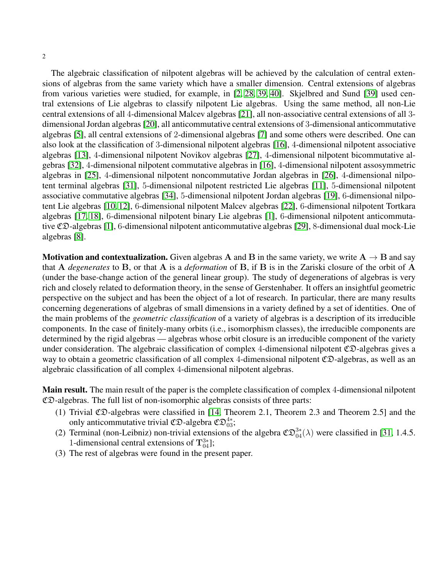2

The algebraic classification of nilpotent algebras will be achieved by the calculation of central extensions of algebras from the same variety which have a smaller dimension. Central extensions of algebras from various varieties were studied, for example, in [\[2,](#page-37-11) [28,](#page-38-8) [39,](#page-38-9) [40\]](#page-38-10). Skjelbred and Sund [\[39\]](#page-38-9) used central extensions of Lie algebras to classify nilpotent Lie algebras. Using the same method, all non-Lie central extensions of all 4-dimensional Malcev algebras [\[21\]](#page-37-12), all non-associative central extensions of all 3 dimensional Jordan algebras [\[20\]](#page-37-13), all anticommutative central extensions of 3-dimensional anticommutative algebras [\[5\]](#page-37-14), all central extensions of 2-dimensional algebras [\[7\]](#page-37-15) and some others were described. One can also look at the classification of 3-dimensional nilpotent algebras [\[16\]](#page-37-16), 4-dimensional nilpotent associative algebras [\[13\]](#page-37-17), 4-dimensional nilpotent Novikov algebras [\[27\]](#page-38-0), 4-dimensional nilpotent bicommutative algebras [\[32\]](#page-38-1), 4-dimensional nilpotent commutative algebras in [\[16\]](#page-37-16), 4-dimensional nilpotent assosymmetric algebras in [\[25\]](#page-37-5), 4-dimensional nilpotent noncommutative Jordan algebras in [\[26\]](#page-38-11), 4-dimensional nilpotent terminal algebras [\[31\]](#page-38-12), 5-dimensional nilpotent restricted Lie algebras [\[11\]](#page-37-18), 5-dimensional nilpotent associative commutative algebras [\[34\]](#page-38-13), 5-dimensional nilpotent Jordan algebras [\[19\]](#page-37-19), 6-dimensional nilpotent Lie algebras [\[10,](#page-37-20) [12\]](#page-37-21), 6-dimensional nilpotent Malcev algebras [\[22\]](#page-37-4), 6-dimensional nilpotent Tortkara algebras [\[17,](#page-37-22) [18\]](#page-37-23), 6-dimensional nilpotent binary Lie algebras [\[1\]](#page-37-0), 6-dimensional nilpotent anticommutative CD-algebras [\[1\]](#page-37-0), 6-dimensional nilpotent anticommutative algebras [\[29\]](#page-38-14), 8-dimensional dual mock-Lie algebras [\[8\]](#page-37-2).

**Motivation and contextualization.** Given algebras A and B in the same variety, we write  $A \rightarrow B$  and say that A *degenerates* to B, or that A is a *deformation* of B, if B is in the Zariski closure of the orbit of A (under the base-change action of the general linear group). The study of degenerations of algebras is very rich and closely related to deformation theory, in the sense of Gerstenhaber. It offers an insightful geometric perspective on the subject and has been the object of a lot of research. In particular, there are many results concerning degenerations of algebras of small dimensions in a variety defined by a set of identities. One of the main problems of the *geometric classification* of a variety of algebras is a description of its irreducible components. In the case of finitely-many orbits (i.e., isomorphism classes), the irreducible components are determined by the rigid algebras — algebras whose orbit closure is an irreducible component of the variety under consideration. The algebraic classification of complex 4-dimensional nilpotent  $\mathfrak{CD}$ -algebras gives a way to obtain a geometric classification of all complex 4-dimensional nilpotent  $\mathfrak{CD}$ -algebras, as well as an algebraic classification of all complex 4-dimensional nilpotent algebras.

Main result. The main result of the paper is the complete classification of complex 4-dimensional nilpotent CD-algebras. The full list of non-isomorphic algebras consists of three parts:

- (1) Trivial  $CD$ -algebras were classified in [\[14,](#page-37-3) Theorem 2.1, Theorem 2.3 and Theorem 2.5] and the only anticommutative trivial  $\mathfrak{CD}$ -algebra  $\mathfrak{CD}_{03}^{4*}$ ;
- (2) Terminal (non-Leibniz) non-trivial extensions of the algebra  $\mathfrak{CD}_{04}^{3*}(\lambda)$  were classified in [\[31,](#page-38-12) 1.4.5. 1-dimensional central extensions of  $T_{04}^{3*}$ ];
- (3) The rest of algebras were found in the present paper.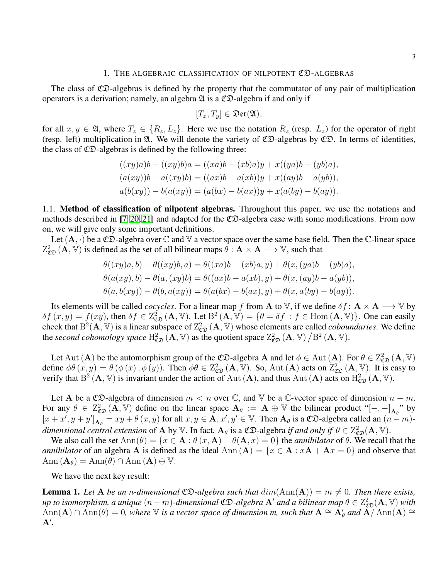#### 1. THE ALGEBRAIC CLASSIFICATION OF NILPOTENT CO-ALGEBRAS

The class of  $\mathfrak{CD}$ -algebras is defined by the property that the commutator of any pair of multiplication operators is a derivation; namely, an algebra  $\mathfrak A$  is a  $\mathfrak C\mathfrak D$ -algebra if and only if

$$
[T_x, T_y] \in \mathfrak{Der}(\mathfrak{A}),
$$

for all  $x, y \in \mathfrak{A}$ , where  $T_z \in \{R_z, L_z\}$ . Here we use the notation  $R_z$  (resp.  $L_z$ ) for the operator of right (resp. left) multiplication in  $\mathfrak{A}$ . We will denote the variety of  $\mathfrak{CD}$ -algebras by  $\mathfrak{CD}$ . In terms of identities, the class of  $\mathfrak{CD}$ -algebras is defined by the following three:

$$
((xy)a)b - ((xy)b)a = ((xa)b - (xb)a)y + x((ya)b - (yb)a),(a(xy))b - a((xy)b) = ((ax)b - a(xb))y + x((ay)b - a(yb)),a(b(xy)) - b(a(xy)) = (a(bx) - b(ax))y + x(a(by) - b(ay)).
$$

1.1. Method of classification of nilpotent algebras. Throughout this paper, we use the notations and methods described in  $[7, 20, 21]$  $[7, 20, 21]$  $[7, 20, 21]$  and adapted for the CD-algebra case with some modifications. From now on, we will give only some important definitions.

Let  $(A, \cdot)$  be a CD-algebra over C and V a vector space over the same base field. Then the C-linear space  $Z_{\mathfrak{C} \mathfrak{D}}^2(\mathbf{A}, \mathbb{V})$  is defined as the set of all bilinear maps  $\hat{\theta}: \mathbf{A} \times \mathbf{A} \longrightarrow \mathbb{V}$ , such that

$$
\theta((xy)a, b) - \theta((xy)b, a) = \theta((xa)b - (xb)a, y) + \theta(x, (ya)b - (yb)a),
$$
  

$$
\theta(a(xy), b) - \theta(a, (xy)b) = \theta((ax)b - a(xb), y) + \theta(x, (ay)b - a(yb)),
$$
  

$$
\theta(a, b(xy)) - \theta(b, a(xy)) = \theta(a(bx) - b(ax), y) + \theta(x, a(by) - b(ay)).
$$

Its elements will be called *cocycles*. For a linear map f from A to V, if we define  $\delta f: A \times A \longrightarrow V$  by  $\delta f(x, y) = f(xy)$ , then  $\delta f \in \mathbb{Z}_{\mathbb{C}\mathbb{D}}^2(\mathbf{A}, \mathbb{V})$ . Let  $\mathbb{B}^2(\mathbf{A}, \mathbb{V}) = \{ \theta = \delta f : f \in \text{Hom}(\mathbf{A}, \mathbb{V}) \}$ . One can easily check that  $B^2(A, V)$  is a linear subspace of  $Z^2_{\mathfrak{C} \mathfrak{D}}(A, V)$  whose elements are called *coboundaries*. We define the *second cohomology space*  $H_{\text{CD}}^2(A, V)$  as the quotient space  $Z_{\text{CD}}^2(A, V) / B^2(A, V)$ .

Let Aut (A) be the automorphism group of the  $CD$ -algebra A and let  $\phi \in$  Aut (A). For  $\theta \in Z_{CD}^2(A, \mathbb{V})$ define  $\phi\theta(x,y) = \theta(\phi(x), \phi(y))$ . Then  $\phi\theta \in Z^2_{\mathfrak{C}(\mathbf{A})}(\mathbf{A}, \mathbb{V})$ . So, Aut  $(\mathbf{A})$  acts on  $Z^2_{\mathfrak{C}(\mathbf{A})}(\mathbf{A}, \mathbb{V})$ . It is easy to verify that  $B^2(A, V)$  is invariant under the action of Aut  $(A)$ , and thus Aut  $(A)$  acts on  $H^2_{\mathfrak{C}(\mathfrak{D})}(A, V)$ .

Let A be a CD-algebra of dimension  $m < n$  over C, and V be a C-vector space of dimension  $n - m$ . For any  $\theta \in Z^2_{\mathfrak{CD}}(\mathbf{A}, \mathbb{V})$  define on the linear space  $\mathbf{A}_{\theta} := \mathbf{A} \oplus \mathbb{V}$  the bilinear product " $[-,-]_{\mathbf{A}_{\theta}}$ " by  $[x + x', y + y']_{A_{\theta}} = xy + \theta(x, y)$  for all  $x, y \in A, x', y' \in V$ . Then  $A_{\theta}$  is a CO-algebra called an  $(n - m)$ *dimensional central extension* of **A** by V. In fact,  $A_{\theta}$  is a  $CD$ -algebra *if and only if*  $\theta \in Z_{CD}^2(\mathbf{A}, \mathbb{V})$ .

We also call the set  $\text{Ann}(\theta) = \{x \in \mathbf{A} : \theta(x, \mathbf{A}) + \theta(\mathbf{A}, x) = 0\}$  the *annihilator* of  $\theta$ . We recall that the *annihilator* of an algebra A is defined as the ideal Ann  $(A) = \{x \in A : xA + Ax = 0\}$  and observe that  $\text{Ann}(\mathbf{A}_{\theta}) = \text{Ann}(\theta) \cap \text{Ann}(\mathbf{A}) \oplus \mathbb{V}.$ 

We have the next key result:

**Lemma 1.** Let A be an *n*-dimensional  $\mathfrak{CD}$ -algebra such that  $dim(\text{Ann}(\mathbf{A})) = m \neq 0$ . Then there exists,  $up$  to isomorphism, a unique  $(n-m)$ -dimensional  $CD$ -algebra  $A'$  and a bilinear map  $\theta \in Z_{CD}^2(A, V)$  with  $\text{Ann}(A) \cap \text{Ann}(\theta) = 0$ , where  $\mathbb {V}$  *is a vector space of dimension m, such that*  $A \cong A'_\theta$  *and*  $\widetilde{A}/\text{Ann}(A) \cong$ A′ *.*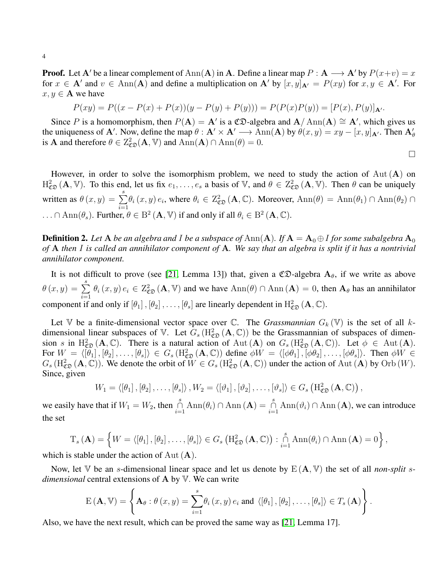**Proof.** Let A' be a linear complement of Ann(A) in A. Define a linear map  $P : A \longrightarrow A'$  by  $P(x+v) = x$ for  $x \in A'$  and  $v \in Ann(A)$  and define a multiplication on A' by  $[x, y]_{A'} = P(xy)$  for  $x, y \in A'$ . For  $x, y \in A$  we have

$$
P(xy) = P((x - P(x) + P(x))(y - P(y) + P(y))) = P(P(x)P(y)) = [P(x), P(y)]_{\mathbf{A'}}.
$$

Since P is a homomorphism, then  $P(A) = A'$  is a CD-algebra and  $A/\text{Ann}(A) \cong A'$ , which gives us the uniqueness of A'. Now, define the map  $\theta : A' \times A' \longrightarrow \text{Ann}(A)$  by  $\theta(x, y) = xy - [x, y]_{A'}$ . Then  $A'_\theta$ is **A** and therefore  $\theta \in Z^2_{\mathfrak{CD}}(\mathbf{A}, \mathbb{V})$  and  $\text{Ann}(\mathbf{A}) \cap \text{Ann}(\theta) = 0$ .

 $\Box$ 

However, in order to solve the isomorphism problem, we need to study the action of Aut  $(A)$  on  $\mathrm{H}_{\mathfrak{C} \mathfrak{D}}^2(\mathbf{A}, \mathbb{V})$ . To this end, let us fix  $e_1, \ldots, e_s$  a basis of  $\mathbb{V}$ , and  $\theta \in \mathrm{Z}_{\mathfrak{C} \mathfrak{D}}^2(\mathbf{A}, \mathbb{V})$ . Then  $\theta$  can be uniquely written as  $\theta(x, y) = \sum_{n=1}^{s}$  $i=1$  $\theta_i(x, y) e_i$ , where  $\theta_i \in Z^2_{\mathfrak{CD}}(\mathbf{A}, \mathbb{C})$ . Moreover,  $\text{Ann}(\theta) = \text{Ann}(\theta_1) \cap \text{Ann}(\theta_2) \cap$ ...  $\cap$  Ann $(\theta_s)$ . Further,  $\theta \in B^2(\mathbf{A}, \mathbb{V})$  if and only if all  $\theta_i \in B^2(\mathbf{A}, \mathbb{C})$ .

**Definition 2.** Let A be an algebra and I be a subspace of  $\text{Ann}(A)$ . If  $A = A_0 \oplus I$  for some subalgebra  $A_0$ *of* A *then* I *is called an annihilator component of* A*. We say that an algebra is split if it has a nontrivial annihilator component.*

It is not difficult to prove (see [\[21,](#page-37-12) Lemma 13]) that, given a  $\mathfrak{CD}$ -algebra  $A_{\theta}$ , if we write as above  $\theta(x, y) = \sum_{n=1}^{s}$  $\sum_{i=1}^{\infty} \theta_i(x, y) e_i \in \mathbb{Z}_{\mathbb{C}\mathfrak{D}}^2(\mathbf{A}, \mathbb{V})$  and we have  $\text{Ann}(\theta) \cap \text{Ann}(\mathbf{A}) = 0$ , then  $\mathbf{A}_{\theta}$  has an annihilator component if and only if  $[\theta_1]$ ,  $[\theta_2]$ , ...,  $[\theta_s]$  are linearly dependent in  $H^2_{\mathfrak{C} \mathfrak{D}}(\mathbf{A}, \mathbb{C})$ .

Let V be a finite-dimensional vector space over C. The *Grassmannian*  $G_k(\mathbb{V})$  is the set of all kdimensional linear subspaces of V. Let  $G_s(H_{\mathfrak{CD}}^2(\mathbf{A},\mathbb{C}))$  be the Grassmannian of subspaces of dimension s in  $H^2_{\mathcal{CD}}(A, \mathbb{C})$ . There is a natural action of Aut  $(A)$  on  $G_s(H^2_{\mathcal{CD}}(A, \mathbb{C}))$ . Let  $\phi \in \text{Aut}(A)$ . For  $W = \langle [\tilde{\theta}_1], [\theta_2], \dots, [\theta_s] \rangle \in G_s(H_{\mathfrak{CD}}^2(\mathbf{A}, \mathbb{C}))$  define  $\phi W = \langle [\phi \theta_1], [\phi \theta_2], \dots, [\phi \theta_s] \rangle$ . Then  $\phi W \in$  $G_s(H_{\mathfrak{CD}}^2(\mathbf{A}, \mathbb{C}))$ . We denote the orbit of  $\widetilde{W} \in G_s(H_{\mathfrak{CD}}^2(\mathbf{A}, \mathbb{C}))$  under the action of Aut  $(\mathbf{A})$  by Orb  $(W)$ . Since, given

$$
W_1 = \langle [\theta_1], [\theta_2], \ldots, [\theta_s] \rangle, W_2 = \langle [\theta_1], [\theta_2], \ldots, [\theta_s] \rangle \in G_s \left( \mathrm{H}_{\mathfrak{CD}}^2 \left( \mathbf{A}, \mathbb{C} \right) \right),
$$

we easily have that if  $W_1 = W_2$ , then  $\int_0^8$  $\bigcap_{i=1}^{s} \text{Ann}(\theta_i) \cap \text{Ann}(\mathbf{A}) = \bigcap_{i=1}^{s}$  $\bigcap_{i=1}^{8} \text{Ann}(\vartheta_i) \cap \text{Ann}(\mathbf{A}),$  we can introduce the set

$$
\mathrm{T}_{s}\left(\mathbf{A}\right)=\left\{ W=\left\langle \left[\theta_{1}\right],\left[\theta_{2}\right],\ldots,\left[\theta_{s}\right]\right\rangle \in G_{s}\left(\mathrm{H}_{\mathfrak{C}\mathfrak{D}}^{2}\left(\mathbf{A},\mathbb{C}\right)\right):\bigcap_{i=1}^{s} \mathrm{Ann}(\theta_{i})\cap \mathrm{Ann}\left(\mathbf{A}\right)=0\right\},\right\}
$$

which is stable under the action of Aut  $(A)$ .

Now, let V be an s-dimensional linear space and let us denote by  $E(A, V)$  the set of all *non-split* s*dimensional* central extensions of A by V. We can write

$$
E(\mathbf{A}, \mathbb{V}) = \left\{ \mathbf{A}_{\theta} : \theta(x, y) = \sum_{i=1}^{s} \theta_{i}(x, y) e_{i} \text{ and } \langle [\theta_{1}], [\theta_{2}], \dots, [\theta_{s}] \rangle \in T_{s}(\mathbf{A}) \right\}.
$$

Also, we have the next result, which can be proved the same way as [\[21,](#page-37-12) Lemma 17].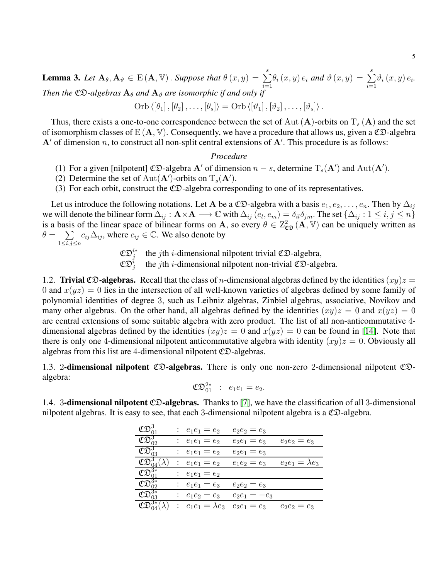**Lemma 3.** Let  $A_{\theta}, A_{\vartheta} \in E(A, \mathbb{V})$ . *Suppose that*  $\theta(x, y) = \sum_{i=1}^{s}$  $\theta_i(x, y) e_i$  and  $\vartheta(x, y) = \sum^s$  $\frac{i=1}{i}$  $\vartheta_i(x, y) e_i.$ *Then the*  $\mathfrak{CD}$ -algebras  $A_{\theta}$  and  $A_{\vartheta}$  are isomorphic if and only if

 $Orb \langle [\theta_1], [\theta_2], \ldots, [\theta_s] \rangle = Orb \langle [\vartheta_1], [\vartheta_2], \ldots, [\vartheta_s] \rangle.$ 

Thus, there exists a one-to-one correspondence between the set of Aut  $(A)$ -orbits on  $T_s(A)$  and the set of isomorphism classes of  $E(A, V)$ . Consequently, we have a procedure that allows us, given a  $\mathfrak{CD}$ -algebra  $A'$  of dimension n, to construct all non-split central extensions of  $A'$ . This procedure is as follows:

### *Procedure*

- (1) For a given [nilpotent]  $\mathfrak{CD}$ -algebra A' of dimension  $n s$ , determine  $T_s(A')$  and  $Aut(A')$ .
- (2) Determine the set of Aut(A')-orbits on  $T_s(A')$ .
- (3) For each orbit, construct the CD-algebra corresponding to one of its representatives.

Let us introduce the following notations. Let A be a  $\mathfrak{CD}$ -algebra with a basis  $e_1, e_2, \ldots, e_n$ . Then by  $\Delta_{ij}$ we will denote the bilinear form  $\Delta_{ij} : \mathbf{A} \times \mathbf{A} \longrightarrow \mathbb{C}$  with  $\Delta_{ij}$   $(e_l, e_m) = \delta_{il} \delta_{jm}$ . The set  $\{\Delta_{ij} : 1 \le i, j \le n\}$ is a basis of the linear space of bilinear forms on A, so every  $\theta \in \mathbb{Z}_{\mathfrak{C}(\mathbb{R})}^2(\mathbb{A}, \mathbb{V})$  can be uniquely written as  $\theta = \sum$  $1\leq i,j\leq n$  $c_{ij}\Delta_{ij}$ , where  $c_{ij}\in\mathbb{C}$ . We also denote by

 $\mathfrak{CD}_j^{i*}$  the jth *i*-dimensional nilpotent trivial  $\mathfrak{CD}$ -algebra,

 $\mathfrak{CD}_j^i$  the *j*th *i*-dimensional nilpotent non-trivial  $\mathfrak{CD}$ -algebra.

1.2. Trivial CD-algebras. Recall that the class of *n*-dimensional algebras defined by the identities  $(xy)z =$ 0 and  $x(yz) = 0$  lies in the intersection of all well-known varieties of algebras defined by some family of polynomial identities of degree 3, such as Leibniz algebras, Zinbiel algebras, associative, Novikov and many other algebras. On the other hand, all algebras defined by the identities  $(xy)z = 0$  and  $x(yz) = 0$ are central extensions of some suitable algebra with zero product. The list of all non-anticommutative 4 dimensional algebras defined by the identities  $(xy)z = 0$  and  $x(yz) = 0$  can be found in [\[14\]](#page-37-3). Note that there is only one 4-dimensional nilpotent anticommutative algebra with identity  $(xy)z = 0$ . Obviously all algebras from this list are 4-dimensional nilpotent  $\mathfrak{CD}$ -algebras.

1.3. 2-dimensional nilpotent  $\mathfrak{CD}$ -algebras. There is only one non-zero 2-dimensional nilpotent  $\mathfrak{CD}$ algebra:

$$
\mathfrak{CD}_{01}^{2*} : e_1e_1 = e_2.
$$

1.4. 3-dimensional nilpotent  $CD$ -algebras. Thanks to [\[7\]](#page-37-15), we have the classification of all 3-dimensional nilpotent algebras. It is easy to see, that each 3-dimensional nilpotent algebra is a  $\mathfrak{CD}$ -algebra.

| $\mathfrak{CD}^3_{01}$             | : $e_1e_1 = e_2$       | $e_2e_2=e_3$    |                        |
|------------------------------------|------------------------|-----------------|------------------------|
| $\mathfrak{CD}^3_{02}$             | : $e_1e_1 = e_2$       | $e_2e_1 = e_3$  | $e_2e_2=e_3$           |
| $\mathfrak{CD}^3_{03}$             | : $e_1e_1 = e_2$       | $e_2e_1=e_3$    |                        |
| $\mathfrak{CD}^3_{04}(\lambda)$    | : $e_1e_1 = e_2$       | $e_1e_2 = e_3$  | $e_2e_1 = \lambda e_3$ |
| $\mathfrak{CD}^{3*}_{01}$          | : $e_1e_1 = e_2$       |                 |                        |
| $\mathfrak{CD}_{02}^{3\ast}$       | : $e_1e_1 = e_3$       | $e_2e_2=e_3$    |                        |
| $\mathfrak{CD}^{3*}_{03}$          | : $e_1e_2 = e_3$       | $e_2e_1 = -e_3$ |                        |
| $\mathfrak{CD}^{3*}_{04}(\lambda)$ | $e_1e_1 = \lambda e_3$ | $e_2e_1 = e_3$  | $e_2e_2=e_3$           |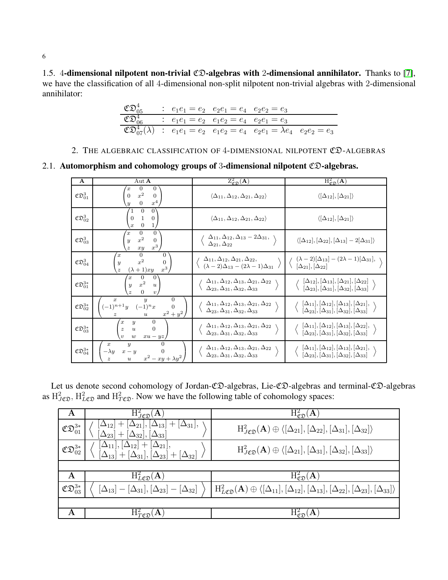1.5. 4-dimensional nilpotent non-trivial  $CD$ -algebras with 2-dimensional annihilator. Thanks to [\[7\]](#page-37-15), we have the classification of all 4-dimensional non-split nilpotent non-trivial algebras with 2-dimensional annihilator:

$$
\frac{\mathfrak{C}\mathfrak{D}_{05}^4}{\mathfrak{C}\mathfrak{D}_{06}^4} : e_1e_1 = e_2 \quad e_2e_1 = e_4 \quad e_2e_2 = e_3
$$
\n
$$
\frac{\mathfrak{C}\mathfrak{D}_{06}^4}{\mathfrak{C}\mathfrak{D}_{07}^4(\lambda)} : e_1e_1 = e_2 \quad e_1e_2 = e_4 \quad e_2e_1 = e_3
$$
\n
$$
\mathfrak{C}\mathfrak{D}_{07}^4(\lambda) : e_1e_1 = e_2 \quad e_1e_2 = e_4 \quad e_2e_1 = \lambda e_4 \quad e_2e_2 = e_3
$$

### 2. THE ALGEBRAIC CLASSIFICATION OF 4-DIMENSIONAL NILPOTENT CO-ALGEBRAS

2.1. Automorphism and cohomology groups of 3-dimensional nilpotent  $\mathfrak{CD}$ -algebras.

| $\mathbf{A}$              | Aut $A$                                                                                                                                                       | $Z^2_{\mathfrak{C}\mathfrak{D}}( \mathbf{A})$                                                                                                                          | $H^2_{\sigma \Omega}({\bf A})$                                                                                                                                                 |
|---------------------------|---------------------------------------------------------------------------------------------------------------------------------------------------------------|------------------------------------------------------------------------------------------------------------------------------------------------------------------------|--------------------------------------------------------------------------------------------------------------------------------------------------------------------------------|
| $\mathfrak{CD}_{01}^3$    | $\overline{0}$<br>0<br>$x^2$<br>$\Omega$<br>$\Omega$<br>$x^4$<br>$\Omega$<br>$\mathcal{Y}$                                                                    | $\langle \Delta_{11}, \Delta_{12}, \Delta_{21}, \Delta_{22} \rangle$                                                                                                   | $\langle  \Delta_{12} ,  \Delta_{21}  \rangle$                                                                                                                                 |
| $\mathfrak{CD}_{02}^3$    | $\theta$<br>$\left 0\right\rangle$<br>$\mathbf{1}$<br>$\Omega$<br>$\Omega$<br>$\overline{0}$<br>$\boldsymbol{x}$                                              | $\langle \Delta_{11}, \Delta_{12}, \Delta_{21}, \Delta_{22} \rangle$                                                                                                   | $\langle [\Delta_{12}], [\Delta_{21}] \rangle$                                                                                                                                 |
| $\mathfrak{CD}^3_{03}$    | $\overline{0}$<br>$\Omega$<br>$x^2$<br>$\overline{0}$<br>$\boldsymbol{y}$<br>$x^3$<br>$\overline{z}$<br>xy                                                    | $\Big\langle \begin{array}{l}\Delta_{11},\Delta_{12},\Delta_{13}-2\Delta_{31},\\ \Delta_{21},\Delta_{22} \end{array} \Big\rangle$                                      | $\langle [\Delta_{12}], [\Delta_{22}], [\Delta_{13}] - 2[\Delta_{31}] \rangle$                                                                                                 |
| $\mathfrak{CD}^3_{04}$    | $\overline{0}$<br>0<br>$\boldsymbol{x}$<br>$x^2$<br>$\theta$<br>$\boldsymbol{y}$<br>$x^3$<br>$(\lambda + 1)xy$<br>$\overline{z}$                              | $\left\langle \begin{array}{l}\Delta_{11},\Delta_{12},\Delta_{21},\Delta_{22},\\ (\lambda-2)\Delta_{13}-(2\lambda-1)\Delta_{31} \end{array} \right\rangle$             | $\Big \langle \begin{array}{l} (\lambda-2)[\Delta_{13}]- (2\lambda-1)[\Delta_{31}], \\ [\Delta_{21}], [\Delta_{22}] \end{array} \Big \rangle$                                  |
| $\mathfrak{CD}^{3*}_{01}$ | $\mathbf{0}$<br>$\overline{0}$<br>$\boldsymbol{x}$<br>$\boldsymbol{x}^2$<br>$\overline{y}$<br>$\boldsymbol{u}$<br>$\Omega$<br>$\upsilon$                      | $\left\langle \begin{array}{l}\Delta_{11},\Delta_{12},\Delta_{13},\Delta_{21},\Delta_{22},\ \Delta_{23},\Delta_{31},\Delta_{32},\Delta_{33} \end{array} \right.$       | $\left\{\n \begin{array}{c}\n [\Delta_{12}], [\Delta_{13}], [\Delta_{21}], [\Delta_{22}]\n [\Delta_{23}], [\Delta_{31}], [\Delta_{32}], [\Delta_{33}]\n \end{array}\n\right\}$ |
| $\mathfrak{CD}^{3*}_{02}$ | $\bf{0}$<br>$\boldsymbol{x}$<br>$\boldsymbol{y}$<br>$(-1)^{n+1}y \quad (-1)^n x$<br>$\Omega$<br>$x^2 + y^2$<br>$\boldsymbol{u}$                               | $\left\langle \begin{array}{l}\Delta_{11},\Delta_{12},\Delta_{13},\Delta_{21},\Delta_{22}\ \Delta_{23},\Delta_{31},\Delta_{32},\Delta_{33} \end{array} \right.$        | $\langle [\Delta_{11}], [\Delta_{12}], [\Delta_{13}], [\Delta_{21}], [\Delta_{23}], [\Delta_{31}], [\Delta_{32}], [\Delta_{33}] \rangle$                                       |
| $\mathfrak{CD}^{3*}_{03}$ | $\Omega$<br>$\overline{x}$<br>$\boldsymbol{y}$<br>$\overline{0}$<br>$\boldsymbol{u}$<br>$\boldsymbol{z}$<br>$\boldsymbol{v}$<br>$\boldsymbol{w}$<br>$xu - yz$ | $\left\langle \begin{array}{l}\Delta_{11},\Delta_{12},\Delta_{13},\Delta_{21},\Delta_{22}\ \Delta_{23},\Delta_{31},\Delta_{32},\Delta_{33} \end{array} \right.$        | $\langle [\Delta_{11}], [\Delta_{12}], [\Delta_{13}], [\Delta_{22}], [\Delta_{23}], [\Delta_{31}], [\Delta_{32}], [\Delta_{33}] \rangle$                                       |
| $\mathfrak{CD}^{3*}_{04}$ | $\boldsymbol{x}$<br>$\boldsymbol{y}$<br>$-\lambda y$<br>$x - y$<br>$x^2 - xy + \lambda y^2$<br>$\tilde{z}$<br>$\boldsymbol{u}$                                | $\left\langle \begin{array}{l}\Delta_{11},\Delta_{12},\Delta_{13},\Delta_{21},\Delta_{22} \ \Delta_{23},\Delta_{31},\Delta_{32},\Delta_{33} \end{array} \right\rangle$ | $\langle [\Delta_{11}], [\Delta_{12}], [\Delta_{13}], [\Delta_{21}], [\Delta_{23}], [\Delta_{31}], [\Delta_{32}], [\Delta_{33}] \rangle$                                       |

Let us denote second cohomology of Jordan-CD-algebras, Lie-CD-algebras and terminal-CD-algebras as  $H_{J\mathfrak{C}D}^2$ ,  $H_{L\mathfrak{C}D}^2$  and  $H_{T\mathfrak{C}D}^2$ . Now we have the following table of cohomology spaces:

| A                            | $H^2_{I\mathscr{O}\mathfrak{D}}(\mathbf{A})$                                                                      | $H^2_{\sigma \Omega}({\bf A})$                                                                                                                    |
|------------------------------|-------------------------------------------------------------------------------------------------------------------|---------------------------------------------------------------------------------------------------------------------------------------------------|
| $\mathfrak{CD}_{01}^{3*}$    | $[\Delta_{12}] + [\Delta_{21}], [\Delta_{13}] + [\Delta_{31}],$<br>$[\Delta_{23}] + [\Delta_{32}], [\Delta_{33}]$ | $\langle H_{I\ell 5}^2(\mathbf{A}) \oplus \langle [\Delta_{21}], [\Delta_{22}], [\Delta_{31}], [\Delta_{32}] \rangle$                             |
| $\mathfrak{CD}_{02}^{3\ast}$ | $ , \Delta_{12} + \Delta_{21} ,$<br>$[\Delta_{13}]+[\Delta_{31}], [\Delta_{23}]+[\Delta_{32}]$                    | $\mathrm{H}^2_{J\mathfrak{C} \mathfrak{D}}(\mathbf{A}) \oplus \langle [\Delta_{21}], [\Delta_{31}], [\Delta_{32}], [\Delta_{33}] \rangle$         |
|                              |                                                                                                                   |                                                                                                                                                   |
| A                            | $H^2_{L\mathfrak{C} \mathfrak{D}}(\mathbf{A})$                                                                    | $\mathrm{H}^2_{\sigma\mathfrak{D}}(\mathbf{A})$                                                                                                   |
| $\mathfrak{CD}^{3*}_{03}$    | $[\Delta_{13}] - [\Delta_{31}], [\Delta_{23}] - [\Delta_{32}]$                                                    | $H^2_{L\mathfrak{CD}}(\mathbf{A}) \oplus \langle [\Delta_{11}], [\Delta_{12}], [\Delta_{13}], [\Delta_{22}], [\Delta_{23}], [\Delta_{33}]\rangle$ |
|                              |                                                                                                                   |                                                                                                                                                   |
|                              |                                                                                                                   |                                                                                                                                                   |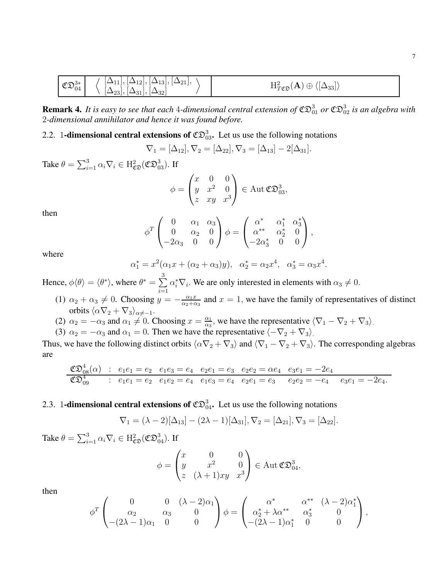| $r \Omega^{3*}$<br>04 | $1 + 0$<br>$\lambda$ 01<br>$\sim$<br>—<br>$\perp$<br>10.<br>- - -<br>.<br>$\Delta$ oo u<br>$\lambda$<br>$\overline{\phantom{a}}$<br>•ാ∠<br>—<br>υT<br>ا د⊿′ | Н2<br>≃<br>$\mathbf{\mathbf{a}}$<br>00 م<br>$\Gamma$ or $\tau$<br>$\pm 1$<br>◡<br><b>A</b> A<br>. 100. |
|-----------------------|-------------------------------------------------------------------------------------------------------------------------------------------------------------|--------------------------------------------------------------------------------------------------------|
|-----------------------|-------------------------------------------------------------------------------------------------------------------------------------------------------------|--------------------------------------------------------------------------------------------------------|

**Remark 4.** It is easy to see that each 4-dimensional central extension of  $C\mathfrak{D}^3_{01}$  or  $C\mathfrak{D}^3_{02}$  is an algebra with 2*-dimensional annihilator and hence it was found before.*

2.2. 1-dimensional central extensions of  $\mathfrak{CD}_{03}^3$ . Let us use the following notations

$$
\nabla_1 = [\Delta_{12}], \nabla_2 = [\Delta_{22}], \nabla_3 = [\Delta_{13}] - 2[\Delta_{31}].
$$

Take  $\theta = \sum_{i=1}^{3} \alpha_i \nabla_i \in \mathrm{H}^2_{\mathfrak{C} \mathfrak{D}}(\mathfrak{C} \mathfrak{D}^3_{03})$ . If

$$
\phi = \begin{pmatrix} x & 0 & 0 \\ y & x^2 & 0 \\ z & xy & x^3 \end{pmatrix} \in \text{Aut } \mathfrak{CD}^3_{03},
$$

then

$$
\phi^T \begin{pmatrix} 0 & \alpha_1 & \alpha_3 \\ 0 & \alpha_2 & 0 \\ -2\alpha_3 & 0 & 0 \end{pmatrix} \phi = \begin{pmatrix} \alpha^* & \alpha_1^* & \alpha_3^* \\ \alpha^{**} & \alpha_2^* & 0 \\ -2\alpha_3^* & 0 & 0 \end{pmatrix},
$$

where

$$
\alpha_1^* = x^2(\alpha_1 x + (\alpha_2 + \alpha_3)y), \quad \alpha_2^* = \alpha_2 x^4, \quad \alpha_3^* = \alpha_3 x^4.
$$

Hence,  $\phi \langle \theta \rangle = \langle \theta^* \rangle$ , where  $\theta^* = \sum_{i=1}^{\infty}$  $i=1$  $\alpha_i^* \nabla_i$ . We are only interested in elements with  $\alpha_3 \neq 0$ .

- (1)  $\alpha_2 + \alpha_3 \neq 0$ . Choosing  $y = -\frac{\alpha_1 x}{\alpha_2 + \alpha_3}$  $\frac{\alpha_1 x}{\alpha_2 + \alpha_3}$  and  $x = 1$ , we have the family of representatives of distinct orbits  $\langle \alpha \nabla_2 + \nabla_3 \rangle_{\alpha \neq -1}$ .
- (2)  $\alpha_2 = -\alpha_3$  and  $\alpha_1 \neq 0$ . Choosing  $x = \frac{\alpha_1}{\alpha_3}$  $\frac{\alpha_1}{\alpha_3}$ , we have the representative  $\langle \nabla_1 - \nabla_2 + \nabla_3 \rangle$ .
- (3)  $\alpha_2 = -\alpha_3$  and  $\alpha_1 = 0$ . Then we have the representative  $\langle -\nabla_2 + \nabla_3 \rangle$ .

Thus, we have the following distinct orbits  $\langle \alpha \nabla_2 + \nabla_3 \rangle$  and  $\langle \nabla_1 - \nabla_2 + \nabla_3 \rangle$ . The corresponding algebras are

$$
\mathfrak{CD}_{08}^4(\alpha) : e_1e_1 = e_2 \quad e_1e_3 = e_4 \quad e_2e_1 = e_3 \quad e_2e_2 = \alpha e_4 \quad e_3e_1 = -2e_4 \n\mathfrak{CD}_{09}^4 : e_1e_1 = e_2 \quad e_1e_2 = e_4 \quad e_1e_3 = e_4 \quad e_2e_1 = e_3 \quad e_2e_2 = -e_4 \quad e_3e_1 = -2e_4.
$$

2.3. 1-dimensional central extensions of  $\mathfrak{CD}_{04}^3$ . Let us use the following notations

$$
\nabla_1 = (\lambda - 2)[\Delta_{13}] - (2\lambda - 1)[\Delta_{31}], \nabla_2 = [\Delta_{21}], \nabla_3 = [\Delta_{22}].
$$

Take  $\theta = \sum_{i=1}^{3} \alpha_i \nabla_i \in \mathrm{H}^2_{\mathfrak{C} \mathfrak{D}}(\mathfrak{C} \mathfrak{D}^3_{04})$ . If

$$
\phi = \begin{pmatrix} x & 0 & 0 \\ y & x^2 & 0 \\ z & (\lambda + 1)xy & x^3 \end{pmatrix} \in \text{Aut } \mathfrak{CD}^3_{04},
$$

then

$$
\phi^T \begin{pmatrix} 0 & 0 & (\lambda - 2)\alpha_1 \\ \alpha_2 & \alpha_3 & 0 \\ -(2\lambda - 1)\alpha_1 & 0 & 0 \end{pmatrix} \phi = \begin{pmatrix} \alpha^* & \alpha^{**} & (\lambda - 2)\alpha_1^* \\ \alpha_2^* + \lambda \alpha^{**} & \alpha_3^* & 0 \\ -(2\lambda - 1)\alpha_1^* & 0 & 0 \end{pmatrix},
$$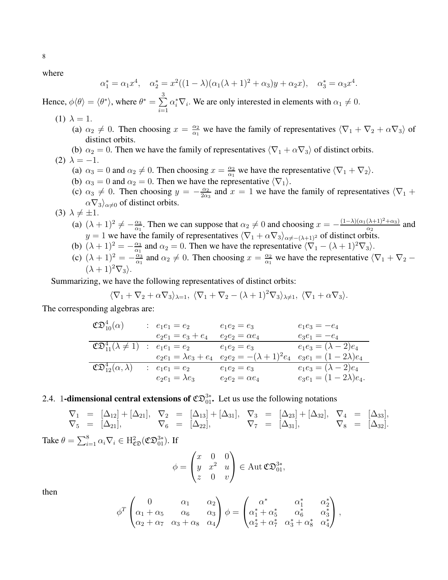where

$$
\alpha_1^* = \alpha_1 x^4, \quad \alpha_2^* = x^2((1 - \lambda)(\alpha_1(\lambda + 1)^2 + \alpha_3)y + \alpha_2 x), \quad \alpha_3^* = \alpha_3 x^4.
$$

Hence,  $\phi \langle \theta \rangle = \langle \theta^* \rangle$ , where  $\theta^* = \sum_{i=1}^{\infty}$ 3  $i=1$  $\alpha_i^* \nabla_i$ . We are only interested in elements with  $\alpha_1 \neq 0$ .

- (1)  $\lambda = 1$ .
	- (a)  $\alpha_2 \neq 0$ . Then choosing  $x = \frac{\alpha_2}{\alpha_1}$  $\frac{\alpha_2}{\alpha_1}$  we have the family of representatives  $\langle \nabla_1 + \nabla_2 + \alpha \nabla_3 \rangle$  of distinct orbits.
	- (b)  $\alpha_2 = 0$ . Then we have the family of representatives  $\langle \nabla_1 + \alpha \nabla_3 \rangle$  of distinct orbits.
- (2)  $\lambda = -1$ .
	- (a)  $\alpha_3 = 0$  and  $\alpha_2 \neq 0$ . Then choosing  $x = \frac{\alpha_2}{\alpha_1}$  $\frac{\alpha_2}{\alpha_1}$  we have the representative  $\langle \nabla_1 + \nabla_2 \rangle$ .
	- (b)  $\alpha_3 = 0$  and  $\alpha_2 = 0$ . Then we have the representative  $\langle \nabla_1 \rangle$ .
	- (c)  $\alpha_3 \neq 0$ . Then choosing  $y = -\frac{\alpha_2}{2\alpha_3}$  $\frac{\alpha_2}{2\alpha_3}$  and  $x = 1$  we have the family of representatives  $\langle \nabla_1 +$  $\alpha \nabla_3$ <sub> $\alpha \neq 0$ </sub> of distinct orbits.
- (3)  $\lambda \neq \pm 1$ .
	- (a)  $(\lambda + 1)^2 \neq -\frac{\alpha_3}{\alpha_1}$  $\frac{\alpha_3}{\alpha_1}$ . Then we can suppose that  $\alpha_2 \neq 0$  and choosing  $x = -\frac{(1-\lambda)(\alpha_1(\lambda+1)^2 + \alpha_3)}{\alpha_2}$  and y = 1 we have the family of representatives  $\langle \nabla_1 + \alpha \nabla_3 \rangle_{\alpha \neq - (\lambda+1)^2}$  of distinct orbits.
	- (b)  $(\lambda + 1)^2 = -\frac{\alpha_3}{\alpha_1}$  $\frac{\alpha_3}{\alpha_1}$  and  $\alpha_2 = 0$ . Then we have the representative  $\langle \nabla_1 - (\lambda + 1)^2 \nabla_3 \rangle$ .
	- (c)  $(\lambda + 1)^2 = -\frac{\alpha_3}{\alpha_1}$  $\frac{\alpha_3}{\alpha_1}$  and  $\alpha_2 \neq 0$ . Then choosing  $x = \frac{\alpha_2}{\alpha_1}$  $\frac{\alpha_2}{\alpha_1}$  we have the representative  $\langle \nabla_1 + \nabla_2 - \nabla_1 \rangle$  $(\lambda + 1)^2 \nabla_3$ .

Summarizing, we have the following representatives of distinct orbits:

$$
\langle \nabla_1 + \nabla_2 + \alpha \nabla_3 \rangle_{\lambda=1}, \ \langle \nabla_1 + \nabla_2 - (\lambda + 1)^2 \nabla_3 \rangle_{\lambda \neq 1}, \ \langle \nabla_1 + \alpha \nabla_3 \rangle.
$$

The corresponding algebras are:

$$
\begin{array}{lll}\n\mathfrak{CD}_{10}^4(\alpha) & : & e_1e_1 = e_2 & e_1e_2 = e_3 & e_1e_3 = -e_4 \\
& e_2e_1 = e_3 + e_4 & e_2e_2 = \alpha e_4 & e_3e_1 = -e_4 \\
\hline\n\mathfrak{CD}_{11}^4(\lambda \neq 1) & : & e_1e_1 = e_2 & e_1e_2 = e_3 & e_1e_3 = (\lambda - 2)e_4 \\
& e_2e_1 = \lambda e_3 + e_4 & e_2e_2 = -(\lambda + 1)^2 e_4 & e_3e_1 = (1 - 2\lambda)e_4 \\
\hline\n\mathfrak{CD}_{12}^4(\alpha, \lambda) & : & e_1e_1 = e_2 & e_1e_2 = e_3 & e_1e_3 = (\lambda - 2)e_4 \\
& e_2e_1 = \lambda e_3 & e_2e_2 = \alpha e_4 & e_3e_1 = (1 - 2\lambda)e_4.\n\end{array}
$$

2.4. 1-dimensional central extensions of  $\mathfrak{CD}_{01}^{3*}$ . Let us use the following notations

$$
\nabla_1 = [\Delta_{12}] + [\Delta_{21}], \nabla_2 = [\Delta_{13}] + [\Delta_{31}], \nabla_3 = [\Delta_{23}] + [\Delta_{32}], \nabla_4 = [\Delta_{33}],
$$
\n
$$
\nabla_5 = [\Delta_{21}], \nabla_6 = [\Delta_{22}], \nabla_7 = [\Delta_{31}], \nabla_8 = [\Delta_{32}].
$$

Take  $\theta = \sum_{i=1}^{8} \alpha_i \nabla_i \in \mathrm{H}^2_{\mathfrak{C} \mathfrak{D}}(\mathfrak{C} \mathfrak{D}^{3*}_{01}).$  If

$$
\phi = \begin{pmatrix} x & 0 & 0 \\ y & x^2 & u \\ z & 0 & v \end{pmatrix} \in \text{Aut } \mathfrak{CD}_{01}^{3*},
$$

then

$$
\phi^T \begin{pmatrix} 0 & \alpha_1 & \alpha_2 \\ \alpha_1 + \alpha_5 & \alpha_6 & \alpha_3 \\ \alpha_2 + \alpha_7 & \alpha_3 + \alpha_8 & \alpha_4 \end{pmatrix} \phi = \begin{pmatrix} \alpha^* & \alpha_1^* & \alpha_2^* \\ \alpha_1^* + \alpha_5^* & \alpha_6^* & \alpha_3^* \\ \alpha_2^* + \alpha_7^* & \alpha_3^* + \alpha_8^* & \alpha_4^* \end{pmatrix},
$$

8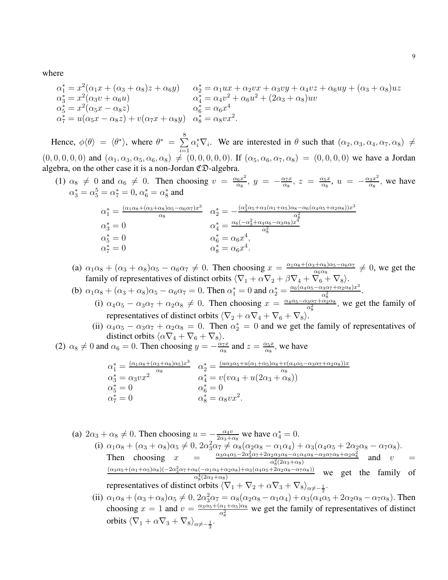where

$$
\alpha_1^* = x^2(\alpha_1 x + (\alpha_3 + \alpha_8)z + \alpha_6 y) \qquad \alpha_2^* = \alpha_1 ux + \alpha_2 vx + \alpha_3 vy + \alpha_4 vz + \alpha_6 uy + (\alpha_3 + \alpha_8)uz \n\alpha_3^* = x^2(\alpha_3 v + \alpha_6 u) \qquad \alpha_4^* = \alpha_4 v^2 + \alpha_6 u^2 + (2\alpha_3 + \alpha_8)uv \n\alpha_5^* = x^2(\alpha_5 x - \alpha_8 z) \qquad \alpha_6^* = \alpha_6 x^4 \n\alpha_7^* = u(\alpha_5 x - \alpha_8 z) + v(\alpha_7 x + \alpha_8 y) \qquad \alpha_8^* = \alpha_8 vx^2.
$$

Hence,  $\phi \langle \theta \rangle = \langle \theta^* \rangle$ , where  $\theta^* = \sum_i$ 8  $i=1$  $\alpha_i^* \nabla_i$ . We are interested in  $\theta$  such that  $(\alpha_2, \alpha_3, \alpha_4, \alpha_7, \alpha_8) \neq$  $(0, 0, 0, 0, 0)$  and  $(\alpha_1, \alpha_3, \alpha_5, \alpha_6, \alpha_8) \neq (0, 0, 0, 0, 0)$ . If  $(\alpha_5, \alpha_6, \alpha_7, \alpha_8) = (0, 0, 0, 0)$  we have a Jordan algebra, on the other case it is a non-Jordan  $CD$ -algebra.

(1)  $\alpha_8 \neq 0$  and  $\alpha_6 \neq 0$ . Then choosing  $v = \frac{\alpha_6 x^2}{\alpha_8}$  $\frac{\alpha_6 x^2}{\alpha_8}, y = -\frac{\alpha_7 x}{\alpha_8}$  $\frac{\alpha_7 x}{\alpha_8}, z = \frac{\alpha_5 x}{\alpha_8}$  $\frac{\alpha_5 x}{\alpha_8}, u = -\frac{\alpha_3 x^2}{\alpha_8}$  $\frac{a_3x^2}{\alpha_8}$ , we have  $\alpha_3^* = \alpha_5^5 = \alpha_7^* = 0, \, \alpha_6^* = \alpha_8^*$  and

$$
\alpha_1^* = \frac{(\alpha_1 \alpha_8 + (\alpha_3 + \alpha_8)\alpha_5 - \alpha_6 \alpha_7)x^3}{\alpha_8} \quad \alpha_2^* = -\frac{(\alpha_3^2 \alpha_5 + \alpha_3(\alpha_1 + \alpha_5)\alpha_8 - \alpha_6(\alpha_4 \alpha_5 + \alpha_2 \alpha_8))x^3}{\alpha_8^2}
$$

$$
\alpha_3^* = 0 \qquad \alpha_4^* = \frac{\alpha_6(-\alpha_3^2 + \alpha_4 \alpha_6 - \alpha_3 \alpha_8)x^4}{\alpha_8^2}
$$

$$
\alpha_5^* = 0 \qquad \alpha_6^* = \alpha_6 x^4,
$$

$$
\alpha_7^* = 0 \qquad \alpha_8^* = \alpha_6 x^4.
$$

- (a)  $\alpha_1\alpha_8 + (\alpha_3 + \alpha_8)\alpha_5 \alpha_6\alpha_7 \neq 0$ . Then choosing  $x = \frac{\alpha_1\alpha_8 + (\alpha_3 + \alpha_8)\alpha_5 \alpha_6\alpha_7}{\alpha_6\alpha_8} \neq 0$ , we get the family of representatives of distinct orbits  $\langle \nabla_1 + \alpha \nabla_2 + \beta \nabla_4 + \nabla_6 + \nabla_8 \rangle$ .
- (b)  $\alpha_1\alpha_8 + (\alpha_3 + \alpha_8)\alpha_5 \alpha_6\alpha_7 = 0$ . Then  $\alpha_1^* = 0$  and  $\alpha_2^* = \frac{\alpha_6(\alpha_4\alpha_5 \alpha_3\alpha_7 + \alpha_2\alpha_8)x^3}{\alpha_8^2}$  $\frac{\alpha_3\alpha_7+\alpha_2\alpha_8)x^6}{\alpha_8^2}$ .
	- (i)  $\alpha_4\alpha_5 \alpha_3\alpha_7 + \alpha_2\alpha_8 \neq 0$ . Then choosing  $x = \frac{\alpha_4\alpha_5 \alpha_3\alpha_7 + \alpha_2\alpha_8}{\alpha_8^2}$ , we get the family of representatives of distinct orbits  $\langle \nabla_2 + \alpha \nabla_4 + \nabla_6 + \nabla_8 \rangle$ .
	- (ii)  $\alpha_4 \alpha_5 \alpha_3 \alpha_7 + \alpha_2 \alpha_8 = 0$ . Then  $\alpha_2^* = 0$  and we get the family of representatives of distinct orbits  $\langle \alpha \nabla_4 + \nabla_6 + \nabla_8 \rangle$ .

(2)  $\alpha_8 \neq 0$  and  $\alpha_6 = 0$ . Then choosing  $y = -\frac{\alpha_7 x}{\alpha_8}$  $\frac{\alpha_7 x}{\alpha_8}$  and  $z = \frac{\alpha_5 x}{\alpha_8}$  $\frac{\alpha_5 x}{\alpha_8}$ , we have

$$
\alpha_1^* = \frac{(\alpha_1 \alpha_8 + (\alpha_3 + \alpha_8)\alpha_5)x^3}{\alpha_3^*} \quad \alpha_2^* = \frac{(\alpha_3 \alpha_5 + u(\alpha_1 + \alpha_5)\alpha_8 + v(\alpha_4 \alpha_5 - \alpha_3 \alpha_7 + \alpha_2 \alpha_8))x}{\alpha_3^*}
$$
  
\n
$$
\alpha_3^* = \alpha_3 v x^2 \qquad \alpha_4^* = v(v\alpha_4 + u(2\alpha_3 + \alpha_8))
$$
  
\n
$$
\alpha_5^* = 0 \qquad \alpha_6^* = 0
$$
  
\n
$$
\alpha_7^* = 0 \qquad \alpha_8^* = \alpha_8 v x^2.
$$

- (a)  $2\alpha_3 + \alpha_8 \neq 0$ . Then choosing  $u = -\frac{\alpha_4 v}{2\alpha_3 + \alpha_4}$  $\frac{\alpha_4 v}{2\alpha_3 + \alpha_8}$  we have  $\alpha_4^* = 0$ .
	- (i)  $\alpha_1\alpha_8 + (\alpha_3 + \alpha_8)\alpha_5 \neq 0, 2\alpha_3^2\alpha_7 \neq \alpha_8(\alpha_2\alpha_8 \alpha_1\alpha_4) + \alpha_3(\alpha_4\alpha_5 + 2\alpha_2\alpha_8 \alpha_7\alpha_8).$ Then choosing  $x = \frac{\alpha_3 \alpha_4 \alpha_5 - 2\alpha_3^2 \alpha_7 + 2\alpha_2 \alpha_3 \alpha_8 - \alpha_1 \alpha_4 \alpha_8 - \alpha_3 \alpha_7 \alpha_8 + \alpha_2 \alpha_8^2}{\alpha_8^2 (2\alpha_3 + \alpha_8)}$  and  $v =$  $(\alpha_3\alpha_5 + (\alpha_1 + \alpha_5)\alpha_8)(-2\alpha_3^2\alpha_7 + \alpha_8(-\alpha_1\alpha_4 + \alpha_2\alpha_8) + \alpha_3(\alpha_4\alpha_5 + 2\alpha_2\alpha_8 - \alpha_7\alpha_8))$  $\alpha^{4}_{8}(2\alpha_3+\alpha_8)$ representatives of distinct orbits  $\langle \nabla_1 + \nabla_2 + \alpha \nabla_3 + \nabla_8 \rangle_{\alpha \neq -\frac{1}{2}}$ . we get the family of
	- (ii)  $\alpha_1\alpha_8 + (\alpha_3 + \alpha_8)\alpha_5 \neq 0$ ,  $2\alpha_3^2\alpha_7 = \alpha_8(\alpha_2\alpha_8 \alpha_1\alpha_4) + \alpha_3(\alpha_4\alpha_5 + 2\alpha_2\alpha_8 \alpha_7\alpha_8)$ . Then choosing  $x = 1$  and  $v = \frac{\alpha_3 \alpha_5 + (\alpha_1 + \alpha_5)\alpha_8}{\alpha^2}$  $\frac{\alpha_1 + \alpha_5}{\alpha_8^2}$  we get the family of representatives of distinct orbits  $\langle \nabla_1 + \alpha \nabla_3 + \nabla_8 \rangle_{\alpha \neq -\frac{1}{2}}$ .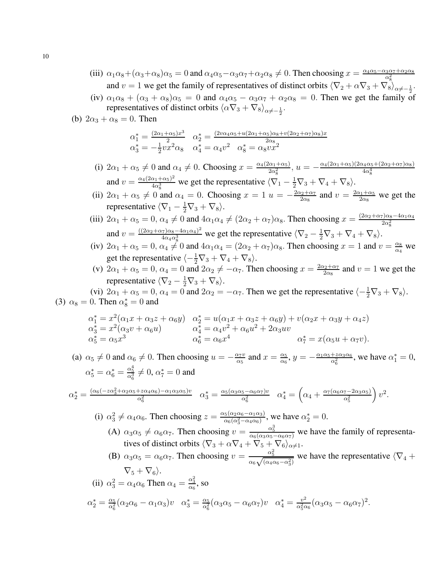- (iii)  $\alpha_1\alpha_8 + (\alpha_3 + \alpha_8)\alpha_5 = 0$  and  $\alpha_4\alpha_5 \alpha_3\alpha_7 + \alpha_2\alpha_8 \neq 0$ . Then choosing  $x = \frac{\alpha_4\alpha_5 \alpha_3\alpha_7 + \alpha_2\alpha_8}{\alpha_8^2}$ and  $v = 1$  we get the family of representatives of distinct orbits  $\langle \nabla_2 + \alpha \nabla_3 + \nabla_8 \rangle_{\alpha \neq -\frac{1}{2}}$ .
- (iv)  $\alpha_1\alpha_8 + (\alpha_3 + \alpha_8)\alpha_5 = 0$  and  $\alpha_4\alpha_5 \alpha_3\alpha_7 + \alpha_2\alpha_8 = 0$ . Then we get the family of representatives of distinct orbits  $\langle \alpha \nabla_3 + \nabla_8 \rangle_{\alpha \neq -\frac{1}{2}}$ .

(b)  $2\alpha_3 + \alpha_8 = 0$ . Then

$$
\alpha_1^* = \frac{(2\alpha_1 + \alpha_5)x^3}{2} \quad \alpha_2^* = \frac{(2v\alpha_4\alpha_5 + u(2\alpha_1 + \alpha_5)\alpha_8 + v(2\alpha_2 + \alpha_7)\alpha_8)x}{2\alpha_8}
$$
  

$$
\alpha_3^* = -\frac{1}{2}vx^2\alpha_8 \quad \alpha_4^* = \alpha_4v^2 \quad \alpha_8^* = \alpha_8vx^2
$$

- (i)  $2\alpha_1 + \alpha_5 \neq 0$  and  $\alpha_4 \neq 0$ . Choosing  $x = \frac{\alpha_4(2\alpha_1 + \alpha_5)}{2\alpha_8^2}$  $\frac{a_{1}+a_{5}}{2\alpha_{8}^{2}}$ ,  $u = -\frac{\alpha_{4}(2\alpha_{1}+\alpha_{5})(2\alpha_{4}\alpha_{5}+(2\alpha_{2}+\alpha_{7})\alpha_{8})}{4\alpha_{8}^{4}}$  $4\alpha_8^4$ and  $v = \frac{\alpha_4(2\alpha_1 + \alpha_5)^2}{4\alpha^3}$  $\frac{\alpha_1+\alpha_5)^2}{4\alpha_8^3}$  we get the representative  $\langle \nabla_1 - \frac{1}{2}\nabla_3 + \nabla_4 + \nabla_8 \rangle$ .
- (ii)  $2\alpha_1 + \alpha_5 \neq 0$  and  $\alpha_4 = 0$ . Choosing  $x = 1$   $u = -\frac{2\alpha_2 + \alpha_7}{2\alpha_8}$  $\frac{\alpha_2+\alpha_7}{2\alpha_8}$  and  $v=\frac{2\alpha_1+\alpha_5}{2\alpha_8}$  $rac{a_1+\alpha_5}{2\alpha_8}$  we get the representative  $\langle \nabla_1 - \frac{1}{2} \nabla_3 + \nabla_8 \rangle$ .
- (iii)  $2\alpha_1 + \alpha_5 = 0$ ,  $\alpha_4 \neq 0$  and  $4\alpha_1\alpha_4 \neq (2\alpha_2 + \alpha_7)\alpha_8$ . Then choosing  $x = \frac{(2\alpha_2 + \alpha_7)\alpha_8 4\alpha_1\alpha_4}{2\alpha_8^2}$ 8 and  $v = \frac{((2\alpha_2 + \alpha_7)\alpha_8 - 4\alpha_1\alpha_4)^2}{4\alpha_1\alpha^3}$  $\frac{4\alpha_1\alpha_3}{4\alpha_4\alpha_8^3}$  we get the representative  $\langle \nabla_2 - \frac{1}{2}\nabla_3 + \nabla_4 + \nabla_8 \rangle$ .
- (iv)  $2\alpha_1 + \alpha_5 = 0$ ,  $\alpha_4 \neq 0$  and  $4\alpha_1\alpha_4 = (2\alpha_2 + \alpha_7)\alpha_8$ . Then choosing  $x = 1$  and  $v = \frac{\alpha_8}{\alpha_4}$  $\frac{\alpha_8}{\alpha_4}$  we get the representative  $\langle -\frac{1}{2}\nabla_3 + \nabla_4 + \nabla_8 \rangle$ .
- (v)  $2\alpha_1 + \alpha_5 = 0$ ,  $\alpha_4 = 0$  and  $2\alpha_2 \neq -\alpha_7$ . Then choosing  $x = \frac{2\alpha_2 + \alpha_7}{2\alpha_8}$  $\frac{v_2+\alpha_7}{2\alpha_8}$  and  $v=1$  we get the representative  $\langle \nabla_2 - \frac{1}{2} \nabla_3 + \nabla_8 \rangle$ .

(vi)  $2\alpha_1 + \alpha_5 = 0$ ,  $\alpha_4 = 0$  and  $2\alpha_2 = -\alpha_7$ . Then we get the representative  $\langle -\frac{1}{2}\nabla_3 + \nabla_8 \rangle$ . (3)  $\alpha_8 = 0$ . Then  $\alpha_8^* = 0$  and

$$
\alpha_1^* = x^2(\alpha_1 x + \alpha_3 z + \alpha_6 y) \quad \alpha_2^* = u(\alpha_1 x + \alpha_3 z + \alpha_6 y) + v(\alpha_2 x + \alpha_3 y + \alpha_4 z) \n\alpha_3^* = x^2(\alpha_3 v + \alpha_6 u) \qquad \alpha_4^* = \alpha_4 v^2 + \alpha_6 u^2 + 2\alpha_3 u v \n\alpha_5^* = \alpha_5 x^3 \qquad \alpha_6^* = \alpha_6 x^4 \qquad \alpha_7^* = x(\alpha_5 u + \alpha_7 v).
$$

(a)  $\alpha_5 \neq 0$  and  $\alpha_6 \neq 0$ . Then choosing  $u = -\frac{\alpha_7 v}{\alpha_5}$  $\frac{\alpha_7 v}{\alpha_5}$  and  $x = \frac{\alpha_5}{\alpha_6}$  $\frac{\alpha_5}{\alpha_6}, y = -\frac{\alpha_1\alpha_5+ z\alpha_3\alpha_6}{\alpha_6^2}$  $\frac{+z\alpha_3\alpha_6}{\alpha_6^2}$ , we have  $\alpha_1^* = 0$ ,  $\alpha_5^* = \alpha_6^* = \frac{\alpha_5^4}{\alpha_6^3} \neq 0$ ,  $\alpha_7^* = 0$  and

$$
\alpha_2^* = \frac{(\alpha_6(-z\alpha_3^2 + \alpha_2\alpha_5 + z\alpha_4\alpha_6) - \alpha_1\alpha_3\alpha_5)v}{\alpha_6^2} \quad \alpha_3^* = \frac{\alpha_5(\alpha_3\alpha_5 - \alpha_6\alpha_7)v}{\alpha_6^2} \quad \alpha_4^* = \left(\alpha_4 + \frac{\alpha_7(\alpha_6\alpha_7 - 2\alpha_3\alpha_5)}{\alpha_5^2}\right)v^2.
$$

(i)  $\alpha_3^2 \neq \alpha_4 \alpha_6$ . Then choosing  $z = \frac{\alpha_5(\alpha_2 \alpha_6 - \alpha_1 \alpha_3)}{\alpha_6(\alpha_3^2 - \alpha_4 \alpha_6)}$  $\frac{\alpha_5(\alpha_2\alpha_6 - \alpha_1\alpha_3)}{\alpha_6(\alpha_3^2 - \alpha_4\alpha_6)}$ , we have  $\alpha_2^* = 0$ . (A)  $\alpha_3 \alpha_5 \neq \alpha_6 \alpha_7$ . Then choosing  $v = \frac{\alpha_5^3}{\alpha_6(\alpha_3 \alpha_5 - \alpha_6 \alpha_7)}$  we have the family of representatives of distinct orbits  $\langle \nabla_3 + \alpha \nabla_4 + \nabla_5 + \nabla_6 \rangle_{\alpha \neq 1}$ .

(B) 
$$
\alpha_3 \alpha_5 = \alpha_6 \alpha_7
$$
. Then choosing  $v = \frac{\alpha_5}{\alpha_6 \sqrt{(\alpha_4 \alpha_6 - \alpha_3^2)}}$  we have the representative  $\langle \nabla_4 + \nabla_5 + \nabla_6 \rangle$ .  
\n(ii)  $\alpha_3^2 = \alpha_4 \alpha_6$  Then  $\alpha_4 = \frac{\alpha_3^2}{\alpha_6}$ , so

$$
\alpha_2^* = \frac{\alpha_5}{\alpha_6^2} (\alpha_2 \alpha_6 - \alpha_1 \alpha_3) v \quad \alpha_3^* = \frac{\alpha_5}{\alpha_6^2} (\alpha_3 \alpha_5 - \alpha_6 \alpha_7) v \quad \alpha_4^* = \frac{v^2}{\alpha_5^2 \alpha_6} (\alpha_3 \alpha_5 - \alpha_6 \alpha_7)^2.
$$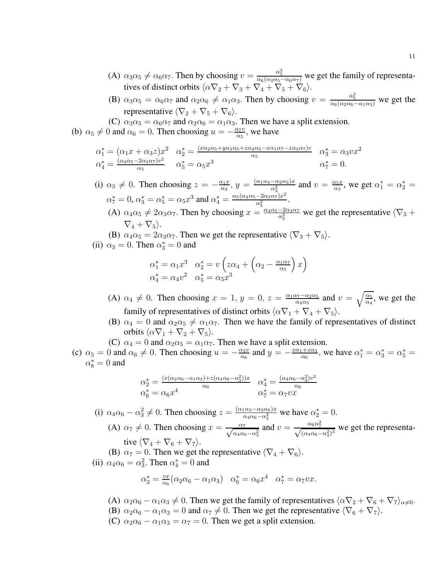- (A)  $\alpha_3 \alpha_5 \neq \alpha_6 \alpha_7$ . Then by choosing  $v = \frac{\alpha_5^3}{\alpha_6(\alpha_3 \alpha_5 \alpha_6 \alpha_7)}$  we get the family of representatives of distinct orbits  $\langle \alpha \nabla_2 + \nabla_3 + \nabla_4 + \nabla_5 + \nabla_6 \rangle$ .
- (B)  $\alpha_3 \alpha_5 = \alpha_6 \alpha_7$  and  $\alpha_2 \alpha_6 \neq \alpha_1 \alpha_3$ . Then by choosing  $v = \frac{\alpha_5^3}{\alpha_6 (\alpha_2 \alpha_6 \alpha_1 \alpha_3)}$  we get the representative  $\langle \nabla_2 + \nabla_5 + \nabla_6 \rangle$ .
- (C)  $\alpha_3 \alpha_5 = \alpha_6 \alpha_7$  and  $\alpha_2 \alpha_6 = \alpha_1 \alpha_3$ . Then we have a split extension.

(b)  $\alpha_5 \neq 0$  and  $\alpha_6 = 0$ . Then choosing  $u = -\frac{\alpha_7 v}{\alpha_5}$  $\frac{\alpha_7 v}{\alpha_5}$ , we have

> $\alpha_1^* = (\alpha_1 x + \alpha_3 z)x^2$   $\alpha_2^* = \frac{(x\alpha_2\alpha_5 + y\alpha_3\alpha_5 + z\alpha_4\alpha_5 - x\alpha_1\alpha_7 - z\alpha_3\alpha_7)v}{\alpha_5}$   $\alpha_3^* = \alpha_3 v x^2$  $\alpha_4^* = \frac{(\alpha_4 \alpha_5 - 2 \alpha_3 \alpha_7) v^2}{\alpha_5}$  $\alpha_5^* = \alpha_5 x^3$   $\alpha_7^* = 0.$

(i)  $\alpha_3 \neq 0$ . Then choosing  $z = -\frac{\alpha_1 x}{\alpha_3}$  $\frac{\alpha_1 x}{\alpha_3}$ ,  $y = \frac{(\alpha_1 \alpha_4 - \alpha_2 \alpha_3)x}{\alpha_3^2}$  and  $v = \frac{\alpha_5 x}{\alpha_3}$  $\frac{\alpha_5 x}{\alpha_3}$ , we get  $\alpha_1^* = \alpha_2^* =$  $\alpha_7^*=0$ ,  $\alpha_3^*=\alpha_5^*=\alpha_5x^3$  and  $\alpha_4^*=\frac{\alpha_5(\alpha_4\alpha_5-2\alpha_3\alpha_7)x^2}{\alpha_5^2}$  $\frac{-2\alpha_3\alpha_7}{\alpha_3^2}$ .

(A)  $\alpha_4\alpha_5 \neq 2\alpha_3\alpha_7$ . Then by choosing  $x = \frac{\alpha_4\alpha_5 - 2\alpha_3\alpha_7}{\alpha_3^2}$  we get the representative  $\langle \nabla_3 +$  $\nabla_4 + \nabla_5$ .

- (B)  $\alpha_4 \alpha_5 = 2\alpha_3 \alpha_7$ . Then we get the representative  $\langle \nabla_3 + \nabla_5 \rangle$ .
- (ii)  $\alpha_3 = 0$ . Then  $\alpha_3^* = 0$  and

$$
\alpha_1^* = \alpha_1 x^3 \quad \alpha_2^* = v \left( z \alpha_4 + \left( \alpha_2 - \frac{\alpha_1 \alpha_7}{\alpha_5} \right) x \right)
$$
  

$$
\alpha_4^* = \alpha_4 v^2 \quad \alpha_5^* = \alpha_5 x^3
$$

(A)  $\alpha_4 \neq 0$ . Then choosing  $x = 1$ ,  $y = 0$ ,  $z = \frac{\alpha_1 \alpha_7 - \alpha_2 \alpha_5}{\alpha_4 \alpha_5}$  and  $v = \sqrt{\frac{\alpha_5}{\alpha_4}}$ , we get the family of representatives of distinct orbits  $\langle \alpha \nabla_1 + \nabla_4 + \nabla_5 \rangle$ .

- (B)  $\alpha_4 = 0$  and  $\alpha_2 \alpha_5 \neq \alpha_1 \alpha_7$ . Then we have the family of representatives of distinct orbits  $\langle \alpha \nabla_1 + \nabla_2 + \nabla_5 \rangle$ .
- (C)  $\alpha_4 = 0$  and  $\alpha_2 \alpha_5 = \alpha_1 \alpha_7$ . Then we have a split extension.

(c)  $\alpha_5 = 0$  and  $\alpha_6 \neq 0$ . Then choosing  $u = -\frac{\alpha_3 v}{\alpha_6}$  $\frac{\alpha_3 v}{\alpha_6}$  and  $y = -\frac{x\alpha_1 + z\alpha_3}{\alpha_6}$  $\frac{+z\alpha_3}{\alpha_6}$ , we have  $\alpha_1^* = \alpha_3^* = \alpha_5^* =$  $\alpha_8^* = 0$  and

$$
\alpha_2^* = \frac{(x(\alpha_2\alpha_6 - \alpha_1\alpha_3) + z(\alpha_4\alpha_6 - \alpha_3^2))x}{\alpha_6} \quad \alpha_4^* = \frac{(\alpha_4\alpha_6 - \alpha_3^2)v^2}{\alpha_6}
$$

$$
\alpha_5^* = \alpha_6 x^4 \qquad \alpha_7^* = \alpha_7 vx
$$

(i)  $\alpha_4 \alpha_6 - \alpha_3^2 \neq 0$ . Then choosing  $z = \frac{(\alpha_1 \alpha_3 - \alpha_2 \alpha_6)x}{\alpha_4 \alpha_6 - \alpha_3^2}$  $\frac{\alpha_3-\alpha_2\alpha_6}{\alpha_4\alpha_6-\alpha_3^2}$  we have  $\alpha_2^*=0$ . (A)  $\alpha_7 \neq 0$ . Then choosing  $x = \frac{\alpha_7}{\sqrt{\alpha_4 \alpha_6 - \alpha_3^2}}$  and  $v = \frac{\alpha_6 \alpha_7^2}{\sqrt{(\alpha_4 \alpha_6 - \alpha_3^2)^3}}$  we get the representative  $\langle \nabla_4 + \nabla_6 + \nabla_7 \rangle$ . (B)  $\alpha_7 = 0$ . Then we get the representative  $\langle \nabla_4 + \nabla_6 \rangle$ . (ii)  $\alpha_4 \alpha_6 = \alpha_3^2$ . Then  $\alpha_4^* = 0$  and  $\alpha_2^* = \frac{vx}{\alpha_6}$  $\frac{vx}{\alpha_6}(\alpha_2\alpha_6-\alpha_1\alpha_3)\quad \alpha_6^*=\alpha_6x^4\quad \alpha_7^*=\alpha_7vx.$ 

- 
- (A)  $\alpha_2 \alpha_6 \alpha_1 \alpha_3 \neq 0$ . Then we get the family of representatives  $\langle \alpha \nabla_2 + \nabla_6 + \nabla_7 \rangle_{\alpha \neq 0}$ . (B)  $\alpha_2 \alpha_6 - \alpha_1 \alpha_3 = 0$  and  $\alpha_7 \neq 0$ . Then we get the representative  $\langle \nabla_6 + \nabla_7 \rangle$ .
- (C)  $\alpha_2 \alpha_6 \alpha_1 \alpha_3 = \alpha_7 = 0$ . Then we get a split extension.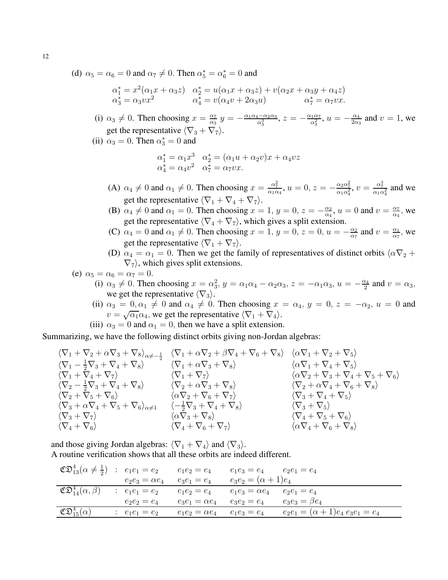(d)  $\alpha_5 = \alpha_6 = 0$  and  $\alpha_7 \neq 0$ . Then  $\alpha_5^* = \alpha_6^* = 0$  and

$$
\alpha_1^* = x^2(\alpha_1 x + \alpha_3 z) \quad \alpha_2^* = u(\alpha_1 x + \alpha_3 z) + v(\alpha_2 x + \alpha_3 y + \alpha_4 z)
$$
  
\n
$$
\alpha_3^* = \alpha_3 v x^2 \qquad \alpha_4^* = v(\alpha_4 v + 2\alpha_3 u) \qquad \alpha_7^* = \alpha_7 v x.
$$

(i)  $\alpha_3 \neq 0$ . Then choosing  $x = \frac{\alpha_7}{\alpha_3}$  $\frac{\alpha_7}{\alpha_3} y = -\frac{\alpha_1 \alpha_4 - \alpha_2 \alpha_3}{\alpha_3^3}, z = -\frac{\alpha_1 \alpha_7}{\alpha_3^2}$  $\frac{d^{2}a^{2}}{a_{3}^{2}}, u = -\frac{\alpha_{4}}{2\alpha_{3}}$  $\frac{\alpha_4}{2\alpha_3}$  and  $v=1$ , we get the representative  $\langle \nabla_3 + \nabla_7 \rangle$ .

(ii)  $\alpha_3 = 0$ . Then  $\alpha_3^* = 0$  and

$$
\alpha_1^* = \alpha_1 x^3 \quad \alpha_2^* = (\alpha_1 u + \alpha_2 v)x + \alpha_4 vz
$$
  

$$
\alpha_4^* = \alpha_4 v^2 \quad \alpha_7^* = \alpha_7 v x.
$$

- (A)  $\alpha_4 \neq 0$  and  $\alpha_1 \neq 0$ . Then choosing  $x = \frac{\alpha_7^2}{\alpha_1 \alpha_4}$ ,  $u = 0$ ,  $z = -\frac{\alpha_2 \alpha_7^2}{\alpha_1 \alpha_4^2}$ ,  $v = \frac{\alpha_7^3}{\alpha_1 \alpha_4^2}$  and we get the representative  $\langle \nabla_1 + \nabla_4 + \nabla_7 \rangle$ .
- (B)  $\alpha_4 \neq 0$  and  $\alpha_1 = 0$ . Then choosing  $x = 1, y = 0, z = -\frac{\alpha_2}{\alpha_4}$  $\frac{\alpha_2}{\alpha_4}$ ,  $u = 0$  and  $v = \frac{\alpha_7}{\alpha_4}$  $\frac{\alpha_7}{\alpha_4}$ , we get the representative  $\langle \nabla_4 + \nabla_7 \rangle$ , which gives a split extension.
- (C)  $\alpha_4 = 0$  and  $\alpha_1 \neq 0$ . Then choosing  $x = 1$ ,  $y = 0$ ,  $z = 0$ ,  $u = -\frac{\alpha_2}{\alpha_7}$  $\frac{\alpha_2}{\alpha_7}$  and  $v = \frac{\alpha_1}{\alpha_7}$  $\frac{\alpha_1}{\alpha_7}$ , we get the representative  $\langle \nabla_1 + \nabla_7 \rangle$ .
- (D)  $\alpha_4 = \alpha_1 = 0$ . Then we get the family of representatives of distinct orbits  $\langle \alpha \nabla_2 + \alpha \nabla_3 \nabla_4 \nabla_5 \nabla_6 \nabla_7 \nabla_8 \nabla_8 \nabla_7 \nabla_8 \nabla_8 \nabla_9 \nabla_9$  $\nabla_7$ , which gives split extensions.

(e) 
$$
\alpha_5 = \alpha_6 = \alpha_7 = 0.
$$

- (i)  $\alpha_3 \neq 0$ . Then choosing  $x = \alpha_3^2$ ,  $y = \alpha_1 \alpha_4 \alpha_2 \alpha_3$ ,  $z = -\alpha_1 \alpha_3$ ,  $u = -\frac{\alpha_4}{2}$  $\frac{\alpha_4}{2}$  and  $v = \alpha_3$ , we get the representative  $\langle \nabla_3 \rangle$ .
- (ii)  $\alpha_3 = 0, \alpha_1 \neq 0$  and  $\alpha_4 \neq 0$ . Then choosing  $x = \alpha_4, y = 0, z = -\alpha_2, u = 0$  and  $v = \sqrt{\alpha_1 \alpha_4}$ , we get the representative  $\langle \nabla_1 + \nabla_4 \rangle$ .
- (iii)  $\alpha_3 = 0$  and  $\alpha_1 = 0$ , then we have a split extension.

Summarizing, we have the following distinct orbits giving non-Jordan algebras:

$$
\langle \nabla_1 + \nabla_2 + \alpha \nabla_3 + \nabla_8 \rangle_{\alpha \neq -\frac{1}{2}} & \langle \nabla_1 + \alpha \nabla_2 + \beta \nabla_4 + \nabla_6 + \nabla_8 \rangle & \langle \alpha \nabla_1 + \nabla_2 + \nabla_5 \rangle \n\langle \nabla_1 - \frac{1}{2} \nabla_3 + \nabla_4 + \nabla_8 \rangle & \langle \nabla_1 + \alpha \nabla_3 + \nabla_8 \rangle & \langle \alpha \nabla_1 + \nabla_4 + \nabla_5 \rangle \n\langle \nabla_1 + \nabla_4 + \nabla_7 \rangle & \langle \nabla_1 + \nabla_7 \rangle & \langle \alpha \nabla_2 + \nabla_3 + \nabla_4 + \nabla_5 + \nabla_6 \rangle \n\langle \nabla_2 - \frac{1}{2} \nabla_3 + \nabla_4 + \nabla_8 \rangle & \langle \nabla_2 + \alpha \nabla_3 + \nabla_8 \rangle & \langle \nabla_2 + \alpha \nabla_4 + \nabla_6 + \nabla_8 \rangle \n\langle \nabla_2 + \nabla_5 + \nabla_6 \rangle & \langle \alpha \nabla_2 + \nabla_6 + \nabla_7 \rangle & \langle \nabla_3 + \nabla_4 + \nabla_5 \rangle \n\langle \nabla_3 + \alpha \nabla_4 + \nabla_5 + \nabla_6 \rangle_{\alpha \neq 1} & \langle -\frac{1}{2} \nabla_3 + \nabla_4 + \nabla_8 \rangle & \langle \nabla_3 + \nabla_5 \rangle \n\langle \nabla_4 + \nabla_6 + \nabla_7 \rangle & \langle \alpha \nabla_4 + \nabla_6 + \nabla_7 \rangle & \langle \alpha \nabla_4 + \nabla_5 + \nabla_6 \rangle \n\langle \nabla_4 + \nabla_6 + \nabla_8 \rangle & \langle \nabla_4 + \nabla_6 + \nabla_8 \rangle
$$

and those giving Jordan algebras:  $\langle \nabla_1 + \nabla_4 \rangle$  and  $\langle \nabla_3 \rangle$ . A routine verification shows that all these orbits are indeed different.

| $\mathfrak{CD}_{13}^4(\alpha \neq \frac{1}{2})$ : $e_1e_1 = e_2$ |                                      | $e_1e_2 = e_4$        | $e_1e_3=e_4$               | $e_2e_1 = e_4$                            |
|------------------------------------------------------------------|--------------------------------------|-----------------------|----------------------------|-------------------------------------------|
|                                                                  | $e_2e_3 = \alpha e_4$ $e_3e_1 = e_4$ |                       | $e_3e_2 = (\alpha + 1)e_4$ |                                           |
| $\mathfrak{CD}_{14}^4(\alpha,\beta)$                             | $e_1e_1 = e_2$                       | $e_1e_2 = e_4$        | $e_1e_3=\alpha e_4$        | $e_2e_1 = e_4$                            |
|                                                                  | $e_2e_2 = e_4$                       | $e_3e_1 = \alpha e_4$ | $e_3e_2 = e_4$             | $e_3e_3 = \beta e_4$                      |
| $\mathfrak{CD}^4_{15}(\alpha)$                                   | : $e_1e_1 = e_2$                     | $e_1e_2=\alpha e_4$   | $e_1e_3 = e_4$             | $e_2e_1 = (\alpha + 1)e_4 \ e_3e_1 = e_4$ |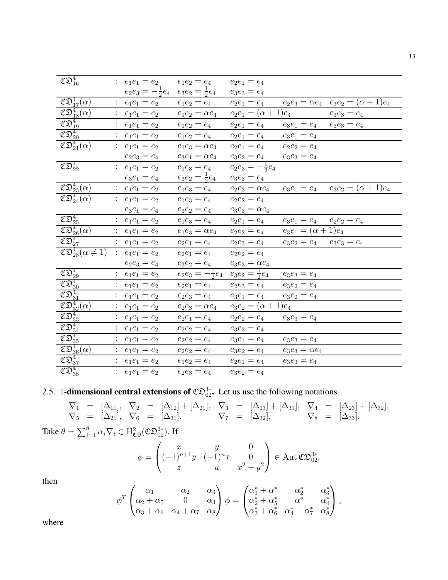| $\mathfrak{CD}_{16}^4$                               | : $e_1e_1 = e_2$ $e_1e_2 = e_4$                  |                          | $e_2e_1 = e_4$                |                               |                                                                 |
|------------------------------------------------------|--------------------------------------------------|--------------------------|-------------------------------|-------------------------------|-----------------------------------------------------------------|
|                                                      | $e_2e_3=-\frac{1}{2}e_4$ $e_3e_2=\frac{1}{2}e_4$ |                          | $e_3e_3 = e_4$                |                               |                                                                 |
| $\overline{\mathfrak{CD}}_{17}^4(\alpha)$            | : $e_1e_1 = e_2$                                 | $e_1e_2 = e_4$           | $e_2e_1 = e_4$                |                               | $e_2e_3 = \alpha e_4$ $e_3e_2 = (\alpha + 1)e_4$                |
| $\overline{\mathfrak{CD}^4_{18}(\alpha)}$            | : $e_1e_1 = e_2$                                 | $e_1e_2=\alpha e_4$      | $e_2e_1 = (\alpha + 1)e_4$    |                               | $e_3e_3=e_4$                                                    |
| $\overline{\mathfrak{CD}_{19}^4}$                    | : $e_1e_1 = e_2$                                 | $e_1e_2 = e_4$           | $e_2e_1 = e_4$                | $e_3e_1 = e_4$ $e_3e_3 = e_4$ |                                                                 |
| $\overline{\mathfrak{C}\mathfrak{D}_{20}^4}$         | : $e_1e_1 = e_2$                                 | $e_1e_2 = e_4$           | $e_2e_1 = e_4$                | $e_3e_1 = e_4$                |                                                                 |
| $\overline{\mathfrak{C}\mathfrak{D}^4_{21}(\alpha)}$ | : $e_1e_1 = e_2$                                 | $e_1e_3=\alpha e_4$      | $e_2e_1 = e_4$                | $e_2e_2 = e_4$                |                                                                 |
|                                                      | $e_2e_3 = e_4$                                   | $e_3e_1 = \alpha e_4$    | $e_3e_2 = e_4$                | $e_3e_3 = e_4$                |                                                                 |
| $\mathfrak{CD}_{22}^4$                               | : $e_1e_1 = e_2$                                 | $e_1e_3 = e_4$           | $e_2e_3=-\frac{1}{2}e_4$      |                               |                                                                 |
|                                                      | $e_3e_1 = e_4$                                   | $e_3e_2=\frac{1}{2}e_4$  | $e_3e_3=e_4$                  |                               |                                                                 |
| $\mathfrak{CD}_{23}^4(\alpha)$                       | : $e_1e_1 = e_2$                                 | $e_1e_3 = e_4$           |                               |                               | $e_2e_3 = \alpha e_4$ $e_3e_1 = e_4$ $e_3e_2 = (\alpha + 1)e_4$ |
| $\mathfrak{CD}_{24}^4(\alpha)$                       | : $e_1e_1 = e_2$                                 | $e_1e_3 = e_4$           | $e_2e_2 = e_4$                |                               |                                                                 |
|                                                      | $e_3e_1 = e_4$                                   | $e_3e_2 = e_4$           | $e_3e_3=\alpha e_4$           |                               |                                                                 |
| $\mathfrak{CD}_{25}^4$                               | : $e_1e_1 = e_2$                                 | $e_1e_3=e_4$             | $e_2e_1 = e_4$                | $e_3e_1 = e_4$ $e_2e_2 = e_4$ |                                                                 |
| $\mathfrak{CD}_{26}^4(\alpha)$                       | : $e_1e_1 = e_2$                                 | $e_1e_3 = \alpha e_4$    | $e_2e_2 = e_4$                | $e_3e_1 = (\alpha + 1)e_4$    |                                                                 |
| $\overline{\mathfrak{C}\mathfrak{D}^4_{27}}$         | : $e_1e_1 = e_2$                                 | $e_2e_1 = e_4$           | $e_2e_3 = e_4$                | $e_3e_2=e_4$                  | $e_3e_3=e_4$                                                    |
| $\mathfrak{CD}_{28}^4(\alpha \neq 1)$                | $e_1e_1 = e_2$                                   | $e_2e_1 = e_4$           | $e_2e_2 = e_4$                |                               |                                                                 |
|                                                      | $e_2e_3 = e_4$                                   | $e_3e_2 = e_4$           | $e_3e_3=\alpha e_4$           |                               |                                                                 |
| $\mathfrak{CD}_{29}^4$                               | : $e_1e_1 = e_2$                                 | $e_2e_3=-\frac{1}{2}e_4$ | $e_3e_2=\frac{1}{2}e_4$       | $e_3e_3 = e_4$                |                                                                 |
| $\mathfrak{CD}^4_{30}$                               | : $e_1e_1 = e_2$                                 | $e_2e_1 = e_4$           | $e_2e_3 = e_4$ $e_3e_2 = e_4$ |                               |                                                                 |
| $\mathfrak{CD}_{31}^4$                               | : $e_1e_1 = e_2$                                 | $e_2e_3 = e_4$           | $e_3e_1 = e_4$                | $e_3e_2 = e_4$                |                                                                 |
| $\overline{\mathfrak{C}\mathfrak{D}^4_{32}(\alpha)}$ | : $e_1e_1 = e_2$                                 | $e_2e_3 = \alpha e_4$    | $e_3e_2 = (\alpha + 1)e_4$    |                               |                                                                 |
| $\overline{\mathfrak{CD}_{33}^4}$                    | : $e_1e_1 = e_2$                                 | $e_2e_1 = e_4$           | $e_2e_2 = e_4$                | $e_3e_3=e_4$                  |                                                                 |
| $\mathfrak{CD}_{34}^4$                               | : $e_1e_1 = e_2$                                 | $e_2e_2 = e_4$           | $e_3e_3=e_4$                  |                               |                                                                 |
| $\overline{\mathfrak{CD}^4_{35}}$                    | $e_1e_1 = e_2$                                   | $e_2e_2 = e_4$           | $e_3e_1 = e_4$                | $e_3e_3=e_4$                  |                                                                 |
| $\overline{\mathfrak{C}\mathfrak{D}^4_{36}(\alpha)}$ | : $e_1e_1 = e_2$                                 | $e_2e_2 = e_4$           | $e_3e_2=e_4$                  | $e_3e_3=\alpha e_4$           |                                                                 |
| $\mathfrak{CD}^4_{37}$                               | : $e_1e_1 = e_2$                                 | $e_1e_2 = e_4$           | $e_2e_1 = e_4$                | $e_3e_3 = e_4$                |                                                                 |
| $\overline{\mathfrak{CD}^4_{38}}$                    | : $e_1e_1 = e_2$                                 | $e_2e_3=e_4$             | $e_3e_2=e_4$                  |                               |                                                                 |

# 2.5. 1-dimensional central extensions of  $\mathfrak{CD}_{02}^{3*}$ . Let us use the following notations

$$
\nabla_1 = [\Delta_{11}], \nabla_2 = [\Delta_{12}] + [\Delta_{21}], \nabla_3 = [\Delta_{13}] + [\Delta_{31}], \nabla_4 = [\Delta_{23}] + [\Delta_{32}],
$$
  
\n
$$
\nabla_5 = [\Delta_{21}], \nabla_6 = [\Delta_{31}], \nabla_7 = [\Delta_{32}], \nabla_8 = [\Delta_{33}].
$$

Take  $\theta = \sum_{i=1}^{8} \alpha_i \nabla_i \in \mathrm{H}_{\mathfrak{C} \mathfrak{D}}^2(\mathfrak{C} \mathfrak{D}_{02}^{3*}).$  If

$$
\phi = \begin{pmatrix} x & y & 0 \\ (-1)^{n+1}y & (-1)^n x & 0 \\ z & u & x^2 + y^2 \end{pmatrix} \in \text{Aut } \mathfrak{CD}_{02}^{3*},
$$

then

$$
\phi^T \begin{pmatrix} \alpha_1 & \alpha_2 & \alpha_3 \\ \alpha_2 + \alpha_5 & 0 & \alpha_4 \\ \alpha_3 + \alpha_6 & \alpha_4 + \alpha_7 & \alpha_8 \end{pmatrix} \phi = \begin{pmatrix} \alpha_1^* + \alpha^* & \alpha_2^* & \alpha_3^* \\ \alpha_2^* + \alpha_5^* & \alpha^* & \alpha_4^* \\ \alpha_3^* + \alpha_6^* & \alpha_4^* + \alpha_7^* & \alpha_8^* \end{pmatrix},
$$

where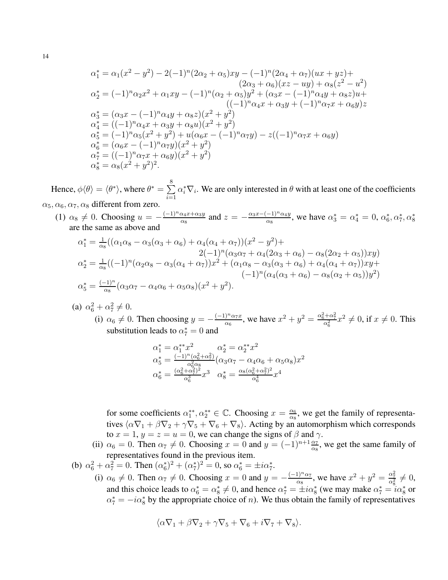$$
\alpha_1^* = \alpha_1(x^2 - y^2) - 2(-1)^n(2\alpha_2 + \alpha_5)xy - (-1)^n(2\alpha_4 + \alpha_7)(ux + yz) + (2\alpha_3 + \alpha_6)(xz - uy) + \alpha_8(z^2 - u^2) \n\alpha_2^* = (-1)^n\alpha_2x^2 + \alpha_1xy - (-1)^n(\alpha_2 + \alpha_5)y^2 + (\alpha_3x - (-1)^n\alpha_4y + \alpha_8z)u + ((-1)^n\alpha_4x + \alpha_3y + (-1)^n\alpha_7x + \alpha_6y)z \n\alpha_3^* = (\alpha_3x - (-1)^n\alpha_4y + \alpha_8z)(x^2 + y^2) \n\alpha_4^* = ((-1)^n\alpha_4x + \alpha_3y + \alpha_8u)(x^2 + y^2) \n\alpha_5^* = (-1)^n\alpha_5(x^2 + y^2) + u(\alpha_6x - (-1)^n\alpha_7y) - z((-1)^n\alpha_7x + \alpha_6y) \n\alpha_6^* = (\alpha_6x - (-1)^n\alpha_7y)(x^2 + y^2) \n\alpha_7^* = ((-1)^n\alpha_7x + \alpha_6y)(x^2 + y^2) \n\alpha_8^* = \alpha_8(x^2 + y^2)^2.
$$

Hence,  $\phi \langle \theta \rangle = \langle \theta^* \rangle$ , where  $\theta^* = \sum_i$ 8  $\frac{i=1}{i}$  $\alpha_i^* \nabla_i$ . We are only interested in  $\theta$  with at least one of the coefficients  $\alpha_5, \alpha_6, \alpha_7, \alpha_8$  different from zero.

(1)  $\alpha_8 \neq 0$ . Choosing  $u = -\frac{(-1)^n \alpha_4 x + \alpha_3 y}{\alpha_8}$  and  $z = -\frac{\alpha_3 x - (-1)^n \alpha_4 y}{\alpha_8}$ , we have  $\alpha_3^* = \alpha_4^* = 0$ ,  $\alpha_6^*, \alpha_7^*, \alpha_8^*$ are the same as above and

$$
\alpha_1^* = \frac{1}{\alpha_8} ((\alpha_1 \alpha_8 - \alpha_3(\alpha_3 + \alpha_6) + \alpha_4(\alpha_4 + \alpha_7))(x^2 - y^2) + 2(-1)^n (\alpha_3 \alpha_7 + \alpha_4(2\alpha_3 + \alpha_6) - \alpha_8(2\alpha_2 + \alpha_5))xy)
$$
  
\n
$$
\alpha_2^* = \frac{1}{\alpha_8} ((-1)^n (\alpha_2 \alpha_8 - \alpha_3(\alpha_4 + \alpha_7))x^2 + (\alpha_1 \alpha_8 - \alpha_3(\alpha_3 + \alpha_6) + \alpha_4(\alpha_4 + \alpha_7))xy + (-1)^n (\alpha_4(\alpha_3 + \alpha_6) - \alpha_8(\alpha_2 + \alpha_5))y^2)
$$
  
\n
$$
\alpha_5^* = \frac{(-1)^n}{\alpha_8} (\alpha_3 \alpha_7 - \alpha_4 \alpha_6 + \alpha_5 \alpha_8)(x^2 + y^2).
$$

(a)  $\alpha_6^2 + \alpha_7^2 \neq 0$ .

(i)  $\alpha_6 \neq 0$ . Then choosing  $y = -\frac{(-1)^n \alpha_7 x}{\alpha_6}$ , we have  $x^2 + y^2 = \frac{\alpha_6^2 + \alpha_7^2}{\alpha_6^2} x^2 \neq 0$ , if  $x \neq 0$ . This substitution leads to  $\alpha_7^* = 0$  and

$$
\alpha_1^* = \alpha_1^{**} x^2 \qquad \alpha_2^* = \alpha_2^{**} x^2
$$
  
\n
$$
\alpha_5^* = \frac{(-1)^n (\alpha_6^2 + \alpha_7^2)}{\alpha_6^2 \alpha_8} (\alpha_3 \alpha_7 - \alpha_4 \alpha_6 + \alpha_5 \alpha_8) x^2
$$
  
\n
$$
\alpha_6^* = \frac{(\alpha_6^2 + \alpha_7^2)^2}{\alpha_6^3} x^3 \qquad \alpha_8^* = \frac{\alpha_8 (\alpha_6^2 + \alpha_7^2)^2}{\alpha_6^4} x^4
$$

for some coefficients  $\alpha_1^{**}, \alpha_2^{**} \in \mathbb{C}$ . Choosing  $x = \frac{\alpha_6}{\alpha_8}$  $\frac{\alpha_6}{\alpha_8}$ , we get the family of representatives  $\langle \alpha \nabla_1 + \beta \nabla_2 + \gamma \nabla_5 + \nabla_6 + \nabla_8 \rangle$ . Acting by an automorphism which corresponds to  $x = 1$ ,  $y = z = u = 0$ , we can change the signs of  $\beta$  and  $\gamma$ .

- (ii)  $\alpha_6 = 0$ . Then  $\alpha_7 \neq 0$ . Choosing  $x = 0$  and  $y = (-1)^{n+1} \frac{\alpha_7}{\alpha_8}$ , we get the same family of representatives found in the previous item.
- (b)  $\alpha_6^2 + \alpha_7^2 = 0$ . Then  $(\alpha_6^*)^2 + (\alpha_7^*)^2 = 0$ , so  $\alpha_6^* = \pm i \alpha_7^*$ .
	- (i)  $\alpha_6 \neq 0$ . Then  $\alpha_7 \neq 0$ . Choosing  $x = 0$  and  $y = -\frac{(-1)^n \alpha_7}{\alpha_8}$ , we have  $x^2 + y^2 = \frac{\alpha_7^2}{\alpha_8^2} \neq 0$ , and this choice leads to  $\alpha_6^* = \alpha_8^* \neq 0$ , and hence  $\alpha_7^* = \pm i \alpha_8^*$  (we may make  $\alpha_7^* = i \alpha_8^*$  or  $\alpha_7^* = -i\alpha_8^*$  by the appropriate choice of *n*). We thus obtain the family of representatives

$$
\langle \alpha \nabla_1 + \beta \nabla_2 + \gamma \nabla_5 + \nabla_6 + i \nabla_7 + \nabla_8 \rangle.
$$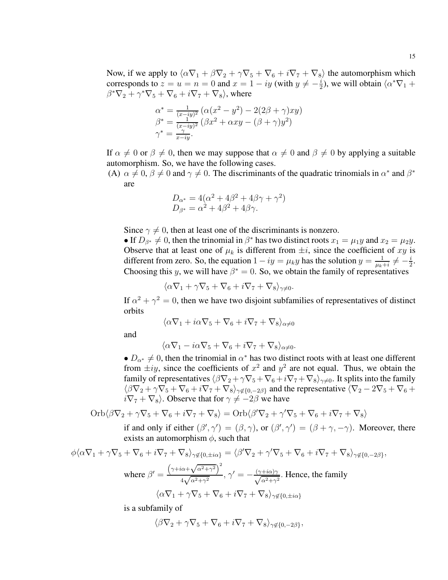Now, if we apply to  $\langle \alpha \nabla_1 + \beta \nabla_2 + \gamma \nabla_5 + \nabla_6 + i \nabla_7 + \nabla_8 \rangle$  the automorphism which corresponds to  $z = u = n = 0$  and  $x = 1 - iy$  (with  $y \neq -\frac{i}{2}$  $\frac{i}{2}$ ), we will obtain  $\langle \alpha^* \nabla_1 +$  $\beta^* \nabla_2 + \gamma^* \nabla_5 + \nabla_6 + i \nabla_7 + \nabla_8$ , where

$$
\alpha^* = \frac{1}{(x-iy)^2} \left( \alpha (x^2 - y^2) - 2(2\beta + \gamma)xy \right)
$$
  

$$
\beta^* = \frac{1}{(x-iy)^2} \left( \beta x^2 + \alpha xy - (\beta + \gamma)y^2 \right)
$$
  

$$
\gamma^* = \frac{\gamma}{x-iy}.
$$

If  $\alpha \neq 0$  or  $\beta \neq 0$ , then we may suppose that  $\alpha \neq 0$  and  $\beta \neq 0$  by applying a suitable automorphism. So, we have the following cases.

(A)  $\alpha \neq 0$ ,  $\beta \neq 0$  and  $\gamma \neq 0$ . The discriminants of the quadratic trinomials in  $\alpha^*$  and  $\beta^*$ are

$$
D_{\alpha^*} = 4(\alpha^2 + 4\beta^2 + 4\beta\gamma + \gamma^2) D_{\beta^*} = \alpha^2 + 4\beta^2 + 4\beta\gamma.
$$

Since  $\gamma \neq 0$ , then at least one of the discriminants is nonzero.

• If  $D_{\beta^*} \neq 0$ , then the trinomial in  $\beta^*$  has two distinct roots  $x_1 = \mu_1 y$  and  $x_2 = \mu_2 y$ . Observe that at least one of  $\mu_k$  is different from  $\pm i$ , since the coefficient of xy is different from zero. So, the equation  $1 - iy = \mu_k y$  has the solution  $y = \frac{1}{\mu_k y}$  $\frac{1}{\mu_k+i} \neq -\frac{i}{2}$  $\frac{i}{2}$ . Choosing this y, we will have  $\beta^* = 0$ . So, we obtain the family of representatives

 $\langle \alpha \nabla_1 + \gamma \nabla_5 + \nabla_6 + i \nabla_7 + \nabla_8 \rangle_{\gamma \neq 0}.$ 

If  $\alpha^2 + \gamma^2 = 0$ , then we have two disjoint subfamilies of representatives of distinct orbits

$$
\langle \alpha \nabla_1 + i \alpha \nabla_5 + \nabla_6 + i \nabla_7 + \nabla_8 \rangle_{\alpha \neq 0}
$$

and

$$
\langle \alpha \nabla_1 - i \alpha \nabla_5 + \nabla_6 + i \nabla_7 + \nabla_8 \rangle_{\alpha \neq 0}.
$$

•  $D_{\alpha^*} \neq 0$ , then the trinomial in  $\alpha^*$  has two distinct roots with at least one different from  $\pm iy$ , since the coefficients of  $x^2$  and  $y^2$  are not equal. Thus, we obtain the family of representatives  $\langle \beta \nabla_2 + \gamma \nabla_5 + \nabla_6 + i \nabla_7 + \nabla_8 \rangle_{\gamma \neq 0}$ . It splits into the family  $\sqrt{\beta V_2 + \gamma V_5 + V_6 + iV_7 + V_8}$   $\gamma_{\neq 0, -2\beta}$  and the representative  $\sqrt{V_2 - 2V_5 + V_6 + V_9}$  $i\nabla_7 + \nabla_8$ ). Observe that for  $\gamma \neq -2\beta$  we have

$$
\mathrm{Orb}\langle \beta \nabla_2 + \gamma \nabla_5 + \nabla_6 + i \nabla_7 + \nabla_8 \rangle = \mathrm{Orb}\langle \beta' \nabla_2 + \gamma' \nabla_5 + \nabla_6 + i \nabla_7 + \nabla_8 \rangle
$$

if and only if either  $(\beta', \gamma') = (\beta, \gamma)$ , or  $(\beta', \gamma') = (\beta + \gamma, -\gamma)$ . Moreover, there exists an automorphism  $\phi$ , such that

$$
\phi \langle \alpha \nabla_1 + \gamma \nabla_5 + \nabla_6 + i \nabla_7 + \nabla_8 \rangle_{\gamma \notin \{0, \pm i\alpha\}} = \langle \beta' \nabla_2 + \gamma' \nabla_5 + \nabla_6 + i \nabla_7 + \nabla_8 \rangle_{\gamma \notin \{0, -2\beta\}},
$$
  
where  $\beta' = \frac{(\gamma + i\alpha + \sqrt{\alpha^2 + \gamma^2})^2}{4\sqrt{\alpha^2 + \gamma^2}}, \gamma' = -\frac{(\gamma + i\alpha)\gamma}{\sqrt{\alpha^2 + \gamma^2}}.$  Hence, the family  

$$
\langle \alpha \nabla_1 + \gamma \nabla_5 + \nabla_6 + i \nabla_7 + \nabla_8 \rangle_{\gamma \notin \{0, \pm i\alpha\}}
$$

is a subfamily of

$$
\langle \beta \nabla_2 + \gamma \nabla_5 + \nabla_6 + i \nabla_7 + \nabla_8 \rangle_{\gamma \notin \{0, -2\beta\}},
$$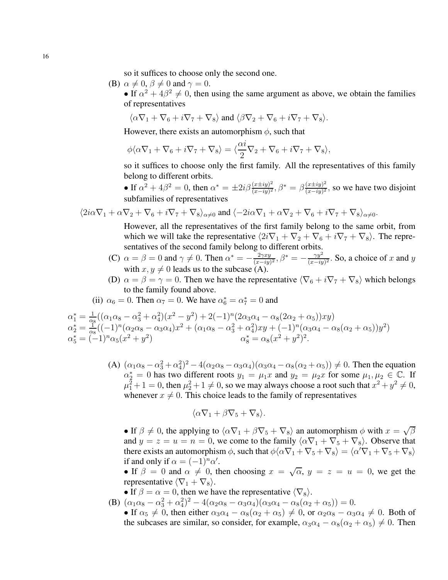so it suffices to choose only the second one.

(B)  $\alpha \neq 0$ ,  $\beta \neq 0$  and  $\gamma = 0$ .

• If  $\alpha^2 + 4\beta^2 \neq 0$ , then using the same argument as above, we obtain the families of representatives

$$
\langle \alpha \nabla_1 + \nabla_6 + i \nabla_7 + \nabla_8 \rangle
$$
 and  $\langle \beta \nabla_2 + \nabla_6 + i \nabla_7 + \nabla_8 \rangle$ .

However, there exists an automorphism  $\phi$ , such that

$$
\phi \langle \alpha \nabla_1 + \nabla_6 + i \nabla_7 + \nabla_8 \rangle = \langle \frac{\alpha i}{2} \nabla_2 + \nabla_6 + i \nabla_7 + \nabla_8 \rangle,
$$

so it suffices to choose only the first family. All the representatives of this family belong to different orbits.

• If  $\alpha^2 + 4\beta^2 = 0$ , then  $\alpha^* = \pm 2i\beta \frac{(x \pm iy)^2}{(x - iy)^2}$  $\frac{(x\pm iy)^2}{(x-iy)^2}, \beta^* = \beta \frac{(x\pm iy)^2}{(x-iy)^2}$  $\frac{(x \pm iy)^2}{(x-iy)^2}$ , so we have two disjoint subfamilies of representatives

$$
\langle 2i\alpha \nabla_1 + \alpha \nabla_2 + \nabla_6 + i \nabla_7 + \nabla_8 \rangle_{\alpha \neq 0} \text{ and } \langle -2i\alpha \nabla_1 + \alpha \nabla_2 + \nabla_6 + i \nabla_7 + \nabla_8 \rangle_{\alpha \neq 0}.
$$

However, all the representatives of the first family belong to the same orbit, from which we will take the representative  $\langle 2i\nabla_1 + \nabla_2 + \nabla_6 + i\nabla_7 + \nabla_8 \rangle$ . The representatives of the second family belong to different orbits.

- (C)  $\alpha = \beta = 0$  and  $\gamma \neq 0$ . Then  $\alpha^* = -\frac{2\gamma xy}{(x iy)}$  $\frac{2\gamma xy}{(x-iy)^2}, \beta^* = -\frac{\gamma y^2}{(x-iy)^2}$  $\frac{\gamma y^2}{(x-iy)^2}$ . So, a choice of x and y with  $x, y \neq 0$  leads us to the subcase (A).
- (D)  $\alpha = \beta = \gamma = 0$ . Then we have the representative  $\langle \nabla_6 + i\nabla_7 + \nabla_8 \rangle$  which belongs to the family found above.
- (ii)  $\alpha_6 = 0$ . Then  $\alpha_7 = 0$ . We have  $\alpha_6^* = \alpha_7^* = 0$  and

$$
\alpha_1^* = \frac{1}{\alpha_8} ((\alpha_1 \alpha_8 - \alpha_3^2 + \alpha_4^2)(x^2 - y^2) + 2(-1)^n (2\alpha_3 \alpha_4 - \alpha_8 (2\alpha_2 + \alpha_5))xy)
$$
  
\n
$$
\alpha_2^* = \frac{1}{\alpha_8} ((-1)^n (\alpha_2 \alpha_8 - \alpha_3 \alpha_4) x^2 + (\alpha_1 \alpha_8 - \alpha_3^2 + \alpha_4^2) xy + (-1)^n (\alpha_3 \alpha_4 - \alpha_8 (\alpha_2 + \alpha_5)) y^2)
$$
  
\n
$$
\alpha_5^* = (-1)^n \alpha_5 (x^2 + y^2)
$$
  
\n
$$
\alpha_6^* = \alpha_8 (x^2 + y^2)^2.
$$

(A)  $(\alpha_1\alpha_8 - \alpha_3^2 + \alpha_4^2)^2 - 4(\alpha_2\alpha_8 - \alpha_3\alpha_4)(\alpha_3\alpha_4 - \alpha_8(\alpha_2 + \alpha_5)) \neq 0$ . Then the equation  $\alpha_2^* = 0$  has two different roots  $y_1 = \mu_1 x$  and  $y_2 = \mu_2 x$  for some  $\mu_1, \mu_2 \in \mathbb{C}$ . If  $\mu_1^2 + 1 = 0$ , then  $\mu_2^2 + 1 \neq 0$ , so we may always choose a root such that  $x^2 + y^2 \neq 0$ , whenever  $x \neq 0$ . This choice leads to the family of representatives

$$
\langle \alpha \nabla_1 + \beta \nabla_5 + \nabla_8 \rangle.
$$

• If  $\beta \neq 0$ , the applying to  $\langle \alpha \nabla_1 + \beta \nabla_5 + \nabla_8 \rangle$  an automorphism  $\phi$  with  $x = \sqrt{\beta}$ and  $y = z = u = n = 0$ , we come to the family  $\langle \alpha \nabla_1 + \nabla_5 + \nabla_8 \rangle$ . Observe that there exists an automorphism  $\phi$ , such that  $\phi \langle \alpha \nabla_1 + \nabla_5 + \nabla_8 \rangle = \langle \alpha' \nabla_1 + \nabla_5 + \nabla_8 \rangle$ if and only if  $\alpha = (-1)^n \alpha'$ .

• If  $\beta = 0$  and  $\alpha \neq 0$ , then choosing  $x = \sqrt{\alpha}$ ,  $y = z = u = 0$ , we get the representative  $\langle \nabla_1 + \nabla_8 \rangle$ .

- If  $\beta = \alpha = 0$ , then we have the representative  $\langle \nabla_8 \rangle$ .
- (B)  $(\alpha_1 \alpha_8 \alpha_3^2 + \alpha_4^2)^2 4(\alpha_2 \alpha_8 \alpha_3 \alpha_4)(\alpha_3 \alpha_4 \alpha_8(\alpha_2 + \alpha_5)) = 0.$ 
	- If  $\alpha_5 \neq 0$ , then either  $\alpha_3 \alpha_4 \alpha_8(\alpha_2 + \alpha_5) \neq 0$ , or  $\alpha_2 \alpha_8 \alpha_3 \alpha_4 \neq 0$ . Both of the subcases are similar, so consider, for example,  $\alpha_3\alpha_4 - \alpha_8(\alpha_2 + \alpha_5) \neq 0$ . Then

16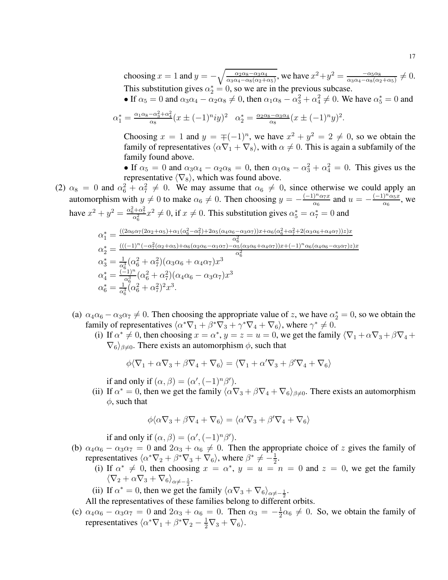choosing  $x = 1$  and  $y = -\sqrt{\frac{\alpha_2 \alpha_8 - \alpha_3 \alpha_4}{\alpha_3 \alpha_4 - \alpha_8 (\alpha_2 + \alpha_4)}}$  $\frac{\alpha_2 \alpha_8 - \alpha_3 \alpha_4}{\alpha_3 \alpha_4 - \alpha_8(\alpha_2 + \alpha_5)}$ , we have  $x^2 + y^2 = \frac{-\alpha_5 \alpha_8}{\alpha_3 \alpha_4 - \alpha_8(\alpha_2 + \alpha_4)}$  $\frac{-\alpha_5\alpha_8}{\alpha_3\alpha_4-\alpha_8(\alpha_2+\alpha_5)}\neq 0.$ This substitution gives  $\alpha_2^* = 0$ , so we are in the previous subcase.

• If  $\alpha_5 = 0$  and  $\alpha_3 \alpha_4 - \alpha_2 \alpha_8 \neq 0$ , then  $\alpha_1 \alpha_8 - \alpha_3^2 + \alpha_4^2 \neq 0$ . We have  $\alpha_5^* = 0$  and

.

$$
\alpha_1^* = \frac{\alpha_1 \alpha_8 - \alpha_3^2 + \alpha_4^2}{\alpha_8} (x \pm (-1)^n iy)^2 \quad \alpha_2^* = \frac{\alpha_2 \alpha_8 - \alpha_3 \alpha_4}{\alpha_8} (x \pm (-1)^n y)^2
$$

Choosing  $x = 1$  and  $y = \pm (-1)^n$ , we have  $x^2 + y^2 = 2 \neq 0$ , so we obtain the family of representatives  $\langle \alpha \nabla_1 + \nabla_8 \rangle$ , with  $\alpha \neq 0$ . This is again a subfamily of the family found above.

• If  $\alpha_5 = 0$  and  $\alpha_3 \alpha_4 - \alpha_2 \alpha_8 = 0$ , then  $\alpha_1 \alpha_8 - \alpha_3^2 + \alpha_4^2 = 0$ . This gives us the representative  $\langle \nabla_8 \rangle$ , which was found above.

(2)  $\alpha_8 = 0$  and  $\alpha_6^2 + \alpha_7^2 \neq 0$ . We may assume that  $\alpha_6 \neq 0$ , since otherwise we could apply an automorphism with  $y \neq 0$  to make  $\alpha_6 \neq 0$ . Then choosing  $y = -\frac{(-1)^n \alpha_7 x}{\alpha_6}$  and  $u = -\frac{(-1)^n \alpha_5 x}{\alpha_6}$ , we have  $x^2 + y^2 = \frac{\alpha_6^2 + \alpha_7^2}{\alpha_6^2} x^2 \neq 0$ , if  $x \neq 0$ . This substitution gives  $\alpha_5^* = \alpha_7^* = 0$  and

$$
\alpha_1^* = \frac{((2\alpha_6\alpha_7(2\alpha_2 + \alpha_5) + \alpha_1(\alpha_6^2 - \alpha_7^2) + 2\alpha_5(\alpha_4\alpha_6 - \alpha_3\alpha_7))x + \alpha_6(\alpha_6^2 + \alpha_7^2 + 2(\alpha_3\alpha_6 + \alpha_4\alpha_7))z)x}{\alpha_6^2}
$$
\n
$$
\alpha_2^* = \frac{(((-1)^n(-\alpha_7^2(\alpha_2 + \alpha_5) + \alpha_6(\alpha_2\alpha_6 - \alpha_1\alpha_7) - \alpha_5(\alpha_3\alpha_6 + \alpha_4\alpha_7))x + (-1)^n\alpha_6(\alpha_4\alpha_6 - \alpha_3\alpha_7)z)x}{\alpha_6^2}
$$
\n
$$
\alpha_3^* = \frac{1}{\alpha_6^3}(\alpha_6^2 + \alpha_7^2)(\alpha_3\alpha_6 + \alpha_4\alpha_7)x^3
$$
\n
$$
\alpha_4^* = \frac{(-1)^n}{\alpha_6^3}(\alpha_6^2 + \alpha_7^2)(\alpha_4\alpha_6 - \alpha_3\alpha_7)x^3
$$
\n
$$
\alpha_6^* = \frac{1}{\alpha_6^3}(\alpha_6^2 + \alpha_7^2)^2x^3.
$$

- (a)  $\alpha_4 \alpha_6 \alpha_3 \alpha_7 \neq 0$ . Then choosing the appropriate value of z, we have  $\alpha_2^* = 0$ , so we obtain the family of representatives  $\langle \alpha^* \nabla_1 + \beta^* \nabla_3 + \gamma^* \nabla_4 + \nabla_6 \rangle$ , where  $\gamma^* \neq 0$ .
	- (i) If  $\alpha^* \neq 0$ , then choosing  $x = \alpha^*$ ,  $y = z = u = 0$ , we get the family  $\langle \nabla_1 + \alpha \nabla_3 + \beta \nabla_4 + \alpha \nabla_5 \rangle$  $\nabla_6\rangle_{\beta\neq0}$ . There exists an automorphism  $\phi$ , such that

$$
\phi \langle \nabla_1 + \alpha \nabla_3 + \beta \nabla_4 + \nabla_6 \rangle = \langle \nabla_1 + \alpha' \nabla_3 + \beta' \nabla_4 + \nabla_6 \rangle
$$

if and only if  $(\alpha, \beta) = (\alpha', (-1)^n \beta').$ 

(ii) If  $\alpha^* = 0$ , then we get the family  $\langle \alpha \nabla_3 + \beta \nabla_4 + \nabla_6 \rangle_{\beta \neq 0}$ . There exists an automorphism  $\phi$ , such that

$$
\phi \langle \alpha \nabla_3 + \beta \nabla_4 + \nabla_6 \rangle = \langle \alpha' \nabla_3 + \beta' \nabla_4 + \nabla_6 \rangle
$$

if and only if  $(\alpha, \beta) = (\alpha', (-1)^n \beta')$ .

- (b)  $\alpha_4\alpha_6 \alpha_3\alpha_7 = 0$  and  $2\alpha_3 + \alpha_6 \neq 0$ . Then the appropriate choice of z gives the family of representatives  $\langle \alpha^* \nabla_2 + \beta^* \nabla_3 + \nabla_6 \rangle$ , where  $\beta^* \neq -\frac{1}{2}$  $\frac{1}{2}$ .
	- (i) If  $\alpha^* \neq 0$ , then choosing  $x = \alpha^*$ ,  $y = u = n = 0$  and  $z = 0$ , we get the family  $\langle \nabla_2 + \alpha \nabla_3 + \nabla_6 \rangle_{\alpha \neq -\frac{1}{2}}.$
	- (ii) If  $\alpha^* = 0$ , then we get the family  $\langle \alpha \nabla_3 + \nabla_6 \rangle_{\alpha \neq -\frac{1}{2}}$ .

All the representatives of these families belong to different orbits.

(c)  $\alpha_4\alpha_6 - \alpha_3\alpha_7 = 0$  and  $2\alpha_3 + \alpha_6 = 0$ . Then  $\alpha_3 = -\frac{1}{2}$  $\frac{1}{2}\alpha_6 \neq 0$ . So, we obtain the family of representatives  $\langle \alpha^* \nabla_1 + \beta^* \nabla_2 - \frac{1}{2} \nabla_3 + \nabla_6 \rangle$ .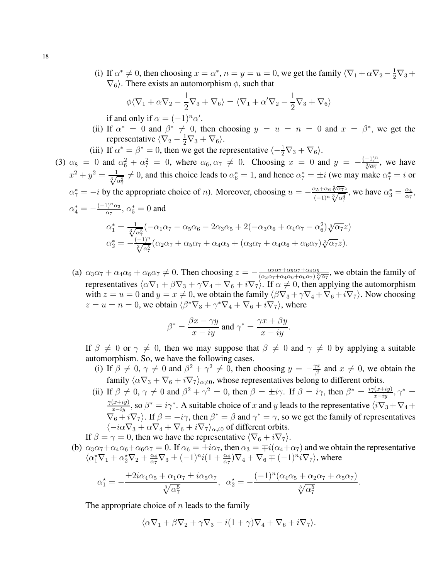(i) If  $\alpha^* \neq 0$ , then choosing  $x = \alpha^*$ ,  $n = y = u = 0$ , we get the family  $\langle \nabla_1 + \alpha \nabla_2 - \frac{1}{2} \nabla_3 +$  $\nabla_6$ ). There exists an automorphism  $\phi$ , such that

$$
\phi \langle \nabla_1 + \alpha \nabla_2 - \frac{1}{2} \nabla_3 + \nabla_6 \rangle = \langle \nabla_1 + \alpha' \nabla_2 - \frac{1}{2} \nabla_3 + \nabla_6 \rangle
$$

if and only if  $\alpha = (-1)^n \alpha'$ .

- (ii) If  $\alpha^* = 0$  and  $\beta^* \neq 0$ , then choosing  $y = u = n = 0$  and  $x = \beta^*$ , we get the representative  $\langle \nabla_2 - \frac{1}{2} \nabla_3 + \nabla_6 \rangle$ .
- (iii) If  $\alpha^* = \beta^* = 0$ , then we get the representative  $\langle -\frac{1}{2}\nabla_3 + \nabla_6 \rangle$ .
- (3)  $\alpha_8 = 0$  and  $\alpha_6^2 + \alpha_7^2 = 0$ , where  $\alpha_6, \alpha_7 \neq 0$ . Choosing  $x = 0$  and  $y = -\frac{(-1)^n}{\sqrt[n]{\alpha_7}}$ , we have  $x^2 + y^2 = \frac{1}{\sqrt[3]{\alpha_7^2}} \neq 0$ , and this choice leads to  $\alpha_6^* = 1$ , and hence  $\alpha_7^* = \pm i$  (we may make  $\alpha_7^* = i$  or  $\alpha_7^* = -i$  by the appropriate choice of n). Moreover, choosing  $u = -\frac{\alpha_5 + \alpha_6 \sqrt[3]{\alpha_7}z}{(-1)^n \sqrt[3]{\alpha_7^4}}$  $\frac{\alpha_5 + \alpha_6 \sqrt[3]{\alpha_7 z}}{(-1)^n \sqrt[3]{\alpha_7^4}}$ , we have  $\alpha_3^* = \frac{\alpha_4}{\alpha_7}$  $\frac{\alpha_4}{\alpha_7},$  $\alpha_4^* = -\frac{(-1)^n \alpha_3}{\alpha_7}, \, \alpha_5^* = 0$  and  $\alpha_1^* = \frac{1}{\sqrt[3]{\alpha_7^5}} (-\alpha_1 \alpha_7 - \alpha_5 \alpha_6 - 2\alpha_3 \alpha_5 + 2(-\alpha_3 \alpha_6 + \alpha_4 \alpha_7 - \alpha_6^2) \sqrt[3]{\alpha_7} z)$  $\alpha_2^* = -\frac{(-1)^n}{\sqrt[3]{\alpha_7^5}}(\alpha_2\alpha_7 + \alpha_5\alpha_7 + \alpha_4\alpha_5 + (\alpha_3\alpha_7 + \alpha_4\alpha_6 + \alpha_6\alpha_7)\sqrt[3]{\alpha_7}z).$ 
	- (a)  $\alpha_3\alpha_7 + \alpha_4\alpha_6 + \alpha_6\alpha_7 \neq 0$ . Then choosing  $z = -\frac{\alpha_2\alpha_7 + \alpha_5\alpha_7 + \alpha_4\alpha_5}{(\alpha_3\alpha_7 + \alpha_4\alpha_6 + \alpha_6\alpha_7)\frac{3}{5}}$  $\frac{\alpha_2\alpha_7+\alpha_5\alpha_7+\alpha_4\alpha_5}{(\alpha_3\alpha_7+\alpha_4\alpha_6+\alpha_6\alpha_7)\sqrt[3]{\alpha_7}}$ , we obtain the family of representatives  $\langle \alpha \nabla_1 + \beta \nabla_3 + \gamma \nabla_4 + \nabla_6 + i \nabla_7 \rangle$ . If  $\alpha \neq 0$ , then applying the automorphism with  $z = u = 0$  and  $y = x \neq 0$ , we obtain the family  $\langle \beta \nabla_3 + \gamma \nabla_4 + \nabla_6 + i \nabla_7 \rangle$ . Now choosing  $z = u = n = 0$ , we obtain  $\langle \beta^* \nabla_3 + \gamma^* \nabla_4 + \nabla_6 + i \nabla_7 \rangle$ , where

$$
\beta^* = \frac{\beta x - \gamma y}{x - iy} \text{ and } \gamma^* = \frac{\gamma x + \beta y}{x - iy}.
$$

If  $\beta \neq 0$  or  $\gamma \neq 0$ , then we may suppose that  $\beta \neq 0$  and  $\gamma \neq 0$  by applying a suitable automorphism. So, we have the following cases.

- (i) If  $\beta \neq 0$ ,  $\gamma \neq 0$  and  $\beta^2 + \gamma^2 \neq 0$ , then choosing  $y = -\frac{\gamma x}{\beta}$  $\frac{\gamma x}{\beta}$  and  $x \neq 0$ , we obtain the family  $\langle \alpha \nabla_3 + \nabla_6 + i \nabla_7 \rangle_{\alpha \neq 0}$ , whose representatives belong to different orbits.
- (ii) If  $\beta \neq 0$ ,  $\gamma \neq 0$  and  $\beta^2 + \gamma^2 = 0$ , then  $\beta = \pm i\gamma$ . If  $\beta = i\gamma$ , then  $\beta^* = \frac{i\gamma(x+iy)}{x-iy}$ ,  $\gamma^* = \frac{i}{\gamma}$  $\frac{\gamma(x+iy)}{x-iy}$ , so  $\beta^* = i\gamma^*$ . A suitable choice of x and y leads to the representative  $\langle i\nabla_3+\nabla_4+\nabla_5\rangle$  $\nabla_6 + i\nabla_7$ . If  $\beta = -i\gamma$ , then  $\beta^* = \beta$  and  $\gamma^* = \gamma$ , so we get the family of representatives  $\langle -i\alpha\nabla_3 + \alpha\nabla_4 + \nabla_6 + i\nabla_7 \rangle_{\alpha\neq 0}$  of different orbits.

If  $\beta = \gamma = 0$ , then we have the representative  $\langle \nabla_6 + i\nabla_7 \rangle$ .

(b)  $\alpha_3\alpha_7+\alpha_4\alpha_6+\alpha_6\alpha_7=0$ . If  $\alpha_6=\pm i\alpha_7$ , then  $\alpha_3=\mp i(\alpha_4+\alpha_7)$  and we obtain the representative  $\langle \alpha_1^{\star}\nabla_1 + \alpha_2^{\star}\nabla_2 + \frac{\alpha_4}{\alpha_7}$  $\frac{\alpha_4}{\alpha_7}\nabla_3 \pm (-1)^n i(1+\frac{\alpha_4}{\alpha_7})\nabla_4 + \nabla_6 \mp (-1)^n i\nabla_7$ , where

$$
\alpha_1^* = -\frac{\pm 2i\alpha_4\alpha_5 + \alpha_1\alpha_7 \pm i\alpha_5\alpha_7}{\sqrt[3]{\alpha_7^5}}, \ \ \alpha_2^* = -\frac{(-1)^n(\alpha_4\alpha_5 + \alpha_2\alpha_7 + \alpha_5\alpha_7)}{\sqrt[3]{\alpha_7^5}}.
$$

The appropriate choice of  $n$  leads to the family

$$
\langle \alpha \nabla_1 + \beta \nabla_2 + \gamma \nabla_3 - i(1+\gamma) \nabla_4 + \nabla_6 + i \nabla_7 \rangle.
$$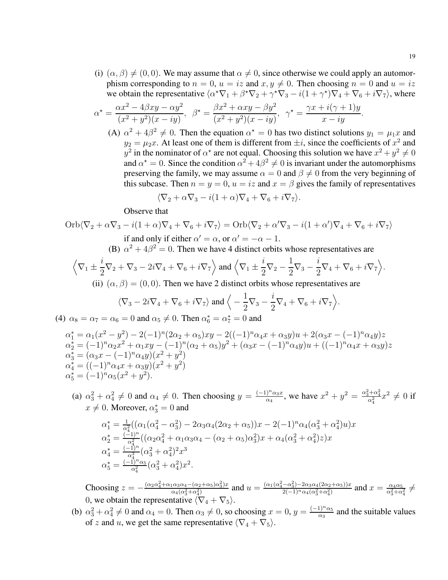(i)  $(\alpha, \beta) \neq (0, 0)$ . We may assume that  $\alpha \neq 0$ , since otherwise we could apply an automorphism corresponding to  $n = 0$ ,  $u = iz$  and  $x, y \neq 0$ . Then choosing  $n = 0$  and  $u = iz$ we obtain the representative  $\langle \alpha^* \nabla_1 + \beta^* \nabla_2 + \gamma^* \nabla_3 - i(1 + \gamma^*) \nabla_4 + \nabla_6 + i \nabla_7 \rangle$ , where

$$
\alpha^* = \frac{\alpha x^2 - 4\beta xy - \alpha y^2}{(x^2 + y^2)(x - iy)}, \ \ \beta^* = \frac{\beta x^2 + \alpha xy - \beta y^2}{(x^2 + y^2)(x - iy)}, \ \ \gamma^* = \frac{\gamma x + i(\gamma + 1)y}{x - iy}.
$$

(A)  $\alpha^2 + 4\beta^2 \neq 0$ . Then the equation  $\alpha^* = 0$  has two distinct solutions  $y_1 = \mu_1 x$  and  $y_2 = \mu_2 x$ . At least one of them is different from  $\pm i$ , since the coefficients of  $x^2$  and  $y^2$  in the nominator of  $\alpha^*$  are not equal. Choosing this solution we have  $x^2 + y^2 \neq 0$ and  $\alpha^* = 0$ . Since the condition  $\alpha^2 + 4\beta^2 \neq 0$  is invariant under the automorphisms preserving the family, we may assume  $\alpha = 0$  and  $\beta \neq 0$  from the very beginning of this subcase. Then  $n = y = 0$ ,  $u = iz$  and  $x = \beta$  gives the family of representatives

$$
\langle \nabla_2 + \alpha \nabla_3 - i(1+\alpha) \nabla_4 + \nabla_6 + i \nabla_7 \rangle.
$$

Observe that

Orb
$$
\langle \nabla_2 + \alpha \nabla_3 - i(1 + \alpha) \nabla_4 + \nabla_6 + i \nabla_7 \rangle = \text{Orb} \langle \nabla_2 + \alpha' \nabla_3 - i(1 + \alpha') \nabla_4 + \nabla_6 + i \nabla_7 \rangle
$$
  
if and only if either  $\alpha' = \alpha$ , or  $\alpha' = -\alpha - 1$ 

if and only if either  $\alpha' = \alpha$ , or  $\alpha' = -\alpha - 1$ .

(B)  $\alpha^2 + 4\beta^2 = 0$ . Then we have 4 distinct orbits whose representatives are

$$
\left\langle \nabla_1 \pm \frac{i}{2} \nabla_2 + \nabla_3 - 2i \nabla_4 + \nabla_6 + i \nabla_7 \right\rangle \text{ and } \left\langle \nabla_1 \pm \frac{i}{2} \nabla_2 - \frac{1}{2} \nabla_3 - \frac{i}{2} \nabla_4 + \nabla_6 + i \nabla_7 \right\rangle.
$$

(ii)  $(\alpha, \beta) = (0, 0)$ . Then we have 2 distinct orbits whose representatives are

$$
\langle \nabla_3 - 2i\nabla_4 + \nabla_6 + i\nabla_7 \rangle
$$
 and  $\langle -\frac{1}{2}\nabla_3 - \frac{i}{2}\nabla_4 + \nabla_6 + i\nabla_7 \rangle$ .

(4)  $\alpha_8 = \alpha_7 = \alpha_6 = 0$  and  $\alpha_5 \neq 0$ . Then  $\alpha_6^* = \alpha_7^* = 0$  and

$$
\alpha_1^* = \alpha_1(x^2 - y^2) - 2(-1)^n(2\alpha_2 + \alpha_5)xy - 2((-1)^n\alpha_4x + \alpha_3y)u + 2(\alpha_3x - (-1)^n\alpha_4y)z
$$
  
\n
$$
\alpha_2^* = (-1)^n\alpha_2x^2 + \alpha_1xy - (-1)^n(\alpha_2 + \alpha_5)y^2 + (\alpha_3x - (-1)^n\alpha_4y)u + ((-1)^n\alpha_4x + \alpha_3y)z
$$
  
\n
$$
\alpha_3^* = (\alpha_3x - (-1)^n\alpha_4y)(x^2 + y^2)
$$
  
\n
$$
\alpha_4^* = ((-1)^n\alpha_4x + \alpha_3y)(x^2 + y^2)
$$
  
\n
$$
\alpha_5^* = (-1)^n\alpha_5(x^2 + y^2).
$$

(a)  $\alpha_3^2 + \alpha_4^2 \neq 0$  and  $\alpha_4 \neq 0$ . Then choosing  $y = \frac{(-1)^n \alpha_3 x}{\alpha_4}$ , we have  $x^2 + y^2 = \frac{\alpha_3^2 + \alpha_4^2}{\alpha_4^2} x^2 \neq 0$  if  $x \neq 0$ . Moreover,  $\alpha_3^* = 0$  and

$$
\alpha_1^* = \frac{1}{\alpha_4^2} ((\alpha_1(\alpha_4^2 - \alpha_3^2) - 2\alpha_3\alpha_4(2\alpha_2 + \alpha_5))x - 2(-1)^n\alpha_4(\alpha_3^2 + \alpha_4^2)u)x
$$
  
\n
$$
\alpha_2^* = \frac{(-1)^n}{\alpha_4^2} ((\alpha_2\alpha_4^2 + \alpha_1\alpha_3\alpha_4 - (\alpha_2 + \alpha_5)\alpha_3^2)x + \alpha_4(\alpha_3^2 + \alpha_4^2)z)x
$$
  
\n
$$
\alpha_4^* = \frac{(-1)^n}{\alpha_4^3} (\alpha_3^2 + \alpha_4^2)^2 x^3
$$
  
\n
$$
\alpha_5^* = \frac{(-1)^n \alpha_5}{\alpha_4^2} (\alpha_3^2 + \alpha_4^2)x^2.
$$

Choosing  $z = -\frac{(\alpha_2 \alpha_4^2 + \alpha_1 \alpha_3 \alpha_4 - (\alpha_2 + \alpha_5)\alpha_3^2)x}{\alpha_4(\alpha_3^2 + \alpha_4^2)}$  $\frac{(\alpha_3\alpha_4 - (\alpha_2 + \alpha_5)\alpha_3^2)x}{\alpha_4(\alpha_3^2 + \alpha_4^2)}$  and  $u = \frac{(\alpha_1(\alpha_4^2 - \alpha_3^2) - 2\alpha_3\alpha_4(2\alpha_2 + \alpha_5))x}{2(-1)^n\alpha_4(\alpha_3^2 + \alpha_4^2)}$  $\frac{(-\alpha_3^2)-2\alpha_3\alpha_4(2\alpha_2+\alpha_5)x}{2(-1)^n\alpha_4(\alpha_3^2+\alpha_4^2)}$  and  $x=\frac{\alpha_4\alpha_5}{\alpha_3^2+\alpha_4^2}$  $\frac{\alpha_4\alpha_5}{\alpha_3^2+\alpha_4^2} \neq$ 0, we obtain the representative  $\langle \nabla_4 + \nabla_5 \rangle$ .

(b)  $\alpha_3^2 + \alpha_4^2 \neq 0$  and  $\alpha_4 = 0$ . Then  $\alpha_3 \neq 0$ , so choosing  $x = 0$ ,  $y = \frac{(-1)^n \alpha_5}{\alpha_3}$  and the suitable values of z and u, we get the same representative  $\langle \nabla_4 + \nabla_5 \rangle$ .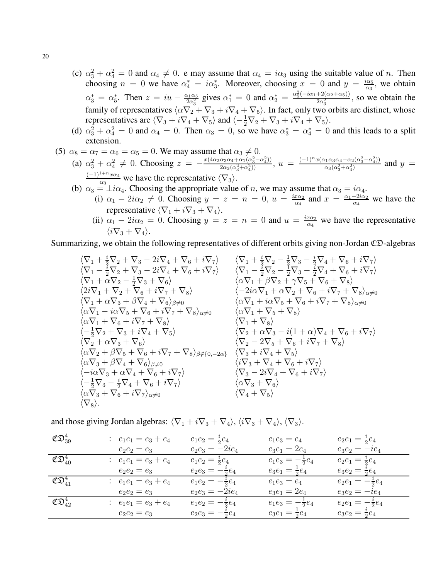- (c)  $\alpha_3^2 + \alpha_4^2 = 0$  and  $\alpha_4 \neq 0$ . e may assume that  $\alpha_4 = i\alpha_3$  using the suitable value of n. Then choosing  $n = 0$  we have  $\alpha_4^* = i\alpha_3^*$ . Moreover, choosing  $x = 0$  and  $y = \frac{i\alpha_5}{\alpha_3}$  $\frac{\partial \alpha_5}{\partial \alpha_3}$ , we obtain  $\alpha_3^* = \alpha_5^*$ . Then  $z = iu - \frac{\alpha_1 \alpha_5}{2\alpha_3^2}$  $\frac{\alpha_1 \alpha_5}{2\alpha_3^2}$  gives  $\alpha_1^* = 0$  and  $\alpha_2^* = \frac{\alpha_5^2(-i\alpha_1 + 2(\alpha_2 + \alpha_5))}{2\alpha_3^2}$  $\frac{+2(\alpha_2+\alpha_5)}{2\alpha_3^2}$ , so we obtain the family of representatives  $\langle \alpha \nabla_2 + \nabla_3 + i \nabla_4 + \nabla_5 \rangle$ . In fact, only two orbits are distinct, whose representatives are  $\langle \nabla_3 + i \nabla_4 + \nabla_5 \rangle$  and  $\langle -\frac{1}{2} \nabla_2 + \nabla_3 + i \nabla_4 + \nabla_5 \rangle$ .
- (d)  $\alpha_3^2 + \alpha_4^2 = 0$  and  $\alpha_4 = 0$ . Then  $\alpha_3 = 0$ , so we have  $\alpha_3^* = \alpha_4^* = 0$  and this leads to a split extension.
- (5)  $\alpha_8 = \alpha_7 = \alpha_6 = \alpha_5 = 0$ . We may assume that  $\alpha_3 \neq 0$ .
	- (a)  $\alpha_3^2 + \alpha_4^2 \neq 0$ . Choosing  $z = -\frac{x(4\alpha_2\alpha_3\alpha_4 + \alpha_1(\alpha_3^2 \alpha_4^2))}{2\alpha_3(\alpha_3^2 + \alpha_4^2)}$  $\frac{\alpha_3\alpha_4+\alpha_1(\alpha_3^2-\alpha_4^2))}{2\alpha_3(\alpha_3^2+\alpha_4^2)},\ u\ =\ \frac{(-1)^nx(\alpha_1\alpha_3\alpha_4-\alpha_2(\alpha_3^2-\alpha_4^2))}{\alpha_3(\alpha_3^2+\alpha_4^2)}$  $\frac{\alpha_1\alpha_3\alpha_4-\alpha_2(\alpha_3-\alpha_4)}{\alpha_3(\alpha_3^2+\alpha_4^2)}$  and  $y =$  $\frac{(-1)^{1+n}x\alpha_4}{\alpha_3}$  we have the representative  $\langle \nabla_3 \rangle$ .
	- (b)  $\alpha_3 = \pm i \alpha_4$ . Choosing the appropriate value of n, we may assume that  $\alpha_3 = i \alpha_4$ .
		- (i)  $\alpha_1 2i\alpha_2 \neq 0$ . Choosing  $y = z = n = 0$ ,  $u = \frac{i x \alpha_2}{\alpha_4}$  $\frac{x\alpha_2}{\alpha_4}$  and  $x = \frac{\alpha_1 - 2i\alpha_2}{\alpha_4}$  we have the representative  $\langle \nabla_1 + i \nabla_3 + \nabla_4 \rangle$ .
			- (ii)  $\alpha_1 2i\alpha_2 = 0$ . Choosing  $y = z = n = 0$  and  $u = \frac{i\pi\alpha_2}{\alpha_4}$  $\frac{x\alpha_2}{\alpha_4}$  we have the representative  $\langle i\nabla_3 + \nabla_4 \rangle$ .

Summarizing, we obtain the following representatives of different orbits giving non-Jordan  $\mathfrak{CD}$ -algebras

$$
\langle \nabla_1 + \frac{i}{2} \nabla_2 + \nabla_3 - 2i \nabla_4 + \nabla_6 + i \nabla_7 \rangle \n\langle \nabla_1 - \frac{i}{2} \nabla_2 + \nabla_3 - 2i \nabla_4 + \nabla_6 + i \nabla_7 \rangle \n\langle \nabla_1 - \frac{i}{2} \nabla_2 - \frac{1}{2} \nabla_3 - \frac{i}{2} \nabla_4 + \nabla_6 + i \nabla_7 \rangle \n\langle \nabla_1 + \alpha \nabla_2 - \frac{1}{2} \nabla_3 + \nabla_6 \rangle \n\langle \alpha \nabla_1 + \beta \nabla_2 + \gamma \nabla_5 + \nabla_6 + i \nabla_7 \rangle \n\langle \nabla_1 + \alpha \nabla_2 + \nabla_6 + i \nabla_7 + \nabla_8 \rangle \n\langle 2i \nabla_1 + \nabla_2 + \nabla_6 + i \nabla_7 + \nabla_8 \rangle \n\langle -2i \alpha \nabla_1 + \alpha \nabla_2 + \nabla_6 + i \nabla_7 + \nabla_8 \rangle_{\alpha \neq 0} \n\langle \alpha \nabla_1 + \alpha \nabla_3 + \beta \nabla_4 + \nabla_6 \rangle_{\beta \neq 0} \n\langle \alpha \nabla_1 + i \alpha \nabla_5 + \nabla_6 + i \nabla_7 + \nabla_8 \rangle_{\alpha \neq 0} \n\langle \alpha \nabla_1 + \nabla_6 + i \nabla_7 + \nabla_8 \rangle_{\alpha \neq 0} \n\langle \alpha \nabla_1 + \nabla_6 + i \nabla_7 + \nabla_8 \rangle \n\langle \alpha \nabla_1 + \nabla_6 + i \nabla_7 + \nabla_8 \rangle \n\langle \nabla_2 + \alpha \nabla_3 + i \nabla_4 + \nabla_5 \rangle \n\langle \nabla_2 + \alpha \nabla_3 + \nabla_6 \n\langle \nabla_2 + \alpha \nabla_3 + \nabla_6 \nabla_6 + i \nabla_7 + \nabla_8 \rangle \n\langle \nabla_2 - 2 \nabla
$$

and those giving Jordan algebras:  $\langle \nabla_1 + i\nabla_3 + \nabla_4 \rangle$ ,  $\langle i\nabla_3 + \nabla_4 \rangle$ ,  $\langle \nabla_3 \rangle$ .

| $\mathfrak{CD}^4_{39}$ | : $e_1e_1 = e_3 + e_4$ | $e_1e_2=\frac{i}{2}e_4$  | $e_1e_3 = e_4$           | $e_2e_1=\frac{i}{2}e_4$  |
|------------------------|------------------------|--------------------------|--------------------------|--------------------------|
|                        | $e_2e_2 = e_3$         | $e_2e_3 = -2ie_4$        | $e_3e_1=2e_4$            | $e_3e_2 = -ie_4$         |
| $\mathfrak{CD}_{40}^4$ | : $e_1e_1 = e_3 + e_4$ | $e_1e_2=\frac{i}{2}e_4$  | $e_1e_3=-\frac{1}{2}e_4$ | $e_2e_1=\frac{i}{2}e_4$  |
|                        | $e_2e_2 = e_3$         | $e_2e_3=-\frac{i}{2}e_4$ | $e_3e_1=\frac{1}{2}e_4$  | $e_3e_2=\frac{i}{2}e_4$  |
| $\mathfrak{CD}^4_{41}$ | : $e_1e_1 = e_3 + e_4$ | $e_1e_2=-\frac{i}{2}e_4$ | $e_1e_3 = e_4$           | $e_2e_1=-\frac{e}{2}e_4$ |
|                        | $e_2e_2 = e_3$         | $e_2e_3 = -2ie_4$        | $e_3e_1=2e_4$            | $e_3e_2 = -ie_4$         |
| $\mathfrak{CD}^4_{42}$ | : $e_1e_1 = e_3 + e_4$ | $e_1e_2=-\frac{i}{2}e_4$ | $e_1e_3=-\frac{1}{2}e_4$ | $e_2e_1=-\frac{1}{2}e_4$ |
|                        | $e_2e_2=e_3$           | $e_2e_3=-\frac{1}{2}e_4$ | $e_3e_1=\frac{1}{2}e_4$  | $e_3e_2=\frac{i}{2}e_4$  |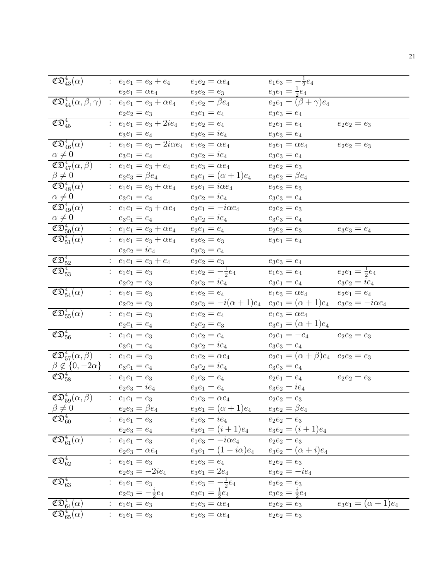|                                                                                         | $\mathfrak{C} \mathfrak{D}^4_{43}(\alpha)$ : $e_1 e_1 = e_3 + e_4$ $e_1 e_2 = \alpha e_4$ |                                                         | $e_1e_3=-\frac{1}{2}e_4$                                    |                            |
|-----------------------------------------------------------------------------------------|-------------------------------------------------------------------------------------------|---------------------------------------------------------|-------------------------------------------------------------|----------------------------|
|                                                                                         | $e_2e_1=\alpha e_4$                                                                       | $e_2e_2 = e_3$                                          | $e_3e_1 = \frac{1}{2}e_4$<br>$e_2e_1 = (\beta + \gamma)e_4$ |                            |
|                                                                                         | $\mathfrak{CD}^4_{44}(\alpha,\beta,\gamma) : e_1e_1 = e_3 + \alpha e_4$                   | $e_1e_2 = \beta e_4$                                    |                                                             |                            |
|                                                                                         | $e_2e_2 = e_3$                                                                            | $e_3e_1=e_4$                                            | $e_3e_3 = e_4$                                              |                            |
| $\mathfrak{CD}^4_{45}$                                                                  | $\overline{e_1e_1} = e_3 + 2ie_4$                                                         | $e_1e_2 = e_4$                                          | $e_2e_1 = e_4$                                              | $e_2e_2 = e_3$             |
|                                                                                         | $e_3e_1 = e_4$                                                                            | $e_3e_2 = ie_4$                                         | $e_3e_3=e_4$                                                |                            |
| $\overline{\mathfrak{CD}_{46}^{4}(\alpha)}$                                             | : $e_1e_1 = e_3 - 2i\alpha e_4$                                                           | $e_1e_2 = \alpha e_4$                                   | $e_2e_1 = \alpha e_4$                                       | $e_2e_2 = e_3$             |
| $\alpha \neq 0$<br>$\mathfrak{CD}_{47}^4(\alpha, \beta)$                                | $e_3e_1 = e_4$                                                                            | $e_3e_2 = ie_4$                                         | $e_3e_3 = e_4$                                              |                            |
|                                                                                         | $\overline{e_1e_1} = e_3 + e_4$                                                           | $e_1e_3=\alpha e_4$                                     | $e_2e_2 = e_3$                                              |                            |
| $\frac{\beta \neq 0}{\mathfrak{C}\mathfrak{D}^4_{48}(\alpha)}$                          | $e_2e_3 = \beta e_4$ $e_3e_1 = (\alpha + 1)e_4$                                           |                                                         | $e_3e_2 = \beta e_4$                                        |                            |
|                                                                                         | $\overline{\cdot}$ $e_1e_1 = e_3 + \alpha e_4$                                            | $e_2e_1 = i\alpha e_4$                                  | $e_2e_2 = e_3$                                              |                            |
|                                                                                         | $e_3e_1 = e_4$ $e_3e_2 = ie_4$                                                            |                                                         | $e_3e_3 = e_4$                                              |                            |
| $\alpha \neq 0$<br>$\mathfrak{CD}_{49}^4(\alpha)$                                       | $\overline{\cdot}$ $e_1e_1 = e_3 + \alpha e_4$                                            | $e_2e_1 = -i\alpha e_4$                                 | $e_2e_2 = e_3$                                              |                            |
|                                                                                         | $e_3e_1=e_4$                                                                              | $e_3e_2 = ie_4$                                         | $e_3e_3 = e_4$                                              |                            |
| $\frac{\alpha \neq 0}{\mathfrak{C}\mathfrak{D}_{50}^4(\alpha)}$                         | : $e_1e_1 = e_3 + \alpha e_4$                                                             | $e_2e_1 = e_4$                                          | $e_2e_2 = e_3$                                              | $e_3e_3=e_4$               |
| $\mathfrak{CD}_{51}^4(\alpha)$                                                          | : $e_1e_1 = e_3 + \alpha e_4$                                                             | $e_2e_2 = e_3$                                          | $e_3e_1 = e_4$                                              |                            |
|                                                                                         | $e_3e_2 = ie_4$                                                                           | $e_3e_3=e_4$                                            |                                                             |                            |
| $\overline{\mathfrak{CD}_{52}^4}$                                                       | : $e_1e_1 = e_3 + e_4$                                                                    | $e_2e_2 = e_3$                                          | $e_3e_3 = e_4$                                              |                            |
| $\overline{\mathfrak{CD}_{53}^4}$                                                       | : $e_1e_1 = e_3$                                                                          | $e_1e_2=-\frac{1}{2}e_4$                                | $e_1e_3 = e_4$                                              | $e_2e_1=\frac{1}{2}e_4$    |
|                                                                                         | $e_2e_2 = e_3$                                                                            | $e_2e_3 = ie_4$                                         | $e_3e_1 = e_4$                                              | $e_3e_2 = ie_4$            |
| $\overline{\mathfrak{CD}_{54}^4(\alpha)}$                                               | : $e_1e_1 = e_3$                                                                          | $e_1e_2 = e_4$                                          | $e_1e_3=\alpha e_4$                                         | $e_2e_1 = e_4$             |
|                                                                                         | $e_2e_2 = e_3$                                                                            | $e_2e_3 = -i(\alpha + 1)e_4$ $e_3e_1 = (\alpha + 1)e_4$ |                                                             | $e_3e_2 = -i\alpha e_4$    |
| $\mathfrak{CD}_{55}^{4}(\alpha)$                                                        | : $e_1e_1 = e_3$                                                                          | $e_1e_2 = e_4$                                          | $e_1e_3 = \alpha e_4$                                       |                            |
|                                                                                         | $e_2e_1=e_4$                                                                              | $e_2e_2 = e_3$                                          | $e_3e_1 = (\alpha + 1)e_4$                                  |                            |
| $\mathfrak{CD}_{56}^4$                                                                  | : $e_1e_1 = e_3$                                                                          | $e_1e_2 = e_4$                                          | $e_2e_1 = -e_4$                                             | $e_2e_2 = e_3$             |
|                                                                                         | $e_3e_1=e_4$                                                                              | $e_3e_2 = ie_4$                                         | $e_3e_3 = e_4$                                              |                            |
| $\overline{\mathfrak{CD}_{57}^4(\alpha,\beta)}$ : $e_1e_1 = e_3$                        |                                                                                           | $e_1e_2=\alpha e_4$                                     | $e_2e_1 = (\alpha + \beta)e_4$ $e_2e_2 = e_3$               |                            |
|                                                                                         |                                                                                           | $e_3e_2 = ie_4$                                         | $e_3e_3=e_4$                                                |                            |
| $\frac{\beta \notin \{0, -2\alpha\}}{\mathfrak{C}\mathfrak{D}^4_{58}}$ : $e_1e_1 = e_3$ |                                                                                           | $e_1e_3 = e_4$                                          | $e_2e_1 = e_4$                                              | $e_2e_2 = e_3$             |
|                                                                                         | $e_2e_3 = ie_4$                                                                           | $e_3e_1=e_4$                                            | $e_3e_2 = ie_4$                                             |                            |
| $\overline{\mathfrak{CD}_{59}^{4}(\alpha,\beta)}$                                       | : $e_1e_1 = e_3$                                                                          | $e_1e_3 = \alpha e_4$                                   | $e_2e_2 = e_3$                                              |                            |
| $\beta \neq 0$                                                                          | $e_2e_3 = \beta e_4$                                                                      | $\frac{e_3 e_1 = (\alpha + 1)e_4}{e_1 e_3 = ie_4}$      | $e_3e_2 = \beta e_4$                                        |                            |
|                                                                                         | $\overline{e_1e_1} = e_3$                                                                 |                                                         | $e_2e_2 = e_3$                                              |                            |
|                                                                                         | $e_2e_3=e_4$                                                                              | $e_3e_1 = (i+1)e_4$ $e_3e_2 = (i+1)e_4$                 |                                                             |                            |
| $\overline{\mathfrak{CD}^4_{61}(\alpha)}$                                               | : $e_1e_1 = e_3$                                                                          | $e_1e_3 = -i\alpha e_4$                                 | $e_2e_2 = e_3$                                              |                            |
|                                                                                         | $e_2e_3=\alpha e_4$                                                                       | $e_3e_1 = (1 - i\alpha)e_4$                             | $e_3e_2=(\alpha+i)e_4$                                      |                            |
| $\overline{\mathfrak{CD}_{62}^4}$                                                       | : $e_1e_1 = e_3$                                                                          | $e_1e_3 = e_4$                                          | $e_2e_2 = e_3$                                              |                            |
|                                                                                         | $e_2e_3 = -2ie_4$                                                                         | $e_3e_1 = 2e_4$                                         | $e_3e_2=-ie_4$                                              |                            |
| $\overline{\mathfrak{CD}_{63}^4}$                                                       | : $e_1e_1 = e_3$                                                                          | $e_1 \overline{e_3} = -\frac{1}{2} e_4$                 | $e_2e_2 = e_3$                                              |                            |
|                                                                                         | $e_2e_3=-\frac{i}{2}e_4$                                                                  | $e_3e_1=\frac{1}{2}e_4$                                 | $e_3e_2=\frac{i}{2}e_4$                                     |                            |
| $\overline{\mathfrak{CD}_{64}^{4}(\alpha)}$                                             | : $e_1e_1 = e_3$                                                                          | $e_1e_3=\alpha e_4$                                     | $e_2e_2 = e_3$                                              | $e_3e_1 = (\alpha + 1)e_4$ |
| $\mathfrak{CD}^4_{65}(\alpha)$                                                          | : $e_1e_1 = e_3$                                                                          | $e_1e_3 = \alpha e_4$                                   | $e_2e_2 = e_3$                                              |                            |
|                                                                                         |                                                                                           |                                                         |                                                             |                            |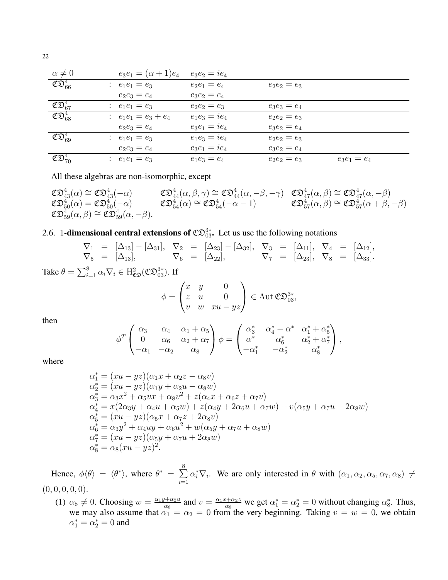| $\alpha \neq 0$        | $e_3e_1 = (\alpha + 1)e_4$ | $e_3e_2 = ie_4$ |                |                |
|------------------------|----------------------------|-----------------|----------------|----------------|
| $\mathfrak{CD}^4_{66}$ | : $e_1e_1 = e_3$           | $e_2e_1 = e_4$  | $e_2e_2=e_3$   |                |
|                        | $e_2e_3=e_4$               | $e_3e_2 = e_4$  |                |                |
| $\mathfrak{CD}^4_{67}$ | : $e_1e_1 = e_3$           | $e_2e_2 = e_3$  | $e_3e_3=e_4$   |                |
| $\mathfrak{CD}^4_{68}$ | : $e_1e_1 = e_3 + e_4$     | $e_1e_3 = ie_4$ | $e_2e_2 = e_3$ |                |
|                        | $e_2e_3 = e_4$             | $e_3e_1 = ie_4$ | $e_3e_2 = e_4$ |                |
| $\mathfrak{CD}^4_{69}$ | : $e_1e_1 = e_3$           | $e_1e_3 = ie_4$ | $e_2e_2 = e_3$ |                |
|                        | $e_2e_3 = e_4$             | $e_3e_1 = ie_4$ | $e_3e_2 = e_4$ |                |
| $\mathfrak{CD}_{70}^4$ | : $e_1e_1 = e_3$           | $e_1e_3 = e_4$  | $e_2e_2 = e_3$ | $e_3e_1 = e_4$ |

All these algebras are non-isomorphic, except

$$
\begin{array}{ll}\n\mathfrak{CD}_{43}^4(\alpha) \cong \mathfrak{CD}_{43}^4(-\alpha) & \mathfrak{CD}_{44}^4(\alpha, \beta, \gamma) \cong \mathfrak{CD}_{44}^4(\alpha, -\beta, -\gamma) & \mathfrak{CD}_{47}^4(\alpha, \beta) \cong \mathfrak{CD}_{47}^4(\alpha, -\beta) \\
\mathfrak{CD}_{50}^4(\alpha) = \mathfrak{CD}_{50}^4(-\alpha) & \mathfrak{CD}_{54}^4(\alpha) \cong \mathfrak{CD}_{54}^4(-\alpha - 1) & \mathfrak{CD}_{57}^4(\alpha, \beta) \cong \mathfrak{CD}_{57}^4(\alpha + \beta, -\beta) \\
\mathfrak{CD}_{59}^4(\alpha, \beta) \cong \mathfrak{CD}_{59}^4(\alpha, -\beta).\n\end{array}
$$

# 2.6. 1-dimensional central extensions of  $\mathfrak{CD}_{03}^{3*}$ . Let us use the following notations

$$
\nabla_1 = [\Delta_{13}] - [\Delta_{31}], \nabla_2 = [\Delta_{23}] - [\Delta_{32}], \nabla_3 = [\Delta_{11}], \nabla_4 = [\Delta_{12}], \nabla_5 = [\Delta_{13}], \nabla_6 = [\Delta_{22}], \nabla_7 = [\Delta_{23}], \nabla_8 = [\Delta_{33}].
$$

Take 
$$
\theta = \sum_{i=1}^{8} \alpha_i \nabla_i \in \mathrm{H}_{\mathfrak{CD}}^2(\mathfrak{CD}_{03}^{3*})
$$
. If

$$
\phi = \begin{pmatrix} x & y & 0 \\ z & u & 0 \\ v & w & xu - yz \end{pmatrix} \in \text{Aut } \mathfrak{CD}^{3*}_{03},
$$

then

$$
\phi^T \begin{pmatrix} \alpha_3 & \alpha_4 & \alpha_1 + \alpha_5 \\ 0 & \alpha_6 & \alpha_2 + \alpha_7 \\ -\alpha_1 & -\alpha_2 & \alpha_8 \end{pmatrix} \phi = \begin{pmatrix} \alpha_3^* & \alpha_4^* - \alpha^* & \alpha_1^* + \alpha_5^* \\ \alpha^* & \alpha_6^* & \alpha_2^* + \alpha_7^* \\ -\alpha_1^* & -\alpha_2^* & \alpha_8^* \end{pmatrix},
$$

where

$$
\alpha_1^* = (xu - yz)(\alpha_1 x + \alpha_2 z - \alpha_8 v)
$$
  
\n
$$
\alpha_2^* = (xu - yz)(\alpha_1 y + \alpha_2 u - \alpha_8 w)
$$
  
\n
$$
\alpha_3^* = \alpha_3 x^2 + \alpha_5 v x + \alpha_8 v^2 + z(\alpha_4 x + \alpha_6 z + \alpha_7 v)
$$
  
\n
$$
\alpha_4^* = x(2\alpha_3 y + \alpha_4 u + \alpha_5 w) + z(\alpha_4 y + 2\alpha_6 u + \alpha_7 w) + v(\alpha_5 y + \alpha_7 u + 2\alpha_8 w)
$$
  
\n
$$
\alpha_5^* = (xu - yz)(\alpha_5 x + \alpha_7 z + 2\alpha_8 v)
$$
  
\n
$$
\alpha_6^* = \alpha_3 y^2 + \alpha_4 u y + \alpha_6 u^2 + w(\alpha_5 y + \alpha_7 u + \alpha_8 w)
$$
  
\n
$$
\alpha_7^* = (xu - yz)(\alpha_5 y + \alpha_7 u + 2\alpha_8 w)
$$
  
\n
$$
\alpha_8^* = \alpha_8 (xu - yz)^2.
$$

Hence,  $\phi \langle \theta \rangle = \langle \theta^* \rangle$ , where  $\theta^* = \sum_i$ 8  $i=1$  $\alpha_i^* \nabla_i$ . We are only interested in  $\theta$  with  $(\alpha_1, \alpha_2, \alpha_5, \alpha_7, \alpha_8) \neq$  $(0, 0, 0, 0, 0).$ 

(1)  $\alpha_8 \neq 0$ . Choosing  $w = \frac{\alpha_1 y + \alpha_2 u}{\alpha_8}$  $\frac{u + \alpha_2 u}{\alpha_8}$  and  $v = \frac{\alpha_1 x + \alpha_2 z}{\alpha_8}$  $\frac{\alpha_1 + \alpha_2 z}{\alpha_8}$  we get  $\alpha_1^* = \alpha_2^* = 0$  without changing  $\alpha_8^*$ . Thus, we may also assume that  $\alpha_1 = \alpha_2 = 0$  from the very beginning. Taking  $v = w = 0$ , we obtain  $\alpha_1^* = \alpha_2^* = 0$  and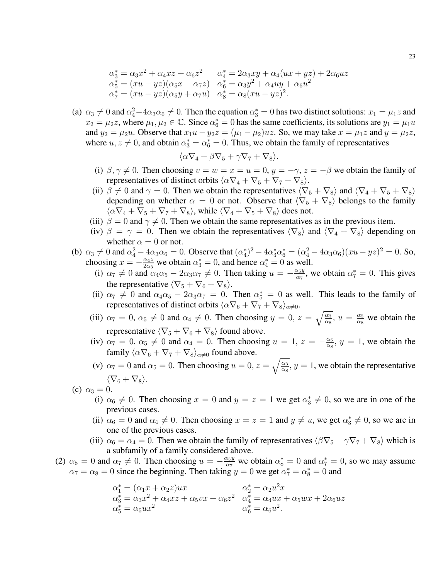$$
\alpha_3^* = \alpha_3 x^2 + \alpha_4 x z + \alpha_6 z^2 \qquad \alpha_4^* = 2\alpha_3 x y + \alpha_4 (ux + yz) + 2\alpha_6 uz \n\alpha_5^* = (xu - yz)(\alpha_5 x + \alpha_7 z) \qquad \alpha_6^* = \alpha_3 y^2 + \alpha_4 uy + \alpha_6 u^2 \n\alpha_7^* = (xu - yz)(\alpha_5 y + \alpha_7 u) \qquad \alpha_8^* = \alpha_8 (xu - yz)^2.
$$

(a)  $\alpha_3 \neq 0$  and  $\alpha_4^2 - 4\alpha_3 \alpha_6 \neq 0$ . Then the equation  $\alpha_3^* = 0$  has two distinct solutions:  $x_1 = \mu_1 z$  and  $x_2 = \mu_2 z$ , where  $\mu_1, \mu_2 \in \mathbb{C}$ . Since  $\alpha_6^* = 0$  has the same coefficients, its solutions are  $y_1 = \mu_1 u$ and  $y_2 = \mu_2 u$ . Observe that  $x_1 u - y_2 z = (\mu_1 - \mu_2) u z$ . So, we may take  $x = \mu_1 z$  and  $y = \mu_2 z$ , where  $u, z \neq 0$ , and obtain  $\alpha_3^* = \alpha_6^* = 0$ . Thus, we obtain the family of representatives

$$
\langle \alpha \nabla_4 + \beta \nabla_5 + \gamma \nabla_7 + \nabla_8 \rangle.
$$

- (i)  $\beta, \gamma \neq 0$ . Then choosing  $v = w = x = u = 0$ ,  $y = -\gamma$ ,  $z = -\beta$  we obtain the family of representatives of distinct orbits  $\langle \alpha \nabla_4 + \nabla_5 + \nabla_7 + \nabla_8 \rangle$ .
- (ii)  $\beta \neq 0$  and  $\gamma = 0$ . Then we obtain the representatives  $\langle \nabla_5 + \nabla_8 \rangle$  and  $\langle \nabla_4 + \nabla_5 + \nabla_8 \rangle$ depending on whether  $\alpha = 0$  or not. Observe that  $\langle \nabla_5 + \nabla_8 \rangle$  belongs to the family  $\langle \alpha \nabla_4 + \nabla_5 + \nabla_7 + \nabla_8 \rangle$ , while  $\langle \nabla_4 + \nabla_5 + \nabla_8 \rangle$  does not.
- (iii)  $\beta = 0$  and  $\gamma \neq 0$ . Then we obtain the same representatives as in the previous item.
- (iv)  $\beta = \gamma = 0$ . Then we obtain the representatives  $\langle \nabla_8 \rangle$  and  $\langle \nabla_4 + \nabla_8 \rangle$  depending on whether  $\alpha = 0$  or not.
- (b)  $\alpha_3 \neq 0$  and  $\alpha_4^2 4\alpha_3 \alpha_6 = 0$ . Observe that  $(\alpha_4^*)^2 4\alpha_3^* \alpha_6^* = (\alpha_4^2 4\alpha_3 \alpha_6)(xu yz)^2 = 0$ . So, choosing  $x = -\frac{\alpha_4 z}{2\alpha_3}$  $\frac{\alpha_4 z}{2\alpha_3}$  we obtain  $\alpha_3^* = 0$ , and hence  $\alpha_4^* = 0$  as well.
	- (i)  $\alpha_7 \neq 0$  and  $\alpha_4 \alpha_5 2\alpha_3 \alpha_7 \neq 0$ . Then taking  $u = -\frac{\alpha_5 y}{\alpha_7}$  $\frac{\alpha_5 y}{\alpha_7}$ , we obtain  $\alpha_7^* = 0$ . This gives the representative  $\langle \nabla_5 + \nabla_6 + \nabla_8 \rangle$ .
	- (ii)  $\alpha_7 \neq 0$  and  $\alpha_4 \alpha_5 2 \alpha_3 \alpha_7 = 0$ . Then  $\alpha_5^* = 0$  as well. This leads to the family of representatives of distinct orbits  $\langle \alpha \nabla_6 + \nabla_7 + \nabla_8 \rangle_{\alpha \neq 0}$ .
	- (iii)  $\alpha_7 = 0$ ,  $\alpha_5 \neq 0$  and  $\alpha_4 \neq 0$ . Then choosing  $y = 0$ ,  $z = \sqrt{\frac{\alpha_3}{\alpha_8}}$ ,  $u = \frac{\alpha_5}{\alpha_8}$  $\frac{\alpha_5}{\alpha_8}$  we obtain the representative  $\langle \nabla_5 + \nabla_6 + \nabla_8 \rangle$  found above.
	- (iv)  $\alpha_7 = 0$ ,  $\alpha_5 \neq 0$  and  $\alpha_4 = 0$ . Then choosing  $u = 1$ ,  $z = -\frac{\alpha_5}{\alpha_8}$  $\frac{\alpha_5}{\alpha_8}$ ,  $y = 1$ , we obtain the family  $\langle \alpha \nabla_6 + \nabla_7 + \nabla_8 \rangle_{\alpha \neq 0}$  found above.
	- (v)  $\alpha_7 = 0$  and  $\alpha_5 = 0$ . Then choosing  $u = 0$ ,  $z = \sqrt{\frac{\alpha_3}{\alpha_8}}$ ,  $y = 1$ , we obtain the representative  $\langle \nabla_6 + \nabla_8 \rangle$ .
- (c)  $\alpha_3 = 0$ .
	- (i)  $\alpha_6 \neq 0$ . Then choosing  $x = 0$  and  $y = z = 1$  we get  $\alpha_3^* \neq 0$ , so we are in one of the previous cases.
	- (ii)  $\alpha_6 = 0$  and  $\alpha_4 \neq 0$ . Then choosing  $x = z = 1$  and  $y \neq u$ , we get  $\alpha_3^* \neq 0$ , so we are in one of the previous cases.
	- (iii)  $\alpha_6 = \alpha_4 = 0$ . Then we obtain the family of representatives  $\langle \beta \nabla_5 + \gamma \nabla_7 + \nabla_8 \rangle$  which is a subfamily of a family considered above.
- (2)  $\alpha_8 = 0$  and  $\alpha_7 \neq 0$ . Then choosing  $u = -\frac{\alpha_5 y}{\alpha_7}$  $\frac{\alpha_5 y}{\alpha_7}$  we obtain  $\alpha_8^* = 0$  and  $\alpha_7^* = 0$ , so we may assume  $\alpha_7 = \alpha_8 = 0$  since the beginning. Then taking  $y = 0$  we get  $\alpha_7^* = \alpha_8^* = 0$  and

$$
\alpha_1^* = (\alpha_1 x + \alpha_2 z)ux \n\alpha_3^* = \alpha_3 x^2 + \alpha_4 x z + \alpha_5 vx + \alpha_6 z^2 \n\alpha_4^* = \alpha_4 ux + \alpha_5 wx + 2\alpha_6 uz \n\alpha_5^* = \alpha_5 ux^2 \n\alpha_6^* = \alpha_6 u^2.
$$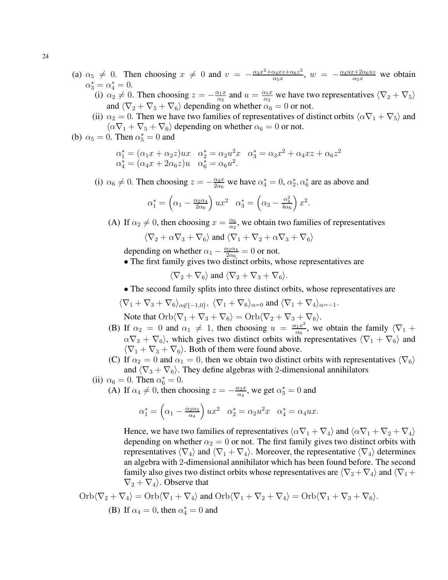- (a)  $\alpha_5 \neq 0$ . Then choosing  $x \neq 0$  and  $v = -\frac{\alpha_3 x^2 + \alpha_4 x z + \alpha_6 z^2}{\alpha_5 x}$  $\frac{\alpha_4 x z + \alpha_6 z^2}{\alpha_5 x}$ ,  $w = -\frac{\alpha_4 u x + 2\alpha_6 u z}{\alpha_5 x}$  we obtain  $\alpha_3^* = \alpha_4^* = 0.$ 
	- (i)  $\alpha_2 \neq 0$ . Then choosing  $z = -\frac{\alpha_1 x}{\alpha_2}$  $\frac{\alpha_1 x}{\alpha_2}$  and  $u = \frac{\alpha_5 x}{\alpha_2}$  $\frac{\alpha_5 x}{\alpha_2}$  we have two representatives  $\langle \nabla_2 + \nabla_5 \rangle$ and  $\langle \nabla_2 + \nabla_5 + \nabla_6 \rangle$  depending on whether  $\alpha_6 = 0$  or not.
	- (ii)  $\alpha_2 = 0$ . Then we have two families of representatives of distinct orbits  $\langle \alpha \nabla_1 + \nabla_5 \rangle$  and  $\langle \alpha \nabla_1 + \nabla_5 + \nabla_6 \rangle$  depending on whether  $\alpha_6 = 0$  or not.
- (b)  $\alpha_5 = 0$ . Then  $\alpha_5^* = 0$  and

$$
\alpha_1^* = (\alpha_1 x + \alpha_2 z) u x \quad \alpha_2^* = \alpha_2 u^2 x \quad \alpha_3^* = \alpha_3 x^2 + \alpha_4 x z + \alpha_6 z^2 \n\alpha_4^* = (\alpha_4 x + 2\alpha_6 z) u \quad \alpha_6^* = \alpha_6 u^2.
$$

(i)  $\alpha_6 \neq 0$ . Then choosing  $z = -\frac{\alpha_4 x}{2\alpha_6}$  $\frac{\alpha_4 x}{2\alpha_6}$  we have  $\alpha_4^* = 0$ ,  $\alpha_2^*, \alpha_6^*$  are as above and

$$
\alpha_1^* = \left(\alpha_1 - \frac{\alpha_2 \alpha_4}{2\alpha_6}\right) ux^2 \quad \alpha_3^* = \left(\alpha_3 - \frac{\alpha_4^2}{4\alpha_6}\right) x^2.
$$

(A) If  $\alpha_2 \neq 0$ , then choosing  $x = \frac{\alpha_6}{\alpha_2}$  $\frac{\alpha_6}{\alpha_2}$ , we obtain two families of representatives

$$
\langle \nabla_2 + \alpha \nabla_3 + \nabla_6 \rangle
$$
 and  $\langle \nabla_1 + \nabla_2 + \alpha \nabla_3 + \nabla_6 \rangle$ 

depending on whether  $\alpha_1 - \frac{\alpha_2 \alpha_4}{2 \alpha_6}$  $\frac{\alpha_{2}\alpha_{4}}{2\alpha_{6}}=0$  or not.

• The first family gives two distinct orbits, whose representatives are

 $\langle \nabla_2 + \nabla_6 \rangle$  and  $\langle \nabla_2 + \nabla_3 + \nabla_6 \rangle$ .

• The second family splits into three distinct orbits, whose representatives are

$$
\langle \nabla_1 + \nabla_3 + \nabla_6 \rangle_{\alpha \notin \{-1,0\}}, \ \langle \nabla_1 + \nabla_6 \rangle_{\alpha=0} \text{ and } \langle \nabla_1 + \nabla_4 \rangle_{\alpha=-1}.
$$

Note that  $Orb\langle\nabla_1 + \nabla_3 + \nabla_6\rangle = Orb\langle\nabla_2 + \nabla_3 + \nabla_6\rangle.$ 

- (B) If  $\alpha_2 = 0$  and  $\alpha_1 \neq 1$ , then choosing  $u = \frac{\alpha_1 x^2}{\alpha_6}$  $\frac{a_1x^2}{\alpha_6}$ , we obtain the family  $\langle \nabla_1 +$  $\alpha \nabla_3 + \nabla_6$ , which gives two distinct orbits with representatives  $\langle \nabla_1 + \nabla_6 \rangle$  and  $\langle \nabla_1 + \nabla_3 + \nabla_6 \rangle$ . Both of them were found above.
- (C) If  $\alpha_2 = 0$  and  $\alpha_1 = 0$ , then we obtain two distinct orbits with representatives  $\langle \nabla_6 \rangle$ and  $\langle \nabla_3 + \nabla_6 \rangle$ . They define algebras with 2-dimensional annihilators

(ii) 
$$
\alpha_6 = 0
$$
. Then  $\alpha_6^* = 0$ .

(A) If  $\alpha_4 \neq 0$ , then choosing  $z = -\frac{\alpha_3 x}{\alpha_4}$  $\frac{\alpha_3 x}{\alpha_4}$ , we get  $\alpha_3^* = 0$  and

$$
\alpha_1^* = \left(\alpha_1 - \frac{\alpha_2 \alpha_3}{\alpha_4}\right) ux^2 \quad \alpha_2^* = \alpha_2 u^2 x \quad \alpha_4^* = \alpha_4 ux.
$$

Hence, we have two families of representatives  $\langle \alpha \nabla_1 + \nabla_4 \rangle$  and  $\langle \alpha \nabla_1 + \nabla_2 + \nabla_4 \rangle$ depending on whether  $\alpha_2 = 0$  or not. The first family gives two distinct orbits with representatives  $\langle \nabla_4 \rangle$  and  $\langle \nabla_1 + \nabla_4 \rangle$ . Moreover, the representative  $\langle \nabla_4 \rangle$  determines an algebra with 2-dimensional annihilator which has been found before. The second family also gives two distinct orbits whose representatives are  $\langle \nabla_2 + \nabla_4 \rangle$  and  $\langle \nabla_1 +$  $\nabla_2 + \nabla_4$ . Observe that

Orb
$$
\langle \nabla_2 + \nabla_4 \rangle = \text{Orb}\langle \nabla_1 + \nabla_4 \rangle
$$
 and  $\text{Orb}\langle \nabla_1 + \nabla_2 + \nabla_4 \rangle = \text{Orb}\langle \nabla_1 + \nabla_3 + \nabla_6 \rangle$ .  
\n(B) If  $\alpha_4 = 0$ , then  $\alpha_4^* = 0$  and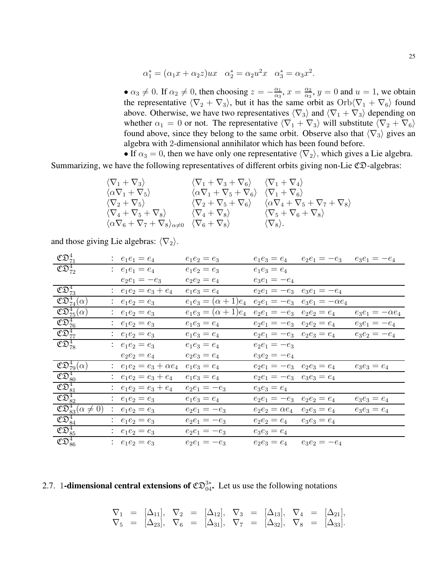$$
\alpha_1^* = (\alpha_1 x + \alpha_2 z) u x
$$
  $\alpha_2^* = \alpha_2 u^2 x$   $\alpha_3^* = \alpha_3 x^2$ .

•  $\alpha_3 \neq 0$ . If  $\alpha_2 \neq 0$ , then choosing  $z = -\frac{\alpha_1}{\alpha_3}$  $\frac{\alpha_1}{\alpha_3}, x = \frac{\alpha_2}{\alpha_3}$  $\frac{\alpha_2}{\alpha_3}$ ,  $y = 0$  and  $u = 1$ , we obtain the representative  $\langle \nabla_2 + \nabla_3 \rangle$ , but it has the same orbit as  $Orb\langle \nabla_1 + \nabla_6 \rangle$  found above. Otherwise, we have two representatives  $\langle \nabla_3 \rangle$  and  $\langle \nabla_1 + \nabla_3 \rangle$  depending on whether  $\alpha_1 = 0$  or not. The representative  $\langle \nabla_1 + \nabla_3 \rangle$  will substitute  $\langle \nabla_2 + \nabla_6 \rangle$ found above, since they belong to the same orbit. Observe also that  $\langle \nabla_3 \rangle$  gives an algebra with 2-dimensional annihilator which has been found before.

• If  $\alpha_3 = 0$ , then we have only one representative  $\langle \nabla_2 \rangle$ , which gives a Lie algebra. Summarizing, we have the following representatives of different orbits giving non-Lie  $\mathfrak{CD}$ -algebras:

$$
\begin{array}{ccc}\n\langle \nabla_1 + \nabla_3 \rangle & \langle \nabla_1 + \nabla_3 + \nabla_6 \rangle & \langle \nabla_1 + \nabla_4 \rangle \\
\langle \alpha \nabla_1 + \nabla_5 \rangle & \langle \alpha \nabla_1 + \nabla_5 + \nabla_6 \rangle & \langle \nabla_1 + \nabla_6 \rangle \\
\langle \nabla_2 + \nabla_5 \rangle & \langle \nabla_2 + \nabla_5 + \nabla_6 \rangle & \langle \alpha \nabla_4 + \nabla_5 + \nabla_7 + \nabla_8 \rangle \\
\langle \nabla_4 + \nabla_5 + \nabla_8 \rangle & \langle \nabla_4 + \nabla_8 \rangle & \langle \nabla_5 + \nabla_6 + \nabla_8 \rangle \\
\langle \alpha \nabla_6 + \nabla_7 + \nabla_8 \rangle_{\alpha \neq 0} & \langle \nabla_6 + \nabla_8 \rangle & \langle \nabla_8 \rangle.\n\end{array}
$$

| $\mathfrak{CD}_{71}^4$                               | : $e_1e_1 = e_4$              | $e_1e_2 = e_3$             | $e_1e_3=e_4$                         | $e_2e_1 = -e_3$                        | $e_3e_1 = -e_4$        |
|------------------------------------------------------|-------------------------------|----------------------------|--------------------------------------|----------------------------------------|------------------------|
| $\mathfrak{CD}_{72}^4$                               | : $e_1e_1 = e_4$              | $e_1e_2 = e_3$             | $e_1e_3 = e_4$                       |                                        |                        |
|                                                      | $e_2e_1 = -e_3$               | $e_2e_2=e_4$               | $e_3e_1 = -e_4$                      |                                        |                        |
| $\mathfrak{CD}_{73}^4$                               | : $e_1e_2 = e_3 + e_4$        | $e_1e_3 = e_4$             |                                      | $e_2e_1 = -e_3$ $e_3e_1 = -e_4$        |                        |
| $\overline{\mathfrak{CD}}_{74}^{4}(\alpha)$          | $e_1e_2 = e_3$                | $e_1e_3 = (\alpha + 1)e_4$ |                                      | $e_2e_1 = -e_3$ $e_3e_1 = -\alpha e_4$ |                        |
| $\overline{\mathfrak{C}}\mathfrak{D}^4_{75}(\alpha)$ | : $e_1e_2 = e_3$              | $e_1e_3 = (\alpha + 1)e_4$ |                                      | $e_2e_1 = -e_3$ $e_2e_2 = e_4$         | $e_3e_1 = -\alpha e_4$ |
| $\mathfrak{CD}_{76}^4$                               | $e_1e_2 = e_3$                | $e_1e_3 = e_4$             | $e_2e_1 = -e_3$ $e_2e_2 = e_4$       |                                        | $e_3e_1 = -e_4$        |
| $\mathfrak{CD}_{77}^4$                               | : $e_1e_2 = e_3$              | $e_1e_3 = e_4$             | $e_2e_1 = -e_3$ $e_2e_3 = e_4$       |                                        | $e_3e_2 = -e_4$        |
| $\overline{\mathfrak{CD}}_{78}^4$                    | : $e_1e_2 = e_3$              | $e_1e_3 = e_4$             | $e_2e_1 = -e_3$                      |                                        |                        |
|                                                      | $e_2e_2=e_4$                  | $e_2e_3=e_4$               | $e_3e_2 = -e_4$                      |                                        |                        |
| $\mathfrak{CD}_{79}^4(\alpha)$                       | : $e_1e_2 = e_3 + \alpha e_4$ | $e_1e_3 = e_4$             | $e_2e_1 = -e_3$ $e_2e_3 = e_4$       |                                        | $e_3e_3=e_4$           |
| $\mathfrak{CD}^4_{80}$                               | : $e_1e_2 = e_3 + e_4$        | $e_1e_3=e_4$               | $e_2e_1 = -e_3$ $e_3e_3 = e_4$       |                                        |                        |
| $\mathfrak{CD}^4_{81}$                               | : $e_1e_2 = e_3 + e_4$        | $e_2e_1 = -e_3$            | $e_3e_3 = e_4$                       |                                        |                        |
| $\overline{\mathfrak{CD}_{82}^4}$                    | : $e_1e_2 = e_3$              | $e_1e_3=e_4$               | $e_2e_1 = -e_3$ $e_2e_2 = e_4$       |                                        | $e_3e_3=e_4$           |
| $\mathfrak{CD}_{83}^4(\alpha \neq 0)$                | : $e_1e_2 = e_3$              | $e_2e_1 = -e_3$            | $e_2e_2 = \alpha e_4$ $e_2e_3 = e_4$ |                                        | $e_3e_3=e_4$           |
| $\mathfrak{CD}^4_{84}$                               | : $e_1e_2 = e_3$              | $e_2e_1 = -e_3$            | $e_2e_2=e_4$                         | $e_3e_3=e_4$                           |                        |
| $\mathfrak{CD}^4_{85}$                               | : $e_1e_2 = e_3$              | $e_2e_1 = -e_3$            | $e_3e_3=e_4$                         |                                        |                        |
| $\overline{\mathfrak{CD}_{86}^4}$                    | : $e_1e_2 = e_3$              | $e_2e_1 = -e_3$            |                                      | $e_2e_3 = e_4$ $e_3e_2 = -e_4$         |                        |

and those giving Lie algebras:  $\langle \nabla_2 \rangle$ .

# 2.7. 1-dimensional central extensions of  $\mathfrak{CD}_{04}^{3*}$ . Let us use the following notations

$$
\nabla_1 = [\Delta_{11}], \nabla_2 = [\Delta_{12}], \nabla_3 = [\Delta_{13}], \nabla_4 = [\Delta_{21}],
$$
  
\n
$$
\nabla_5 = [\Delta_{23}], \nabla_6 = [\Delta_{31}], \nabla_7 = [\Delta_{32}], \nabla_8 = [\Delta_{33}].
$$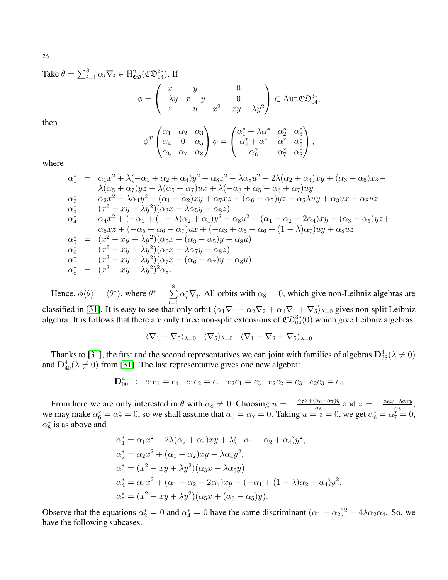Take  $\theta = \sum_{i=1}^{8} \alpha_i \nabla_i \in \mathrm{H}^2_{\mathfrak{C} \mathfrak{D}}(\mathfrak{C} \mathfrak{D}^{3*}_{04})$ . If

$$
\phi = \begin{pmatrix} x & y & 0 \\ -\lambda y & x - y & 0 \\ z & u & x^2 - xy + \lambda y^2 \end{pmatrix} \in \text{Aut } \mathfrak{CD}_{04}^{3*},
$$

then

$$
\phi^T \begin{pmatrix} \alpha_1 & \alpha_2 & \alpha_3 \\ \alpha_4 & 0 & \alpha_5 \\ \alpha_6 & \alpha_7 & \alpha_8 \end{pmatrix} \phi = \begin{pmatrix} \alpha_1^* + \lambda \alpha^* & \alpha_2^* & \alpha_3^* \\ \alpha_4^* + \alpha^* & \alpha^* & \alpha_5^* \\ \alpha_6^* & \alpha_7^* & \alpha_8^* \end{pmatrix},
$$

where

$$
\alpha_{1}^{*} = \alpha_{1}x^{2} + \lambda(-\alpha_{1} + \alpha_{2} + \alpha_{4})y^{2} + \alpha_{8}z^{2} - \lambda\alpha_{8}u^{2} - 2\lambda(\alpha_{2} + \alpha_{4})xy + (\alpha_{3} + \alpha_{6})xz - \lambda(\alpha_{5} + \alpha_{7})yz - \lambda(\alpha_{5} + \alpha_{7})ux + \lambda(-\alpha_{3} + \alpha_{5} - \alpha_{6} + \alpha_{7})uy
$$
\n
$$
\alpha_{2}^{*} = \alpha_{2}x^{2} - \lambda\alpha_{4}y^{2} + (\alpha_{1} - \alpha_{2})xy + \alpha_{7}xz + (\alpha_{6} - \alpha_{7})yz - \alpha_{5}\lambda uy + \alpha_{3}ux + \alpha_{8}uz
$$
\n
$$
\alpha_{3}^{*} = (x^{2} - xy + \lambda y^{2})(\alpha_{3}x - \lambda\alpha_{5}y + \alpha_{8}z)
$$
\n
$$
\alpha_{4}^{*} = \alpha_{4}x^{2} + (-\alpha_{1} + (1 - \lambda)\alpha_{2} + \alpha_{4})y^{2} - \alpha_{8}u^{2} + (\alpha_{1} - \alpha_{2} - 2\alpha_{4})xy + (\alpha_{3} - \alpha_{5})yz + \alpha_{5}xz + (-\alpha_{5} + \alpha_{6} - \alpha_{7})ux + (-\alpha_{3} + \alpha_{5} - \alpha_{6} + (1 - \lambda)\alpha_{7})uy + \alpha_{8}uz
$$
\n
$$
\alpha_{5}^{*} = (x^{2} - xy + \lambda y^{2})(\alpha_{5}x + (\alpha_{3} - \alpha_{5})y + \alpha_{8}u)
$$
\n
$$
\alpha_{6}^{*} = (x^{2} - xy + \lambda y^{2})(\alpha_{6}x - \lambda\alpha_{7}y + \alpha_{8}z)
$$
\n
$$
\alpha_{7}^{*} = (x^{2} - xy + \lambda y^{2})(\alpha_{7}x + (\alpha_{6} - \alpha_{7})y + \alpha_{8}u)
$$
\n
$$
\alpha_{8}^{*} = (x^{2} - xy + \lambda y^{2})^{2}\alpha_{8}.
$$

Hence,  $\phi \langle \theta \rangle = \langle \theta^* \rangle$ , where  $\theta^* = \sum_{i=1}^{\infty}$ 8  $\frac{i=1}{i}$  $\alpha_i^* \nabla_i$ . All orbits with  $\alpha_8 = 0$ , which give non-Leibniz algebras are classified in [\[31\]](#page-38-12). It is easy to see that only orbit  $\langle \alpha_1 \nabla_1 + \alpha_2 \nabla_2 + \alpha_4 \nabla_4 + \nabla_5 \rangle_{\lambda=0}$  gives non-split Leibniz algebra. It is follows that there are only three non-split extensions of  $\mathfrak{CD}_{04}^{3*}(0)$  which give Leibniz algebras:

$$
\langle \nabla_1 + \nabla_5 \rangle_{\lambda=0} \quad \langle \nabla_5 \rangle_{\lambda=0} \quad \langle \nabla_1 + \nabla_2 + \nabla_5 \rangle_{\lambda=0}
$$

Thanks to [\[31\]](#page-38-12), the first and the second representatives we can joint with families of algebras  $\mathbf{D}_{38}^4(\lambda \neq 0)$ and  $\mathbf{D}_{40}^4(\lambda \neq 0)$  from [\[31\]](#page-38-12). The last representative gives one new algebra:

$$
\mathbf{D}_{00}^4 \ : \ e_1e_1 = e_4 \quad e_1e_2 = e_4 \quad e_2e_1 = e_3 \quad e_2e_2 = e_3 \quad e_2e_3 = e_4
$$

From here we are only interested in  $\theta$  with  $\alpha_8 \neq 0$ . Choosing  $u = -\frac{\alpha_7 x + (\alpha_6 - \alpha_7)y}{\alpha_8}$  and  $z = -\frac{\alpha_6 x - \lambda_7 y}{\alpha_8}$ , we may make  $\alpha_6^* = \alpha_7^* = 0$ , so we shall assume that  $\alpha_6 = \alpha_7 = 0$ . Taking  $u = z = 0$ , we get  $\alpha_6^* = \alpha_7^* = 0$ ,  $\alpha_8^*$  is as above and

$$
\alpha_1^* = \alpha_1 x^2 - 2\lambda(\alpha_2 + \alpha_4)xy + \lambda(-\alpha_1 + \alpha_2 + \alpha_4)y^2,
$$
  
\n
$$
\alpha_2^* = \alpha_2 x^2 + (\alpha_1 - \alpha_2)xy - \lambda \alpha_4 y^2,
$$
  
\n
$$
\alpha_3^* = (x^2 - xy + \lambda y^2)(\alpha_3 x - \lambda \alpha_5 y),
$$
  
\n
$$
\alpha_4^* = \alpha_4 x^2 + (\alpha_1 - \alpha_2 - 2\alpha_4)xy + (-\alpha_1 + (1 - \lambda)\alpha_2 + \alpha_4)y^2,
$$
  
\n
$$
\alpha_5^* = (x^2 - xy + \lambda y^2)(\alpha_5 x + (\alpha_3 - \alpha_5)y).
$$

Observe that the equations  $\alpha_2^* = 0$  and  $\alpha_4^* = 0$  have the same discriminant  $(\alpha_1 - \alpha_2)^2 + 4\lambda\alpha_2\alpha_4$ . So, we have the following subcases.

26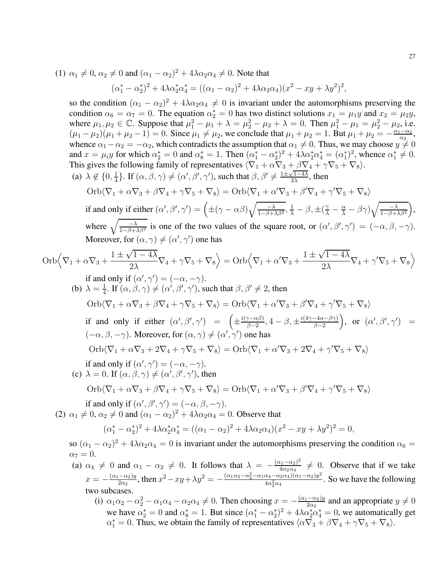(1)  $\alpha_1 \neq 0$ ,  $\alpha_2 \neq 0$  and  $(\alpha_1 - \alpha_2)^2 + 4\lambda \alpha_2 \alpha_4 \neq 0$ . Note that

$$
(\alpha_1^* - \alpha_2^*)^2 + 4\lambda \alpha_2^* \alpha_4^* = ((\alpha_1 - \alpha_2)^2 + 4\lambda \alpha_2 \alpha_4)(x^2 - xy + \lambda y^2)^2,
$$

so the condition  $(\alpha_1 - \alpha_2)^2 + 4\lambda \alpha_2 \alpha_4 \neq 0$  is invariant under the automorphisms preserving the condition  $\alpha_6 = \alpha_7 = 0$ . The equation  $\alpha_2^* = 0$  has two distinct solutions  $x_1 = \mu_1 y$  and  $x_2 = \mu_2 y$ , where  $\mu_1, \mu_2 \in \mathbb{C}$ . Suppose that  $\mu_1^2 - \mu_1 + \lambda = \mu_2^2 - \mu_2 + \lambda = 0$ . Then  $\mu_1^2 - \mu_1 = \mu_2^2 - \mu_2$ , i.e.  $(\mu_1 - \mu_2)(\mu_1 + \mu_2 - 1) = 0$ . Since  $\mu_1 \neq \mu_2$ , we conclude that  $\mu_1 + \mu_2 = 1$ . But  $\mu_1 + \mu_2 = -\frac{\alpha_1 - \alpha_2}{\alpha_2}$ , whence  $\alpha_1 - \alpha_2 = -\alpha_2$ , which contradicts the assumption that  $\alpha_1 \neq 0$ . Thus, we may choose  $y \neq 0$ and  $x = \mu_i y$  for which  $\alpha_2^* = 0$  and  $\alpha_8^* = 1$ . Then  $(\alpha_1^* - \alpha_2^*)^2 + 4\lambda \alpha_2^* \alpha_4^* = (\alpha_1^*)^2$ , whence  $\alpha_1^* \neq 0$ . This gives the following family of representatives  $\langle \nabla_1 + \alpha \nabla_3 + \beta \nabla_4 + \gamma \nabla_5 + \nabla_8 \rangle$ .

(a)  $\lambda \notin \{0, \frac{1}{4}\}$  $\frac{1}{4}$ . If  $(\alpha, \beta, \gamma) \neq (\alpha', \beta', \gamma')$ , such that  $\beta, \beta' \neq \frac{1 \pm \sqrt{1-4\lambda}}{2\lambda}$ , then

Orb
$$
\langle \nabla_1 + \alpha \nabla_3 + \beta \nabla_4 + \gamma \nabla_5 + \nabla_8 \rangle = \text{Orb} \langle \nabla_1 + \alpha' \nabla_3 + \beta' \nabla_4 + \gamma' \nabla_5 + \nabla_8 \rangle
$$

if and only if either  $(\alpha', \beta', \gamma') = \left( \pm (\gamma - \alpha \beta) \sqrt{\frac{-\lambda}{1 - \beta + \lambda \beta^2}}, \frac{1}{\lambda} - \beta, \pm (\frac{\gamma}{\lambda} - \frac{\alpha}{\lambda} - \beta \gamma) \sqrt{\frac{-\lambda}{1 - \beta + \lambda^2}} \right)$  $1-\beta+\lambda\beta^2$  , where  $\sqrt{\frac{-\lambda}{1-\beta+\lambda\beta^2}}$  is one of the two values of the square root, or  $(\alpha', \beta', \gamma') = (-\alpha, \beta, -\gamma)$ . Moreover, for  $(\alpha, \gamma) \neq (\alpha', \gamma')$  one has

Orb
$$
\left\langle \nabla_1 + \alpha \nabla_3 + \frac{1 \pm \sqrt{1 - 4\lambda}}{2\lambda} \nabla_4 + \gamma \nabla_5 + \nabla_8 \right\rangle = \text{Orb} \left\langle \nabla_1 + \alpha' \nabla_3 + \frac{1 \pm \sqrt{1 - 4\lambda}}{2\lambda} \nabla_4 + \gamma' \nabla_5 + \nabla_8 \right\rangle
$$
  
if and only if  $(\alpha', \gamma') = (-\alpha, -\gamma)$ .

(b) 
$$
\lambda = \frac{1}{4}
$$
. If  $(\alpha, \beta, \gamma) \neq (\alpha', \beta', \gamma')$ , such that  $\beta, \beta' \neq 2$ , then  
\n
$$
\text{Orb} \langle \nabla_1 + \alpha \nabla_3 + \beta \nabla_4 + \gamma \nabla_5 + \nabla_8 \rangle = \text{Orb} \langle \nabla_1 + \alpha' \nabla_3 + \beta' \nabla_4 + \gamma' \nabla_5 + \nabla_8 \rangle
$$
\nif and only if either  $(\alpha', \beta', \gamma') = \left( \pm \frac{i(\gamma - \alpha\beta)}{\beta - 2}, 4 - \beta, \pm \frac{i(4\gamma - 4\alpha - \beta\gamma)}{\beta - 2} \right)$ , or  $(\alpha', \beta', \gamma') = (-\alpha, \beta, -\gamma)$ . Moreover, for  $(\alpha, \gamma) \neq (\alpha', \gamma')$  one has  
\n
$$
\text{Orb} \langle \nabla_1 + \alpha \nabla_3 + 2\nabla_4 + \gamma \nabla_5 + \nabla_8 \rangle = \text{Orb} \langle \nabla_1 + \alpha' \nabla_3 + 2\nabla_4 + \gamma' \nabla_5 + \nabla_8 \rangle
$$
\nif and only if  $(\alpha', \gamma') = (-\alpha, -\gamma)$ .  
\n(c)  $\lambda = 0$ . If  $(\alpha, \beta, \gamma) \neq (\alpha', \beta', \gamma')$ , then

Orb
$$
\langle \nabla_1 + \alpha \nabla_3 + \beta \nabla_4 + \gamma \nabla_5 + \nabla_8 \rangle = \text{Orb} \langle \nabla_1 + \alpha' \nabla_3 + \beta' \nabla_4 + \gamma' \nabla_5 + \nabla_8 \rangle
$$

if and only if  $(\alpha', \beta', \gamma') = (-\alpha, \beta, -\gamma)$ . (2)  $\alpha_1 \neq 0$ ,  $\alpha_2 \neq 0$  and  $(\alpha_1 - \alpha_2)^2 + 4\lambda \alpha_2 \alpha_4 = 0$ . Observe that

$$
(\alpha_1^* - \alpha_2^*)^2 + 4\lambda \alpha_2^* \alpha_4^* = ((\alpha_1 - \alpha_2)^2 + 4\lambda \alpha_2 \alpha_4)(x^2 - xy + \lambda y^2)^2 = 0,
$$

so  $(\alpha_1 - \alpha_2)^2 + 4\lambda\alpha_2\alpha_4 = 0$  is invariant under the automorphisms preserving the condition  $\alpha_6 =$  $\alpha_7=0.$ 

- (a)  $\alpha_4 \neq 0$  and  $\alpha_1 \alpha_2 \neq 0$ . It follows that  $\lambda = -\frac{(\alpha_1 \alpha_2)^2}{4\alpha_2 \alpha_4}$  $\frac{a_1 - a_2}{4\alpha_2 \alpha_4} \neq 0$ . Observe that if we take  $x = -\frac{(\alpha_1 - \alpha_2)y}{2\alpha_2}$ , then  $x^2 - xy + \lambda y^2 = -\frac{(\alpha_1\alpha_2 - \alpha_2^2 - \alpha_1\alpha_4 - \alpha_2\alpha_4)(\alpha_1 - \alpha_2)y^2}{4\alpha_2^2\alpha_4}$  $\frac{\alpha_4 - \alpha_2 \alpha_4 + \alpha_3 \alpha_4}{\alpha_2^2 \alpha_4}$ . So we have the following two subcases.
	- (i)  $\alpha_1\alpha_2 \alpha_2^2 \alpha_1\alpha_4 \alpha_2\alpha_4 \neq 0$ . Then choosing  $x = -\frac{(\alpha_1 \alpha_2)y}{2\alpha_2}$  and an appropriate  $y \neq 0$ we have  $\alpha_2^* = 0$  and  $\alpha_8^* = 1$ . But since  $(\alpha_1^* - \alpha_2^*)^2 + 4\lambda \alpha_2^* \alpha_4^* = 0$ , we automatically get  $\alpha_1^* = 0$ . Thus, we obtain the family of representatives  $\langle \alpha \nabla_3 + \beta \nabla_4 + \gamma \nabla_5 + \nabla_8 \rangle$ .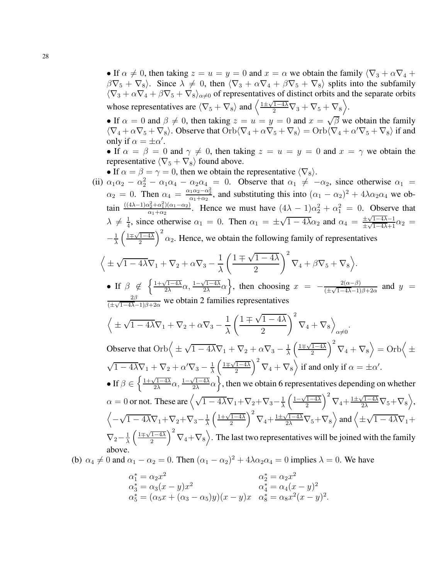• If  $\alpha \neq 0$ , then taking  $z = u = y = 0$  and  $x = \alpha$  we obtain the family  $\langle \nabla_3 + \alpha \nabla_4 + \nabla_5 \nabla_6 \nabla_7 + \nabla_7 \nabla_8 \nabla_8$  $\beta \nabla_5 + \nabla_8$ . Since  $\lambda \neq 0$ , then  $\langle \nabla_3 + \alpha \nabla_4 + \beta \nabla_5 + \nabla_8 \rangle$  splits into the subfamily  $\sqrt{V_3} + \alpha \nabla_4 + \beta \nabla_5 + \nabla_8$ <sub> $\alpha \neq 0$ </sub> of representatives of distinct orbits and the separate orbits whose representatives are  $\langle \nabla_5 + \nabla_8 \rangle$  and  $\langle \frac{1 \pm \sqrt{1-4\lambda}}{2} \nabla_3 + \nabla_5 + \nabla_8 \rangle$ .

• If  $\alpha = 0$  and  $\beta \neq 0$ , then taking  $z = u = y = 0$  and  $x = \sqrt{\beta}$  we obtain the family  $\langle \nabla_4 + \alpha \nabla_5 + \nabla_8 \rangle$ . Observe that  $\text{Orb}(\nabla_4 + \alpha \nabla_5 + \nabla_8) = \text{Orb}(\nabla_4 + \alpha' \nabla_5 + \nabla_8)$  if and only if  $\alpha = \pm \alpha'$ .

• If  $\alpha = \beta = 0$  and  $\gamma \neq 0$ , then taking  $z = u = y = 0$  and  $x = \gamma$  we obtain the representative  $\langle \nabla_5 + \nabla_8 \rangle$  found above.

- If  $\alpha = \beta = \gamma = 0$ , then we obtain the representative  $\langle \nabla_8 \rangle$ .
- (ii)  $\alpha_1\alpha_2 \alpha_2^2 \alpha_1\alpha_4 \alpha_2\alpha_4 = 0$ . Observe that  $\alpha_1 \neq -\alpha_2$ , since otherwise  $\alpha_1 =$  $\alpha_2 = 0$ . Then  $\alpha_4 = \frac{\alpha_1 \alpha_2 - \alpha_2^2}{\alpha_1 + \alpha_2}$ , and substituting this into  $(\alpha_1 - \alpha_2)^2 + 4\lambda \alpha_2 \alpha_4$  we obtain  $\frac{((4\lambda-1)\alpha_2^2+\alpha_1^2)(\alpha_1-\alpha_2)}{\alpha_1+\alpha_2}$  $\frac{\alpha_2^2 + \alpha_1^2(\alpha_1 - \alpha_2)}{\alpha_1 + \alpha_2}$ . Hence we must have  $(4\lambda - 1)\alpha_2^2 + \alpha_1^2 = 0$ . Observe that  $\lambda \neq \frac{1}{4}$  $\frac{1}{4}$ , since otherwise  $\alpha_1 = 0$ . Then  $\alpha_1 = \pm \sqrt{1 - 4\lambda} \alpha_2$  and  $\alpha_4 = \frac{\pm \sqrt{1 - 4\lambda} - 1}{\pm \sqrt{1 - 4\lambda} + 1}$  $\frac{\pm\sqrt{1-4\lambda-1}}{\pm\sqrt{1-4\lambda+1}}\alpha_2 =$  $-\frac{1}{\lambda}$  $\frac{1}{\lambda} \left( \frac{1 \pm \sqrt{1-4\lambda}}{2} \right)^2 \alpha_2$ . Hence, we obtain the following family of representatives

$$
\left\langle \pm\sqrt{1-4\lambda}\nabla_1 + \nabla_2 + \alpha\nabla_3 - \frac{1}{\lambda}\left(\frac{1\mp\sqrt{1-4\lambda}}{2}\right)^2\nabla_4 + \beta\nabla_5 + \nabla_8\right\rangle.
$$
\n• If  $\beta \notin \left\{\frac{1+\sqrt{1-4\lambda}}{2\lambda}\alpha, \frac{1-\sqrt{1-4\lambda}}{2\lambda}\alpha\right\}$ , then choosing  $x = -\frac{2(\alpha-\beta)}{(\pm\sqrt{1-4\lambda}-1)\beta+2\alpha}$  and  $y = \frac{2\beta}{(\pm\sqrt{1-4\lambda}-1)\beta+2\alpha}$  we obtain 2 families representatives

$$
\left\langle \pm\sqrt{1-4\lambda}\nabla_{1}+\nabla_{2}+\alpha\nabla_{3}-\frac{1}{\lambda}\left(\frac{1\mp\sqrt{1-4\lambda}}{2}\right)^{2}\nabla_{4}+\nabla_{8}\right\rangle_{\alpha\neq0}.
$$
  
Observe that 
$$
\mathrm{Orb}\left\langle \pm\sqrt{1-4\lambda}\nabla_{1}+\nabla_{2}+\alpha\nabla_{3}-\frac{1}{\lambda}\left(\frac{1\mp\sqrt{1-4\lambda}}{2}\right)^{2}\nabla_{4}+\nabla_{8}\right\rangle=\mathrm{Orb}\left\langle \pm\sqrt{1-4\lambda}\nabla_{1}+\nabla_{2}+\alpha\nabla_{3}-\frac{1}{\lambda}\left(\frac{1\mp\sqrt{1-4\lambda}}{2}\right)^{2}\nabla_{4}+\nabla_{8}\right\rangle.
$$

 $\sqrt{1-4\lambda}\nabla_1+\nabla_2+\alpha'\nabla_3-\frac{1}{\lambda}$  $\frac{1}{\lambda} \left( \frac{1 \pm \sqrt{1-4\lambda}}{2} \right)^2 \nabla_4 + \nabla_8$  if and only if  $\alpha = \pm \alpha'$ . • If  $\beta \in \left\{\frac{1+\sqrt{1-4\lambda}}{2\lambda}\alpha, \frac{1-\sqrt{1-4\lambda}}{2\lambda}\alpha\right\}$ , then we obtain 6 representatives depending on whether  $\alpha = 0$  or not. These are  $\sqrt{\sqrt{1 - 4\lambda}} \nabla_1 + \nabla_2 + \nabla_3 - \frac{1}{\lambda}$  $\frac{1}{\lambda} \left( \frac{1-\sqrt{1-4\lambda}}{2} \right)^2 \nabla_4 + \frac{1\pm\sqrt{1-4\lambda}}{2\lambda} \nabla_5 + \nabla_8 \right),$  $\sqrt{2}$ −  $\sqrt{1-4\lambda}\nabla_1+\nabla_2+\nabla_3-\frac{1}{\lambda}$  $\frac{1}{\lambda} \left( \frac{1+\sqrt{1-4\lambda}}{2} \right)^2 \nabla_4 + \frac{1 \pm \sqrt{1-4\lambda}}{2\lambda} \nabla_5 + \nabla_8 \right)$  and  $\left\langle \pm \right\rangle$  $\sqrt{1-4\lambda}\nabla_1 +$  $\nabla_2-\frac{1}{\lambda}$  $\frac{1}{\lambda} \left( \frac{1 \pm \sqrt{1-4\lambda}}{2} \right)^2 \nabla_4 + \nabla_8$ . The last two representatives will be joined with the family above.

(b)  $\alpha_4 \neq 0$  and  $\alpha_1 - \alpha_2 = 0$ . Then  $(\alpha_1 - \alpha_2)^2 + 4\lambda \alpha_2 \alpha_4 = 0$  implies  $\lambda = 0$ . We have

$$
\alpha_1^* = \alpha_2 x^2 \n\alpha_3^* = \alpha_3 (x - y)x^2 \n\alpha_5^* = (\alpha_5 x + (\alpha_3 - \alpha_5)y)(x - y)x \n\alpha_6^* = \alpha_8 x^2 (x - y)^2.
$$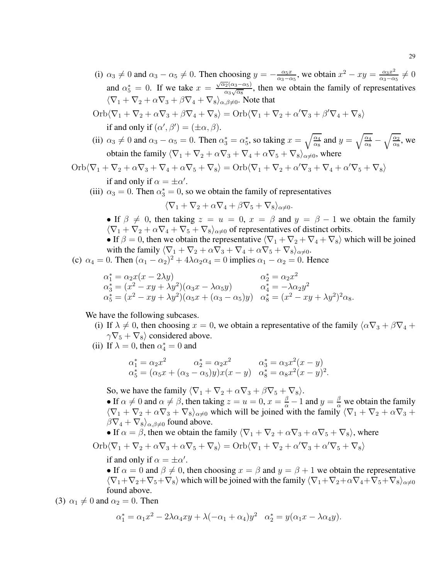(i)  $\alpha_3 \neq 0$  and  $\alpha_3 - \alpha_5 \neq 0$ . Then choosing  $y = -\frac{\alpha_5 x}{\alpha_3 - \alpha_5}$  $\frac{\alpha_5 x}{\alpha_3 - \alpha_5}$ , we obtain  $x^2 - xy = \frac{\alpha_3 x^2}{\alpha_3 - \alpha_5}$  $\frac{\alpha_3 x^2}{\alpha_3-\alpha_5}\neq 0$ and  $\alpha_5^* = 0$ . If we take  $x = \frac{\sqrt{\alpha_2}(\alpha_3 - \alpha_5)}{\alpha_3\sqrt{\alpha_8}}$  $\frac{\alpha_2(\alpha_3-\alpha_5)}{\alpha_3\sqrt{\alpha_8}}$ , then we obtain the family of representatives  $\langle \nabla_1 + \nabla_2 + \alpha \nabla_3 + \beta \nabla_4 + \nabla_8 \rangle_{\alpha, \beta \neq 0}$ . Note that

Orb
$$
\langle \nabla_1 + \nabla_2 + \alpha \nabla_3 + \beta \nabla_4 + \nabla_8 \rangle = \text{Orb} \langle \nabla_1 + \nabla_2 + \alpha' \nabla_3 + \beta' \nabla_4 + \nabla_8 \rangle
$$
  
if and only if  $(\alpha', \beta') = (\pm \alpha, \beta)$ .

(ii)  $\alpha_3 \neq 0$  and  $\alpha_3 - \alpha_5 = 0$ . Then  $\alpha_3^* = \alpha_5^*$ , so taking  $x = \sqrt{\frac{\alpha_4}{\alpha_8}}$  and  $y = \sqrt{\frac{\alpha_4}{\alpha_8}} - \sqrt{\frac{\alpha_2}{\alpha_8}}$ , we obtain the family  $\langle \nabla_1 + \nabla_2 + \alpha \nabla_3 + \nabla_4 + \alpha \nabla_5 + \nabla_8 \rangle_{\alpha \neq 0}$ , where

$$
\mathrm{Orb} \langle \nabla_1 + \nabla_2 + \alpha \nabla_3 + \nabla_4 + \alpha \nabla_5 + \nabla_8 \rangle = \mathrm{Orb} \langle \nabla_1 + \nabla_2 + \alpha' \nabla_3 + \nabla_4 + \alpha' \nabla_5 + \nabla_8 \rangle
$$

if and only if  $\alpha = \pm \alpha'$ .

(iii)  $\alpha_3 = 0$ . Then  $\alpha_3^* = 0$ , so we obtain the family of representatives

$$
\langle \nabla_1 + \nabla_2 + \alpha \nabla_4 + \beta \nabla_5 + \nabla_8 \rangle_{\alpha \neq 0}.
$$

• If  $\beta \neq 0$ , then taking  $z = u = 0$ ,  $x = \beta$  and  $y = \beta - 1$  we obtain the family  $\langle \nabla_1 + \nabla_2 + \alpha \nabla_4 + \nabla_5 + \nabla_8 \rangle_{\alpha \neq 0}$  of representatives of distinct orbits.

• If  $\beta = 0$ , then we obtain the representative  $\langle \nabla_1 + \nabla_2 + \nabla_4 + \nabla_8 \rangle$  which will be joined with the family  $\langle \nabla_1 + \nabla_2 + \alpha \nabla_3 + \nabla_4 + \alpha \nabla_5 + \nabla_8 \rangle_{\alpha \neq 0}$ .

(c)  $\alpha_4 = 0$ . Then  $(\alpha_1 - \alpha_2)^2 + 4\lambda \alpha_2 \alpha_4 = 0$  implies  $\alpha_1 - \alpha_2 = 0$ . Hence

$$
\alpha_1^* = \alpha_2 x (x - 2\lambda y) \qquad \alpha_2^* = \alpha_2 x^2 \n\alpha_3^* = (x^2 - xy + \lambda y^2)(\alpha_3 x - \lambda \alpha_5 y) \qquad \alpha_4^* = -\lambda \alpha_2 y^2 \n\alpha_5^* = (x^2 - xy + \lambda y^2)(\alpha_5 x + (\alpha_3 - \alpha_5)y) \qquad \alpha_8^* = (x^2 - xy + \lambda y^2)^2 \alpha_8.
$$

We have the following subcases.

- (i) If  $\lambda \neq 0$ , then choosing  $x = 0$ , we obtain a representative of the family  $\langle \alpha \nabla_3 + \beta \nabla_4 + \beta \nabla_5 \nabla_6 \nabla_7 + \beta \nabla_8 \nabla_8$  $\gamma \nabla_5 + \nabla_8$  considered above.
- (ii) If  $\lambda = 0$ , then  $\alpha_4^* = 0$  and

$$
\alpha_1^* = \alpha_2 x^2 \qquad \alpha_2^* = \alpha_2 x^2 \qquad \alpha_3^* = \alpha_3 x^2 (x - y) \n\alpha_5^* = (\alpha_5 x + (\alpha_3 - \alpha_5) y) x (x - y) \qquad \alpha_8^* = \alpha_8 x^2 (x - y)^2.
$$

So, we have the family  $\langle \nabla_1 + \nabla_2 + \alpha \nabla_3 + \beta \nabla_5 + \nabla_8 \rangle$ .

• If  $\alpha \neq 0$  and  $\alpha \neq \beta$ , then taking  $z = u = 0$ ,  $x = \frac{\beta}{\alpha} - 1$  and  $y = \frac{\beta}{\alpha}$  we obtain the family  $\left(\nabla_1 + \nabla_2 + \alpha\nabla_3 + \nabla_8\right)_{\alpha\neq 0}$  which will be joined with the family  $\left(\nabla_1 + \nabla_2 + \alpha\nabla_3 + \nabla_4\right)$  $\beta \nabla_4 + \nabla_8 \rangle_{\alpha, \beta \neq 0}$  found above.

• If  $\alpha = \beta$ , then we obtain the family  $\langle \nabla_1 + \nabla_2 + \alpha \nabla_3 + \alpha \nabla_5 + \nabla_8 \rangle$ , where

Orb
$$
\langle \nabla_1 + \nabla_2 + \alpha \nabla_3 + \alpha \nabla_5 + \nabla_8 \rangle = \text{Orb} \langle \nabla_1 + \nabla_2 + \alpha' \nabla_3 + \alpha' \nabla_5 + \nabla_8 \rangle
$$

if and only if  $\alpha = \pm \alpha'$ .

• If  $\alpha = 0$  and  $\beta \neq 0$ , then choosing  $x = \beta$  and  $y = \beta + 1$  we obtain the representative  $\sqrt{(V_1+V_2+V_5+V_8)}$  which will be joined with the family  $\sqrt{(V_1+V_2+\alpha V_4+V_5+V_8)}$ found above.

(3)  $\alpha_1 \neq 0$  and  $\alpha_2 = 0$ . Then

$$
\alpha_1^* = \alpha_1 x^2 - 2\lambda \alpha_4 xy + \lambda (-\alpha_1 + \alpha_4) y^2 \quad \alpha_2^* = y(\alpha_1 x - \lambda \alpha_4 y).
$$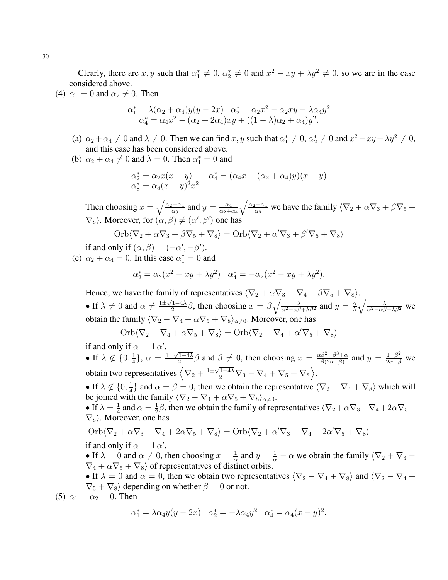Clearly, there are  $x, y$  such that  $\alpha_1^* \neq 0$ ,  $\alpha_2^* \neq 0$  and  $x^2 - xy + \lambda y^2 \neq 0$ , so we are in the case considered above.

(4)  $\alpha_1 = 0$  and  $\alpha_2 \neq 0$ . Then

$$
\alpha_1^* = \lambda(\alpha_2 + \alpha_4)y(y - 2x) \quad \alpha_2^* = \alpha_2 x^2 - \alpha_2 xy - \lambda \alpha_4 y^2 \n\alpha_4^* = \alpha_4 x^2 - (\alpha_2 + 2\alpha_4)xy + ((1 - \lambda)\alpha_2 + \alpha_4)y^2.
$$

- (a)  $\alpha_2 + \alpha_4 \neq 0$  and  $\lambda \neq 0$ . Then we can find x, y such that  $\alpha_1^* \neq 0$ ,  $\alpha_2^* \neq 0$  and  $x^2 xy + \lambda y^2 \neq 0$ , and this case has been considered above.
- (b)  $\alpha_2 + \alpha_4 \neq 0$  and  $\lambda = 0$ . Then  $\alpha_1^* = 0$  and

$$
\alpha_2^* = \alpha_2 x (x - y) \qquad \alpha_4^* = (\alpha_4 x - (\alpha_2 + \alpha_4)y)(x - y) \n\alpha_8^* = \alpha_8 (x - y)^2 x^2.
$$

Then choosing  $x = \sqrt{\frac{\alpha_2 + \alpha_4}{\alpha_8}}$  and  $y = \frac{\alpha_4}{\alpha_2 + \alpha_4}$  $\frac{\alpha_4}{\alpha_2+\alpha_4}\sqrt{\frac{\alpha_2+\alpha_4}{\alpha_8}}$  we have the family  $\langle \nabla_2+\alpha\nabla_3+\beta\nabla_5+\beta\alpha_4\rangle$  $\nabla_8$ ). Moreover, for  $(\alpha, \beta) \neq (\alpha', \beta')$  one has

$$
\mathrm{Orb}\langle \nabla_2+\alpha\nabla_3+\beta\nabla_5+\nabla_8\rangle=\mathrm{Orb}\langle \nabla_2+\alpha'\nabla_3+\beta'\nabla_5+\nabla_8\rangle
$$

if and only if  $(\alpha, \beta) = (-\alpha', -\beta').$ 

(c)  $\alpha_2 + \alpha_4 = 0$ . In this case  $\alpha_1^* = 0$  and

$$
\alpha_2^* = \alpha_2(x^2 - xy + \lambda y^2) \quad \alpha_4^* = -\alpha_2(x^2 - xy + \lambda y^2).
$$

Hence, we have the family of representatives  $\langle \nabla_2 + \alpha \nabla_3 - \nabla_4 + \beta \nabla_5 + \nabla_8 \rangle$ . • If  $\lambda \neq 0$  and  $\alpha \neq \frac{1 \pm \sqrt{1-4\lambda}}{2} \beta$ , then choosing  $x = \beta \sqrt{\frac{\lambda}{\alpha^2 - \alpha \beta + \lambda \beta^2}}$  and  $y = \frac{\alpha}{\lambda}$  $\frac{\alpha}{\lambda}\sqrt{\frac{\lambda}{\alpha^2-\alpha\beta+\lambda\beta^2}}$  we obtain the family  $\langle \nabla_2 - \nabla_4 + \alpha \nabla_5 + \nabla_8 \rangle_{\alpha \neq 0}$ . Moreover, one has

 $Orb\langle\nabla_2-\nabla_4+\alpha\nabla_5+\nabla_8\rangle=Orb\langle\nabla_2-\nabla_4+\alpha'\nabla_5+\nabla_8\rangle$ 

if and only if  $\alpha = \pm \alpha'$ . • If  $\lambda \notin \{0, \frac{1}{4}\}$  $\frac{1}{4}$ ,  $\alpha = \frac{1 \pm \sqrt{1-4\lambda}}{2} \beta$  and  $\beta \neq 0$ , then choosing  $x = \frac{\alpha \beta^2 - \beta^3 + \alpha}{\beta(2\alpha - \beta)}$  $\frac{\beta^2 - \beta^3 + \alpha}{\beta(2\alpha - \beta)}$  and  $y = \frac{1 - \beta^2}{2\alpha - \beta}$  we obtain two representatives  $\left\langle \nabla_2 + \frac{1 \pm \sqrt{1-4\lambda}}{2} \nabla_3 - \nabla_4 + \nabla_5 + \nabla_8 \right\rangle$ .

• If  $\lambda \notin \{0, \frac{1}{4}\}$  $\frac{4}{4}$  and  $\alpha = \beta = 0$ , then we obtain the representative  $\langle \nabla_2 - \nabla_4 + \nabla_8 \rangle$  which will be joined with the family  $\langle \nabla_2 - \nabla_4 + \alpha \nabla_5 + \nabla_8 \rangle_{\alpha \neq 0}$ .

• If  $\lambda = \frac{1}{4}$  $\frac{1}{4}$  and  $\alpha = \frac{1}{2}$  $\frac{1}{2}\beta$ , then we obtain the family of representatives  $\sqrt{\nabla_2 + \alpha \nabla_3 - \nabla_4 + 2\alpha \nabla_5 + \nabla_5}$  $\nabla_8$ ). Moreover, one has

Orb
$$
\langle \nabla_2 + \alpha \nabla_3 - \nabla_4 + 2\alpha \nabla_5 + \nabla_8 \rangle = \text{Orb} \langle \nabla_2 + \alpha' \nabla_3 - \nabla_4 + 2\alpha' \nabla_5 + \nabla_8 \rangle
$$

if and only if  $\alpha = \pm \alpha'$ .

• If  $\lambda = 0$  and  $\alpha \neq 0$ , then choosing  $x = \frac{1}{\alpha}$  $\frac{1}{\alpha}$  and  $y = \frac{1}{\alpha} - \alpha$  we obtain the family  $\langle \nabla_2 + \nabla_3 - \nabla_4 \rangle$  $\nabla_4 + \alpha \nabla_5 + \nabla_8$  of representatives of distinct orbits.

• If  $\lambda = 0$  and  $\alpha = 0$ , then we obtain two representatives  $\langle \nabla_2 - \nabla_4 + \nabla_8 \rangle$  and  $\langle \nabla_2 - \nabla_4 + \nabla_6 \rangle$  $\nabla_5 + \nabla_8$  depending on whether  $\beta = 0$  or not.

(5)  $\alpha_1 = \alpha_2 = 0$ . Then

$$
\alpha_1^* = \lambda \alpha_4 y (y - 2x)
$$
  $\alpha_2^* = -\lambda \alpha_4 y^2$   $\alpha_4^* = \alpha_4 (x - y)^2$ .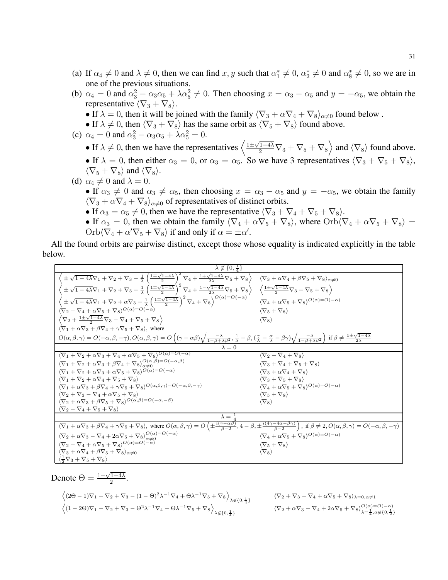- (a) If  $\alpha_4 \neq 0$  and  $\lambda \neq 0$ , then we can find x, y such that  $\alpha_1^* \neq 0$ ,  $\alpha_2^* \neq 0$  and  $\alpha_8^* \neq 0$ , so we are in one of the previous situations.
- (b)  $\alpha_4 = 0$  and  $\alpha_3^2 \alpha_3 \alpha_5 + \lambda \alpha_5^2 \neq 0$ . Then choosing  $x = \alpha_3 \alpha_5$  and  $y = -\alpha_5$ , we obtain the representative  $\langle \nabla_3 + \nabla_8 \rangle$ .
	- If  $\lambda = 0$ , then it will be joined with the family  $\langle \nabla_3 + \alpha \nabla_4 + \nabla_8 \rangle_{\alpha \neq 0}$  found below .
	- If  $\lambda \neq 0$ , then  $\langle \nabla_3 + \nabla_8 \rangle$  has the same orbit as  $\langle \nabla_5 + \nabla_8 \rangle$  found above.
- (c)  $\alpha_4 = 0$  and  $\alpha_3^2 \alpha_3 \alpha_5 + \lambda \alpha_5^2 = 0$ .
	- If  $\lambda \neq 0$ , then we have the representatives  $\left\langle \frac{1 \pm \sqrt{1-4\lambda}}{2} \nabla_3 + \nabla_5 + \nabla_8 \right\rangle$  and  $\langle \nabla_8 \rangle$  found above. • If  $\lambda = 0$ , then either  $\alpha_3 = 0$ , or  $\alpha_3 = \alpha_5$ . So we have 3 representatives  $\langle \nabla_3 + \nabla_5 + \nabla_8 \rangle$ ,  $\langle \nabla_5 + \nabla_8 \rangle$  and  $\langle \nabla_8 \rangle$ .
- (d)  $\alpha_4 \neq 0$  and  $\lambda = 0$ .
	- If  $\alpha_3 \neq 0$  and  $\alpha_3 \neq \alpha_5$ , then choosing  $x = \alpha_3 \alpha_5$  and  $y = -\alpha_5$ , we obtain the family  $\langle \nabla_3 + \alpha \nabla_4 + \nabla_8 \rangle_{\alpha \neq 0}$  of representatives of distinct orbits.
	- If  $\alpha_3 = \alpha_5 \neq 0$ , then we have the representative  $\langle \nabla_3 + \nabla_4 + \nabla_5 + \nabla_8 \rangle$ .
	- If  $\alpha_3 = 0$ , then we obtain the family  $\langle \nabla_4 + \alpha \nabla_5 + \nabla_8 \rangle$ , where  $\text{Orb}(\nabla_4 + \alpha \nabla_5 + \nabla_8)$  $Orb\langle\nabla_4+\alpha'\nabla_5+\nabla_8\rangle$  if and only if  $\alpha=\pm\alpha'$ .

All the found orbits are pairwise distinct, except those whose equality is indicated explicitly in the table below.

| $\lambda \notin \{0, \frac{1}{4}\}\$                                                                                                                                                                                                                                                                                                                           |                                                                                  |
|----------------------------------------------------------------------------------------------------------------------------------------------------------------------------------------------------------------------------------------------------------------------------------------------------------------------------------------------------------------|----------------------------------------------------------------------------------|
| $\left\langle \pm\sqrt{1-4\lambda}\nabla_{1}+\nabla_{2}+\nabla_{3}-\frac{1}{\lambda}\left(\frac{1\mp\sqrt{1-4\lambda}}{2}\right)^{2}\nabla_{4}+\frac{1+\sqrt{1-4\lambda}}{2\lambda}\nabla_{5}+\nabla_{8}\right\rangle \quad \langle \nabla_{3}+\alpha\nabla_{4}+\beta\nabla_{5}+\overline{\nabla_{8}\rangle_{\alpha\neq0}}$                                    |                                                                                  |
| $\left\langle \pm\sqrt{1-4\lambda}\nabla_1+\nabla_2+\nabla_3-\frac{1}{\lambda}\left(\frac{1\mp\sqrt{1-4\lambda}}{2}\right)^2\nabla_4+\frac{1-\sqrt{1-4\lambda}}{2\lambda}\nabla_5+\nabla_8\right\rangle$ $\left\langle \frac{1\pm\sqrt{1-4\lambda}}{2}\nabla_3+\nabla_5+\nabla_8\right\rangle$                                                                 |                                                                                  |
| $\Big\langle \pm \sqrt{1-4 \lambda} \nabla_1+\nabla_2+\alpha \nabla_3-\tfrac 1 \lambda \left(\tfrac{1\mp \sqrt{1-4 \lambda}}{2}\right)^2 \nabla_4+\nabla_8 \Big\rangle^{O(\alpha)=O(-\alpha)}$                                                                                                                                                                 | $\langle \nabla_4 + \alpha \nabla_5 + \nabla_8 \rangle^{O(\alpha) = O(-\alpha)}$ |
| $\langle \nabla_2 - \nabla_4 + \alpha \nabla_5 + \nabla_8 \rangle^{O(\alpha) = O(-\alpha)}$                                                                                                                                                                                                                                                                    | $\langle \nabla_5 + \nabla_8 \rangle$                                            |
| $\left\langle \nabla_2 + \frac{1 \pm \sqrt{1-4\lambda}}{2} \nabla_3 - \nabla_4 + \nabla_5 + \nabla_8 \right\rangle$                                                                                                                                                                                                                                            | $\langle \nabla_8 \rangle$                                                       |
| $(\nabla_1 + \alpha \nabla_3 + \beta \nabla_4 + \gamma \nabla_5 + \nabla_8)$ , where                                                                                                                                                                                                                                                                           |                                                                                  |
| $O(\alpha,\beta,\gamma) = O(-\alpha,\beta,-\gamma), O(\alpha,\beta,\gamma) = O\left((\gamma-\alpha\beta)\sqrt{\frac{-\lambda}{1-\beta+\lambda\beta^2}},\frac{1}{\lambda}-\beta,(\frac{\gamma}{\lambda}-\frac{\alpha}{\lambda}-\beta\gamma)\sqrt{\frac{-\lambda}{1-\beta+\lambda\beta^2}}\right) \text{ if } \beta \neq \frac{1\pm\sqrt{1-4\lambda}}{2\lambda}$ |                                                                                  |
| $\lambda = 0$                                                                                                                                                                                                                                                                                                                                                  |                                                                                  |
| $\langle \nabla_1 + \nabla_2 + \alpha \nabla_3 + \nabla_4 + \alpha \nabla_5 + \nabla_8 \rangle^{O(\alpha) = O(-\alpha)}$                                                                                                                                                                                                                                       | $\langle \nabla_2 - \nabla_4 + \nabla_8 \rangle$                                 |
| $\langle \nabla_1+\nabla_2+\alpha\nabla_3+\beta\nabla_4+\nabla_8 \rangle_{\alpha\neq 0}^{O(\alpha,\beta)=O(-\alpha,\beta)}$                                                                                                                                                                                                                                    | $\langle \nabla_3 + \nabla_4 + \nabla_5 + \nabla_8 \rangle$                      |
| $\langle \nabla_1 + \nabla_2 + \alpha \nabla_3 + \alpha \nabla_5 + \nabla_8 \rangle^{O(\alpha) = O(-\alpha)}$                                                                                                                                                                                                                                                  | $\langle \nabla_3 + \alpha \nabla_4 + \nabla_8 \rangle$                          |
| $\langle \nabla_1 + \nabla_2 + \alpha \nabla_4 + \nabla_5 + \nabla_8 \rangle$                                                                                                                                                                                                                                                                                  | $\langle \nabla_3 + \nabla_5 + \nabla_8 \rangle$                                 |
| $\langle \nabla_1 + \alpha \nabla_3 + \beta \nabla_4 + \gamma \nabla_5 + \nabla_8 \rangle {O}(\alpha,\beta,\gamma) {=} {O}(-\alpha,\beta,-\gamma)$                                                                                                                                                                                                             | $\langle \nabla_4+\alpha\nabla_5+\nabla_8\rangle^{O(\alpha)=O(-\alpha)}$         |
| $\langle \nabla_2 + \nabla_3 - \nabla_4 + \alpha \nabla_5 + \nabla_8 \rangle$                                                                                                                                                                                                                                                                                  | $\langle \nabla_5 + \nabla_8 \rangle$                                            |
| $\langle \nabla_2 + \alpha \nabla_3 + \beta \nabla_5 + \nabla_8 \rangle^{O(\alpha, \beta) = O(-\alpha, -\beta)}$                                                                                                                                                                                                                                               | $\langle \nabla_8 \rangle$                                                       |
| $\langle \nabla_2 - \nabla_4 + \nabla_5 + \nabla_8 \rangle$                                                                                                                                                                                                                                                                                                    |                                                                                  |
| $\lambda = \frac{1}{4}$                                                                                                                                                                                                                                                                                                                                        |                                                                                  |
| $\langle \nabla_1 + \alpha \nabla_3 + \beta \nabla_4 + \gamma \nabla_5 + \nabla_8 \rangle$ , where $O(\alpha, \beta, \gamma) = O\left(\pm \frac{i(\gamma - \alpha\beta)}{\beta - 2}, 4 - \beta, \pm \frac{i(4\gamma - 4\alpha - \beta\gamma)}{\beta - 2}\right)$ , if $\beta \neq 2, O(\alpha, \beta, \gamma) = O(-\alpha, \beta, -\gamma)$                    |                                                                                  |
| $\langle \nabla_2+\alpha\nabla_3-\nabla_4+2\alpha\nabla_5+\nabla_8 \rangle_{\alpha\neq 0}^{O(\alpha)=O(-\alpha)}$                                                                                                                                                                                                                                              | $\langle \nabla_4+\alpha\nabla_5+\nabla_8\rangle^{O(\alpha)=O(-\alpha)}$         |
| $\langle \nabla_2 - \nabla_4 + \alpha \nabla_5 + \nabla_8 \rangle O(\alpha) = O(-\alpha)$                                                                                                                                                                                                                                                                      | $\langle \nabla_5 + \nabla_8 \rangle$                                            |
| $\langle \nabla_3 + \alpha \nabla_4 + \beta \nabla_5 + \nabla_8 \rangle_{\alpha \neq 0}$                                                                                                                                                                                                                                                                       | $\langle \nabla_8 \rangle$                                                       |
| $\langle \frac{1}{2}\nabla_3 + \nabla_5 + \nabla_8 \rangle$                                                                                                                                                                                                                                                                                                    |                                                                                  |

Denote  $\Theta = \frac{1 + \sqrt{1 - 4\lambda}}{2}$ .

$$
\begin{aligned}\n\left\langle (2\Theta - 1)\nabla_1 + \nabla_2 + \nabla_3 - (1 - \Theta)^2 \lambda^{-1} \nabla_4 + \Theta \lambda^{-1} \nabla_5 + \nabla_8 \right\rangle_{\lambda \notin \{0, \frac{1}{4}\}} \\
\left\langle (1 - 2\Theta)\nabla_1 + \nabla_2 + \nabla_3 - \Theta^2 \lambda^{-1} \nabla_4 + \Theta \lambda^{-1} \nabla_5 + \nabla_8 \right\rangle_{\lambda \notin \{0, \frac{1}{4}\}}\n\end{aligned}
$$

 $\langle \nabla_2 + \nabla_3 - \nabla_4 + \alpha \nabla_5 + \nabla_8 \rangle_{\lambda=0, \alpha \neq 1}$  $\langle \nabla_2 + \alpha \nabla_3 - \nabla_4 + 2\alpha \nabla_5 + \nabla_8 \rangle_{\lambda = \frac{1}{4}, \alpha \notin \{0, \frac{1}{2}\}}^{O(\alpha) = O(-\alpha)}$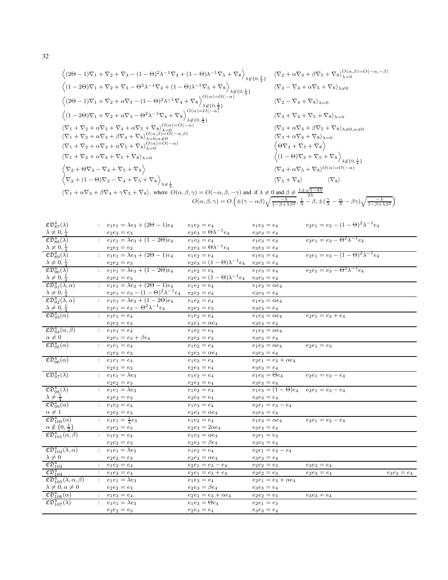$$
\langle (2\Theta - 1)\nabla_1 + \nabla_2 + \nabla_3 - (1 - \Theta)^2 \lambda^{-1} \nabla_4 + (1 - \Theta)\lambda^{-1} \nabla_5 + \nabla_8 \rangle_{\lambda \notin \{0, \frac{1}{4}\}} \langle \nabla_2 + \alpha \nabla_3 + \beta \nabla_5 + \nabla_8 \rangle_{\lambda = 0}^{O(\alpha, \beta) = O(-\alpha, -\beta)}
$$
\n
$$
\langle (1 - 2\Theta)\nabla_1 + \nabla_2 + \nabla_3 - \Theta^2 \lambda^{-1} \nabla_4 + (1 - \Theta)\lambda^{-1} \nabla_5 + \nabla_8 \rangle_{\lambda \notin \{0, \frac{1}{4}\}} \langle \nabla_2 - \nabla_4 + \alpha \nabla_5 + \nabla_8 \rangle_{\lambda \neq 0}
$$
\n
$$
\langle (2\Theta - 1)\nabla_1 + \nabla_2 + \alpha \nabla_3 - (1 - \Theta)^2 \lambda^{-1} \nabla_4 + \nabla_8 \rangle_{\lambda \notin \{0, \frac{1}{4}\}} \langle \nabla_2 - \nabla_4 + \nabla_8 \rangle_{\lambda = 0}
$$
\n
$$
\langle \nabla_3 + \nabla_4 + \nabla_5 + \nabla_8 \rangle_{\lambda = 0}
$$
\n
$$
\langle \nabla_1 + \nabla_2 + \alpha \nabla_3 + \nabla_4 + \alpha \nabla_5 + \nabla_8 \rangle_{\lambda = 0}^{O(\alpha) = O(-\alpha)}
$$
\n
$$
\langle \nabla_3 + \alpha \nabla_4 + \beta \nabla_5 + \nabla_8 \rangle_{\lambda = 0}
$$
\n
$$
\langle \nabla_1 + \nabla_2 + \alpha \nabla_3 + \beta \nabla_4 + \nabla_8 \rangle_{\lambda = 0}
$$
\n
$$
\langle \nabla_1 + \nabla_2 + \alpha \nabla_3 + \beta \nabla_4 + \nabla_8 \rangle_{\lambda = 0}
$$
\n
$$
\langle \nabla_1 + \nabla_2 + \alpha \nabla_3 + \alpha \nabla_5 + \nabla_8 \rangle_{\lambda = 0}
$$
\n
$$
\langle \nabla
$$

$$
\langle \nabla_1 + \alpha \nabla_3 + \beta \nabla_4 + \gamma \nabla_5 + \nabla_8 \rangle, \text{ where } O(\alpha, \beta, \gamma) = O(-\alpha, \beta, -\gamma) \text{ and if } \lambda \neq 0 \text{ and } \beta \neq \frac{1 \pm \sqrt{1 - 4\lambda}}{2\lambda}
$$

$$
O(\alpha, \beta, \gamma) = O\left(\pm(\gamma - \alpha\beta)\sqrt{\frac{-\lambda}{1 - \beta + \lambda\beta^2}}, \frac{1}{\lambda} - \beta, \pm(\frac{\gamma}{\lambda} - \frac{\alpha}{\lambda} - \beta\gamma)\sqrt{\frac{-\lambda}{1 - \beta + \lambda\beta^2}}\right)
$$

| $\mathfrak{CD}_{87}^4(\lambda)$                                             |                               | $e_1e_1 = \lambda e_3 + (2\Theta - 1)e_4$                     | $e_1e_2 = e_4$                         | $e_1e_3 = e_4$                                  | $e_2e_1 = e_3 - (1 - \Theta)^2 \lambda^{-1} e_4$ |              |
|-----------------------------------------------------------------------------|-------------------------------|---------------------------------------------------------------|----------------------------------------|-------------------------------------------------|--------------------------------------------------|--------------|
| $\lambda \neq 0, \frac{1}{4}$                                               |                               |                                                               | $e_2e_3 = \Theta \lambda^{-1}e_4$      | $e_3e_3 = e_4$                                  |                                                  |              |
| $\mathfrak{CD}_{88}^4(\lambda)$                                             |                               | $e_2e_2 = e_3$<br>: $e_1e_1 = \lambda e_3 + (1 - 2\Theta)e_4$ | $e_1e_2 = e_4$                         | $e_1e_3 = e_4$                                  | $e_2e_1 = e_3 - \Theta^2 \lambda^{-1} e_4$       |              |
| $\lambda \neq 0, \frac{1}{4}$                                               |                               | $e_2e_2 = e_3$                                                | $e_2e_3 = \Theta \lambda^{-1}e_4$      | $e_3e_3 = e_4$                                  |                                                  |              |
| $\mathfrak{CD}^4_{89}(\lambda)$                                             |                               | $\frac{1}{e_1e_1} = \lambda e_3 + (2\Theta - 1)e_4$           | $e_1e_2 = e_4$                         | $e_1e_3 = e_4$                                  | $e_2e_1 = e_3 - (1 - \Theta)^2 \lambda^{-1} e_4$ |              |
| $\lambda \neq 0, \frac{1}{4}$                                               |                               | $e_2e_2=e_3$                                                  | $e_2e_3 = (1 - \Theta)\lambda^{-1}e_4$ | $e_3e_3 = e_4$                                  |                                                  |              |
| $\mathfrak{CD}_{90}^4(\lambda)$                                             |                               | $e_1e_1 = \lambda e_3 + (1-2\Theta)e_4$                       | $e_1e_2 = e_4$                         | $e_1e_3 = e_4$                                  | $e_2e_1 = e_3 - \Theta^2 \lambda^{-1} e_4$       |              |
| $\lambda \neq 0, \frac{1}{4}$                                               |                               | $e_2e_2=e_3$                                                  | $e_2e_3 = (1 - \Theta)\lambda^{-1}e_4$ | $e_3e_3 = e_4$                                  |                                                  |              |
| $\mathfrak{C} \mathfrak{D}^4_{91}(\lambda, \alpha)$                         |                               | $e_1e_1 = \lambda e_3 + (2\Theta - 1)e_4$                     | $e_1e_2 = e_4$                         | $e_1e_3 = \alpha e_4$                           |                                                  |              |
| $\lambda \neq 0, \frac{1}{4}$                                               |                               | $e_2e_1 = e_3 - (1 - \Theta)^2 \lambda^{-1} e_4$              | $e_2e_2=e_3$                           | $e_3e_3 = e_4$                                  |                                                  |              |
| $\mathfrak{CD}_{92}^4(\lambda,\alpha)$                                      |                               | $e_1e_1 = \lambda e_3 + (1-2\Theta)e_4$                       | $e_1e_2 = e_4$                         | $e_1e_3 = \alpha e_4$                           |                                                  |              |
|                                                                             |                               | $e_2e_1 = e_3 - \Theta^2 \lambda^{-1} e_4$                    | $e_2e_2=e_3$                           | $e_3e_3 = e_4$                                  |                                                  |              |
| $\lambda \neq 0, \frac{1}{4}$<br>$\mathfrak{C} \mathfrak{D}^4_{93}(\alpha)$ |                               | $e_1e_1 = e_4$                                                | $e_1e_2 = e_4$                         | $e_1e_3 = \alpha e_4$                           | $e_2e_1 = e_3 + e_4$                             |              |
|                                                                             |                               | $e_2e_2 = e_3$                                                | $e_2e_3 = \alpha e_4$                  | $e_3e_3 = e_4$                                  |                                                  |              |
| $\mathfrak{CD}^4_{94}(\alpha,\beta)$                                        |                               | : $e_1e_1 = e_4$                                              | $e_1e_2 = e_4$                         | $e_1e_3 = \alpha e_4$                           |                                                  |              |
| $\underline{\alpha}\neq 0$                                                  |                               | $e_2e_1 = e_3 + \beta e_4$                                    | $e_2e_2=e_3$                           | $e_3e_3=e_4$                                    |                                                  |              |
| $\mathfrak{CD}_{95}^4(\alpha)$                                              |                               | : $e_1e_1 = e_4$                                              | $e_1e_2 = e_4$                         | $e_1e_3 = \alpha e_4$                           | $e_2e_1 = e_3$                                   |              |
|                                                                             |                               | $e_2e_2=e_3$                                                  | $e_2e_3 = \alpha e_4$                  | $e_3e_3=e_4$                                    |                                                  |              |
| $\mathfrak{C}\mathfrak{D}^4_{96}(\alpha)$                                   |                               | : $e_1e_1 = e_4$                                              | $e_1e_2 = e_4$                         | $e_2e_1 = e_3 + \alpha e_4$                     |                                                  |              |
|                                                                             |                               | $e_2e_2=e_3$                                                  | $e_2e_3 = e_4$                         | $e_3e_3=e_4$                                    |                                                  |              |
| $\mathfrak{CD}_{97}^4(\lambda)$                                             |                               | $\therefore$ $e_1e_1 = \lambda e_3$                           | $e_1e_2 = e_4$                         | $e_1e_3 = \Theta e_4$                           | $e_2e_1 = e_3 - e_4$                             |              |
|                                                                             |                               | $e_2e_2=e_3$                                                  | $e_2e_3 = e_4$                         | $e_3e_3 = e_4$                                  |                                                  |              |
| $\mathfrak{CD}_{98}^4(\lambda)$                                             |                               | $\therefore$ $e_1e_1 = \lambda e_3$                           | $e_1e_2 = e_4$                         | $e_1e_3 = (1 - \Theta)e_4$ $e_2e_1 = e_3 - e_4$ |                                                  |              |
| $\lambda \neq \frac{1}{4}$                                                  |                               | $e_2e_2=e_3$                                                  | $e_2e_3=e_4$                           | $e_3e_3 = e_4$                                  |                                                  |              |
| $\mathfrak{CD}_{99}^4(\alpha)$                                              |                               | : $e_1e_2 = e_4$                                              | $e_1e_3 = e_4$                         | $e_2e_1 = e_3 - e_4$                            |                                                  |              |
| $\alpha \neq 1$                                                             |                               | $e_2e_2=e_3$                                                  | $e_2e_3 = \alpha e_4$                  | $e_3e_3=e_4$                                    |                                                  |              |
| $\mathfrak{CD}^4_{100}(\alpha)$                                             |                               | $\overline{e_1e_1} = \frac{1}{4}e_3$                          | $e_1e_2 = e_4$                         | $e_1e_3 = \alpha e_4$                           | $e_2e_1 = e_3 - e_4$                             |              |
| $\alpha \notin \{0, \frac{1}{2}\}\$                                         |                               | $e_2e_2=e_3$                                                  | $e_2e_3=2\alpha e_4$                   | $e_3e_3 = e_4$                                  |                                                  |              |
| $\mathfrak{CD}^4_{101}(\alpha,\beta)$                                       |                               | : $e_1e_2 = e_4$                                              | $e_1e_3 = \alpha e_4$                  | $e_2e_1 = e_3$                                  |                                                  |              |
|                                                                             |                               | $e_2e_2 = e_3$                                                | $e_2e_3=\beta e_4$                     | $e_3e_3 = e_4$                                  |                                                  |              |
| $\mathfrak{CD}^4_{102}(\lambda,\alpha)$                                     |                               | $\overline{e_1e_1} = \lambda e_3$                             | $e_1e_2 = e_4$                         | $e_2e_1 = e_3 - e_4$                            |                                                  |              |
| $\lambda \neq 0$                                                            |                               | $e_2e_2=e_3$                                                  | $e_2e_3 = \alpha e_4$                  | $e_3e_3 = e_4$                                  |                                                  |              |
| $\mathfrak{C} \mathfrak{D}^4_{103}$                                         |                               | : $e_1e_2 = e_4$                                              | $e_2e_1 = e_3 - e_4$                   | $e_2e_2=e_3$                                    | $e_3e_3 = e_4$                                   |              |
| $\mathfrak{CD}^4_{104}$                                                     | $\mathcal{L}^{\mathcal{L}}$ . | $e_1e_3=e_4$                                                  | $e_2e_1 = e_3 + e_4$                   | $e_2e_2=e_3$                                    | $e_2e_3 = e_4$                                   | $e_3e_3=e_4$ |
| $\mathfrak{CD}^4_{105}(\lambda,\alpha,\beta)$                               |                               | $e_1e_1 = \lambda e_3$                                        | $e_1e_3 = e_4$                         | $e_2e_1 = e_3 + \alpha e_4$                     |                                                  |              |
| $\lambda \neq 0, \alpha \neq 0$                                             |                               | $e_2e_2=e_3$                                                  | $e_2e_3 = \beta e_4$                   | $e_3e_3 = e_4$                                  |                                                  |              |
| $\mathfrak{CD}^4_{106}(\alpha)$                                             |                               | : $e_1e_3 = e_4$                                              | $e_2e_1=e_3+\alpha e_4$                | $e_2e_2 = e_3$                                  | $e_3e_3 = e_4$                                   |              |
| $\mathfrak{CD}_{107}^4(\lambda)$                                            |                               | $e_1e_1 = \lambda e_3$                                        | $e_1e_3 = \Theta e_4$                  | $e_2e_1 = e_3$                                  |                                                  |              |
|                                                                             |                               | $e_2e_2 = e_3$                                                | $e_2e_3 = e_4$                         | $e_3e_3 = e_4$                                  |                                                  |              |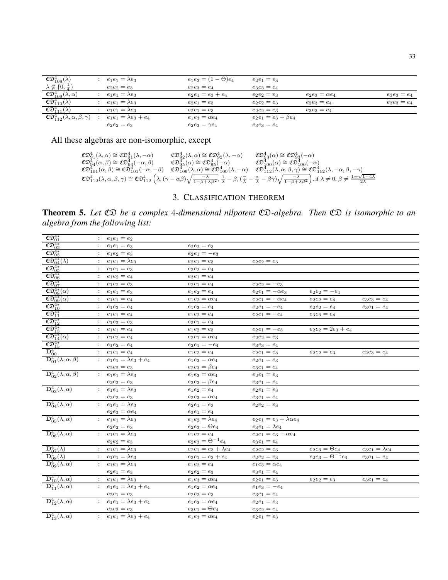| $\mathfrak{CD}^4_{108}(\lambda)$                     | $e_1e_1 = \lambda e_3$       | $e_1e_3 = (1 - \Theta)e_4$ | $e_2e_1 = e_3$             |                       |                |
|------------------------------------------------------|------------------------------|----------------------------|----------------------------|-----------------------|----------------|
| $\lambda \notin \{0, \frac{1}{4}\}\$                 | $e_2e_2=e_3$                 | $e_2e_3 = e_4$             | $e_3e_3=e_4$               |                       |                |
| $\mathfrak{CD}^4_{109}(\lambda,\alpha)$              | $e_1e_1 = \lambda e_3$       | $e_2e_1 = e_3 + e_4$       | $e_2e_2=e_3$               | $e_2e_3 = \alpha e_4$ | $e_3e_3 = e_4$ |
| $\mathfrak{CD}^4_{110}(\lambda)$                     | $e_1e_1 = \lambda e_3$       | $e_2e_1 = e_3$             | $e_2e_2=e_3$               | $e_2e_3 = e_4$        | $e_3e_3 = e_4$ |
| $\mathfrak{CD}^4_{111}(\lambda)$                     | $e_1e_1 = \lambda e_3$       | $e_2e_1 = e_3$             | $e_2e_2=e_3$               | $e_3e_3 = e_4$        |                |
| $\mathfrak{CD}_{112}^4(\lambda,\alpha,\beta,\gamma)$ | $e_1e_1 = \lambda e_3 + e_4$ | $e_1e_3 = \alpha e_4$      | $e_2e_1 = e_3 + \beta e_4$ |                       |                |
|                                                      | $e_2e_2=e_3$                 | $e_2e_3 = \gamma e_4$      | $e_3e_3=e_4$               |                       |                |

All these algebras are non-isomorphic, except

$$
\mathfrak{C3}^{4}_{91}(\lambda, \alpha) \cong \mathfrak{C3}^{4}_{91}(\lambda, -\alpha) \qquad \mathfrak{C3}^{4}_{92}(\lambda, \alpha) \cong \mathfrak{C3}^{4}_{92}(\lambda, -\alpha) \qquad \mathfrak{C3}^{4}_{93}(\alpha) \cong \mathfrak{C3}^{4}_{93}(-\alpha) \n\mathfrak{C3}^{4}_{94}(\alpha, \beta) \cong \mathfrak{C3}^{4}_{94}(-\alpha, \beta) \qquad \mathfrak{C3}^{4}_{95}(\alpha) \cong \mathfrak{C3}^{4}_{95}(-\alpha) \qquad \mathfrak{C3}^{4}_{100}(\alpha) \cong \mathfrak{C3}^{4}_{100}(-\alpha) \n\mathfrak{C3}^{4}_{101}(\alpha, \beta) \cong \mathfrak{C3}^{4}_{101}(-\alpha, -\beta) \qquad \mathfrak{C3}^{4}_{109}(\lambda, \alpha) \cong \mathfrak{C3}^{4}_{109}(\lambda, -\alpha) \qquad \mathfrak{C3}^{4}_{112}(\lambda, \alpha, \beta, \gamma) \cong \mathfrak{C3}^{4}_{112}(\lambda, -\alpha, \beta, -\gamma) \n\mathfrak{C3}^{4}_{112}(\lambda, \alpha, \beta, \gamma) \cong \mathfrak{C3}^{4}_{112}(\lambda, (\gamma - \alpha\beta)\sqrt{\frac{-\lambda}{1-\beta+\lambda\beta^2}}, \frac{1}{\lambda} - \beta, (\frac{\gamma}{\lambda} - \frac{\alpha}{\lambda} - \beta\gamma)\sqrt{\frac{-\lambda}{1-\beta+\lambda\beta^2}}, \text{if } \lambda \neq 0, \beta \neq \frac{1 \pm \sqrt{1-4\lambda}}{2\lambda}
$$

## 3. CLASSIFICATION THEOREM

Theorem 5. Let CD be a complex 4-dimensional nilpotent CD-algebra. Then CD is isomorphic to an algebra from the following list:

| $\mathfrak{C} \mathfrak{D}^{4\ast}_{01}$  | <b>Allen</b>                  | $e_1e_1=e_2$                        |                              |                                |                                      |                        |
|-------------------------------------------|-------------------------------|-------------------------------------|------------------------------|--------------------------------|--------------------------------------|------------------------|
| $\mathfrak{CD}^{4*}_{02}$                 |                               | $e_1e_1 = e_3$                      | $e_2e_2 = e_3$               |                                |                                      |                        |
| $\mathfrak{CD}^{4*}_{03}$                 | $\mathcal{I}^{\mathcal{I}}$ . | $e_1e_2 = e_3$                      | $e_2e_1 = -e_3$              |                                |                                      |                        |
| $\mathfrak{CD}^{4*}_{04}(\lambda)$        |                               | $e_1e_1=\lambda e_3$                | $e_2e_1 = e_3$               | $e_2e_2=e_3$                   |                                      |                        |
| $\mathfrak{CD}^{4*}_{05}$                 |                               | $e_1e_1=e_3$                        | $e_2e_2 = e_4$               |                                |                                      |                        |
| $\mathfrak{CD}^{4*}_{06}$                 | $\ddot{\cdot}$                | $e_1e_2 = e_4$                      | $e_3e_1 = e_4$               |                                |                                      |                        |
| $\mathfrak{CD}^{4*}_{07}$                 |                               | $e_1e_2=e_3$                        | $e_2e_1 = e_4$               | $e_2e_2 = -e_3$                |                                      |                        |
| $\mathfrak{CD}^{4*}_{08}(\alpha)$         |                               | $e_1e_1=e_3$                        | $e_1e_2 = e_4$               | $e_2e_1 = -\alpha e_3$         | $e_2e_2 = -e_4$                      |                        |
| $\mathfrak{CD}_{09}^{4*}(\alpha)$         |                               | $e_1e_1 = e_4$                      | $e_1e_2=\alpha e_4$          | $e_2e_1 = -\alpha e_4$         | $e_2e_2=e_4$                         | $e_3e_3=e_4$           |
| $\mathfrak{CD}_{10}^{4*}$                 |                               | $e_1e_2 = e_4$                      | $e_1e_3 = e_4$               | $e_2e_1 = -e_4$                | $e_2e_2 = e_4$                       | $e_3e_1 = e_4$         |
| $\mathfrak{CD}^{4\ast}_{11}$              |                               | $e_1e_1 = e_4$                      | $e_1e_2 = e_4$               | $e_2e_1 = -e_4$                | $e_3e_3=e_4$                         |                        |
| $\mathfrak{CD}^{4*}_{12}$                 |                               | $e_1e_2=e_3$                        | $e_2e_1 = e_4$               |                                |                                      |                        |
| $\mathfrak{CD}^{4*}_{13}$                 |                               | $e_1e_1 = e_4$                      | $e_1e_2 = e_3$               | $e_2e_1 = -e_3$                | $e_2e_2=2e_3+e_4$                    |                        |
| $\mathfrak{CD}^{4*}_{14}(\alpha)$         |                               | $e_1e_2 = e_4$                      | $e_2e_1=\alpha e_4$          | $e_2e_2=e_3$                   |                                      |                        |
| $\mathfrak{CD}^{4*}_{15}$                 |                               | $e_1e_2 = e_4$                      | $e_2e_1 = -e_4$              | $e_3e_3 = e_4$                 |                                      |                        |
| ${\bf D}^4_{00}$                          |                               | $e_1e_1 = e_4$                      | $e_1e_2 = e_4$               | $e_2e_1 = e_3$                 | $e_2e_2=e_3$                         | $e_2e_3 = e_4$         |
| $\mathbf{D}_{01}^4(\lambda,\alpha,\beta)$ |                               | $e_1e_1 = \lambda e_3 + e_4$        | $e_1e_3 = \alpha e_4$        | $e_2e_1 = e_3$                 |                                      |                        |
|                                           |                               | $e_2e_2=e_3$                        | $e_2e_3 = \beta e_4$         | $e_3e_1 = e_4$                 |                                      |                        |
| $\mathbf{D}_{02}^4(\lambda,\alpha,\beta)$ |                               | $e_1e_1 = \lambda e_3$              | $e_1e_3 = \alpha e_4$        | $e_2e_1 = e_3$                 |                                      |                        |
|                                           |                               | $e_2e_2=e_3$                        | $e_2e_3=\beta e_4$           | $e_3e_1 = e_4$                 |                                      |                        |
| $\mathbf{D}_{03}^4(\lambda,\alpha)$       |                               | $e_1e_1 = \lambda e_3$              | $e_1e_2 = e_4$               | $e_2e_1 = e_3$                 |                                      |                        |
|                                           |                               | $e_2e_2=e_3$                        | $e_2e_3 = \alpha e_4$        | $e_3e_1 = e_4$                 |                                      |                        |
| $\mathbf{D}_{04}^4(\lambda,\alpha)$       |                               | $\therefore$ $e_1e_1 = \lambda e_3$ | $e_2e_1 = e_3$               | $e_2e_2 = e_3$                 |                                      |                        |
|                                           |                               | $e_2e_3 = \alpha e_4$               | $e_3e_1=e_4$                 |                                |                                      |                        |
| ${\bf D}_{05}^4(\lambda,\alpha)$          |                               | $\therefore$ $e_1e_1 = \lambda e_3$ | $e_1e_2=\lambda e_4$         | $e_2e_1=e_3+\lambda\alpha e_4$ |                                      |                        |
|                                           |                               | $e_2e_2=e_3$                        | $e_2e_3 = \Theta e_4$        | $e_3e_1 = \lambda e_4$         |                                      |                        |
| $\mathbf{D}_{06}^4(\lambda,\alpha)$       |                               | $\therefore$ $e_1e_1 = \lambda e_3$ | $e_1e_2 = e_4$               | $e_2e_1 = e_3 + \alpha e_4$    |                                      |                        |
|                                           |                               | $e_2e_2=e_3$                        | $e_2e_3 = \Theta^{-1}e_4$    | $e_3e_1 = e_4$                 |                                      |                        |
| ${\bf D}_{07}^4(\lambda)$                 | $\mathcal{L}^{\text{max}}$    | $e_1e_1 = \lambda e_3$              | $e_2e_1 = e_3 + \lambda e_4$ | $e_2e_2 = e_3$                 | $e_2e_3 = \Theta e_4$                | $e_3e_1 = \lambda e_4$ |
| ${\bf D}^4_{08}(\lambda)$                 | $\mathcal{L}^{\text{max}}$    | $e_1e_1 = \lambda e_3$              | $e_2e_1 = e_3 + e_4$         | $e_2e_2=e_3$                   | $e_2e_3 = \overline{\Theta^{-1}e_4}$ | $e_3e_1 = e_4$         |
| ${\bf D}_{09}^4(\lambda,\alpha)$          |                               | $e_1e_1 = \lambda e_3$              | $e_1e_2 = e_4$               | $e_1e_3 = \alpha e_4$          |                                      |                        |
|                                           |                               | $e_2e_1=e_3$                        | $e_2e_2 = e_3$               | $e_3e_1 = e_4$                 |                                      |                        |
| ${\bf D}_{10}^4(\lambda,\alpha)$          | $\sim$                        | $e_1e_1 = \lambda e_3$              | $e_1e_3 = \alpha e_4$        | $e_2e_1 = e_3$                 | $e_2e_2 = e_3$                       | $e_3e_1 = e_4$         |
| $\mathbf{D}_{11}^4(\lambda,\alpha)$       |                               | $e_1e_1 = \lambda e_3 + e_4$        | $e_1e_2 = \alpha e_4$        | $e_1e_3 = -e_4$                |                                      |                        |
|                                           |                               | $e_2e_1=e_3$                        | $e_2e_2 = e_3$               | $e_3e_1 = e_4$                 |                                      |                        |
| $\mathbf{D}_{12}^4(\lambda,\alpha)$       |                               | $e_1e_1 = \lambda e_3 + e_4$        | $e_1e_3 = \alpha e_4$        | $e_2e_1 = e_3$                 |                                      |                        |
|                                           |                               | $e_2e_2=e_3$                        | $e_3e_1 = \Theta e_4$        | $e_3e_2 = e_4$                 |                                      |                        |
| ${\bf D}_{13}^4(\lambda,\alpha)$          |                               | $e_1e_1 = \lambda e_3 + e_4$        | $e_1e_3=\alpha e_4$          | $e_2e_1 = e_3$                 |                                      |                        |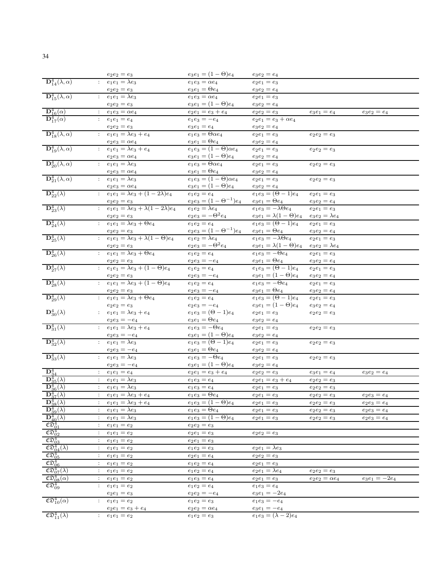|                                                                 |                               | $e_2e_2=e_3$                                                  | $e_3e_1 = (1 - \Theta)e_4$              | $e_3e_2 = e_4$                                         |                       |                  |
|-----------------------------------------------------------------|-------------------------------|---------------------------------------------------------------|-----------------------------------------|--------------------------------------------------------|-----------------------|------------------|
| $\mathbf{D}_{14}^4(\lambda,\alpha)$                             |                               | $e_1e_1 = \lambda e_3$                                        | $e_1e_3 = \alpha e_4$                   | $e_2e_1 = e_3$                                         |                       |                  |
|                                                                 |                               | $e_2e_2=e_3$                                                  | $e_3e_1 = \Theta e_4$                   | $e_3e_2 = e_4$                                         |                       |                  |
| $\mathbf{D}_{15}^4(\lambda,\alpha)$                             |                               | $e_1e_1 = \lambda e_3$                                        | $e_1e_3 = \alpha e_4$                   | $e_2e_1 = e_3$                                         |                       |                  |
|                                                                 |                               | $e_2e_2 = e_3$                                                | $e_3e_1 = (1 - \Theta)e_4$              | $e_3e_2 = e_4$                                         |                       |                  |
|                                                                 |                               | $e_1e_3 = \alpha e_4$                                         | $e_2e_1 = e_3 + e_4$                    | $e_2e_2=e_3$                                           | $e_3e_1 = e_4$        | $e_3e_2 = e_4$   |
| $\frac{{\mathbf D}_{16}^4(\alpha)}{{\mathbf D}_{17}^4(\alpha)}$ |                               | : $e_1e_1 = e_4$                                              | $e_1e_3 = -e_4$                         | $e_2e_1 = e_3 + \alpha e_4$                            |                       |                  |
|                                                                 |                               | $e_2e_2=e_3$                                                  | $e_3e_1 = e_4$                          | $e_3e_2 = e_4$                                         |                       |                  |
| ${\bf D}_{18}^4(\lambda,\alpha)$                                |                               | : $e_1e_1 = \lambda e_3 + e_4$                                | $e_1e_3 = \Theta \overline{\alpha e_4}$ | $e_2e_1=e_3$                                           | $e_2e_2 = e_3$        |                  |
|                                                                 |                               |                                                               | $e_3e_1 = \Theta e_4$                   |                                                        |                       |                  |
| $\mathbf{D}_{19}^4(\lambda,\alpha)$                             |                               | $e_2e_3 = \alpha e_4$<br>: $e_1e_1 = \lambda e_3 + e_4$       | $e_1e_3 = (1 - \Theta)\alpha e_4$       | $e_3e_2 = e_4$                                         |                       |                  |
|                                                                 |                               |                                                               |                                         | $e_2e_1 = e_3$                                         | $e_2e_2 = e_3$        |                  |
|                                                                 |                               | $e_2e_3=\alpha e_4$                                           | $e_3e_1 = (1 - \Theta)e_4$              | $e_3e_2 = e_4$                                         |                       |                  |
| ${\bf D}_{20}^4(\lambda,\alpha)$                                |                               | $e_1e_1 = \lambda e_3$                                        | $e_1e_3 = \Theta \alpha e_4$            | $e_2e_1 = e_3$                                         | $e_2e_2 = e_3$        |                  |
|                                                                 |                               | $e_2e_3 = \alpha e_4$                                         | $e_3e_1=\Theta e_4$                     | $e_3e_2 = e_4$                                         |                       |                  |
| $\mathbf{D}_{21}^4(\lambda,\alpha)$                             |                               | $e_1e_1 = \lambda e_3$                                        | $e_1e_3 = (1 - \Theta)\alpha e_4$       | $e_2e_1=e_3$                                           | $e_2e_2=e_3$          |                  |
|                                                                 |                               | $e_2e_3=\alpha e_4$                                           | $e_3e_1 = (1 - \Theta)e_4$              | $e_3e_2 = e_4$                                         |                       |                  |
| $\mathbf{D}_{22}^4(\lambda)$                                    |                               | : $e_1e_1 = \lambda e_3 + (1 - 2\lambda)e_4$                  | $e_1e_2 = e_4$                          | $e_1e_3 = (\Theta - \overline{1)e_4}$                  | $e_2e_1 = e_3$        |                  |
|                                                                 |                               | $e_2e_2=e_3$                                                  | $e_2e_3 = (1 - \Theta^{-1})e_4$         | $e_3e_1 = \Theta e_4$                                  | $e_3e_2 = e_4$        |                  |
| $\mathbf{D}_{23}^4(\lambda)$                                    |                               | $\therefore$ $e_1e_1 = \lambda e_3 + \lambda (1-2\lambda)e_4$ | $e_1e_2 = \lambda e_4$                  | $e_1e_3 = -\lambda \Theta e_4$                         | $e_2e_1 = e_3$        |                  |
|                                                                 |                               | $e_2e_2=e_3$                                                  | $e_2e_3 = -\Theta^2 e_4$                | $e_3e_1 = \lambda(1-\Theta)e_4$ $e_3e_2 = \lambda e_4$ |                       |                  |
| $\mathbf{D}_{24}^4(\lambda)$                                    |                               | : $e_1e_1 = \lambda e_3 + \Theta e_4$                         | $e_1e_2 = e_4$                          | $e_1e_3 = (\Theta - 1)e_4$                             | $e_2e_1 = e_3$        |                  |
|                                                                 |                               | $e_2e_2=e_3$                                                  | $e_2e_3=(1-\Theta^{-1})e_4$             | $e_3e_1 = \Theta e_4$                                  | $e_3e_2 = e_4$        |                  |
| $\mathbf{D}^4_{25}(\lambda)$                                    |                               | $e_1e_1 = \lambda e_3 + \lambda(1-\Theta)e_4$                 | $e_1e_2=\overline{\lambda e_4}$         | $e_1e_3 = -\lambda \Theta e_4$                         | $e_2e_1 = e_3$        |                  |
|                                                                 |                               | $e_2e_2=e_3$                                                  | $e_2e_3 = -\Theta^2 e_4$                | $e_3e_1 = \lambda(1-\Theta)e_4$                        | $e_3e_2=\lambda e_4$  |                  |
| $\mathbf{D}^4_{26}(\lambda)$                                    |                               | : $e_1e_1 = \lambda e_3 + \Theta e_4$                         | $e_1e_2 = e_4$                          | $e_1e_3 = -\Theta e_4$                                 | $e_2e_1 = e_3$        |                  |
|                                                                 |                               | $e_2e_2=e_3$                                                  | $e_2e_3 = -e_4$                         | $e_3e_1 = \Theta e_4$                                  | $e_3e_2 = e_4$        |                  |
| $\mathbf{D}_{27}^4(\lambda)$                                    |                               | : $e_1e_1 = \lambda e_3 + (1 - \Theta)e_4$                    | $e_1e_2 = e_4$                          | $e_1e_3 = (\Theta - 1)e_4$                             | $e_2e_1 = e_3$        |                  |
|                                                                 |                               |                                                               | $e_2e_3 = -e_4$                         | $e_3e_1 = (1 - \Theta)e_4$                             |                       |                  |
| $\mathbf{D}^4_{28}(\lambda)$                                    |                               | $e_2e_2=e_3$<br>: $e_1e_1 = \lambda e_3 + (1 - \Theta)e_4$    |                                         |                                                        | $e_3e_2 = e_4$        |                  |
|                                                                 |                               |                                                               | $e_1e_2 = e_4$                          | $e_1e_3 = -\Theta e_4$                                 | $e_2e_1 = e_3$        |                  |
|                                                                 |                               | $e_2e_2=e_3$                                                  | $e_2e_3 = -e_4$                         | $e_3e_1 = \Theta e_4$                                  | $e_3e_2 = e_4$        |                  |
| $\mathbf{D}_{29}^4(\lambda)$                                    |                               | : $e_1e_1 = \lambda e_3 + \Theta e_4$                         | $e_1e_2 = e_4$                          | $e_1e_3 = (\Theta - 1)e_4$                             | $e_2e_1 = e_3$        |                  |
|                                                                 |                               | $e_2e_2=e_3$                                                  | $e_2e_3 = -e_4$                         | $e_3e_1 = (1 - \Theta)e_4$                             | $e_3e_2 = e_4$        |                  |
| $\mathbf{D}^4_{30}(\lambda)$                                    |                               | : $e_1e_1 = \lambda e_3 + e_4$                                | $e_1e_3 = (\Theta - 1)e_4$              | $e_2e_1=e_3$                                           | $e_2e_2=e_3$          |                  |
|                                                                 |                               | $e_2e_3 = -e_4$                                               | $e_3e_1 = \Theta e_4$                   | $e_3e_2 = e_4$                                         |                       |                  |
| $\mathbf{D}_{31}^4(\lambda)$                                    |                               | : $e_1e_1 = \lambda e_3 + e_4$                                | $e_1e_3 = -\Theta e_4$                  | $e_2e_1=e_3$                                           | $e_2e_2 = e_3$        |                  |
|                                                                 |                               | $e_2e_3 = -e_4$                                               | $e_3e_1 = (1 - \Theta)e_4$              | $e_3e_2 = e_4$                                         |                       |                  |
| $\mathbf{D}^4_{32}(\lambda)$                                    |                               | $e_1e_1 = \lambda e_3$                                        | $e_1e_3 = (\Theta - 1)e_4$              | $e_2e_1 = e_3$                                         | $e_2e_2 = e_3$        |                  |
|                                                                 |                               | $e_2e_3 = -e_4$                                               | $e_3e_1 = \Theta e_4$                   | $e_3e_2 = e_4$                                         |                       |                  |
| $\mathbf{D}^4_{33}(\lambda)$                                    |                               | $e_1e_1 = \lambda e_3$                                        | $e_1e_3 = -\Theta e_4$                  | $e_2e_1 = e_3$                                         | $e_2e_2 = e_3$        |                  |
|                                                                 |                               | $e_2e_3 = -e_4$                                               | $e_3e_1 = (1 - \Theta)e_4$              | $e_3e_2 = e_4$                                         |                       |                  |
| $\mathbf{D}^4_{34}$                                             |                               | $e_1e_1=e_4$                                                  | $e_2e_1 = e_3 + e_4$                    | $e_2e_2=e_3$                                           | $e_3e_1 = e_4$        | $e_3e_2 = e_4$   |
| $\mathbf{D}^4_{35}(\lambda)$                                    |                               | $e_1e_1=\lambda e_3$                                          | $e_1e_3 = e_4$                          | $e_2e_1 = e_3 + e_4$                                   | $e_2e_2 = e_3$        |                  |
| $\mathbf{D}^4_{36}(\lambda)$                                    |                               | $e_1e_1 = \lambda e_3$                                        | $e_1e_3 = e_4$                          | $e_2e_1=e_3$                                           | $e_2e_2=e_3$          |                  |
| ${\bf D}_{37}^4(\lambda)$                                       |                               | $\overline{e_1e_1} = \lambda e_3 + e_4$                       | $e_1e_3 = \Theta e_4$                   | $e_2e_1=e_3$                                           | $e_2e_2=e_3$          | $e_2e_3 = e_4$   |
| $\mathbf{D}_{38}^4(\lambda)$                                    |                               | $e_1e_1 = \lambda e_3 + e_4$                                  | $e_1e_3 = (1 - \Theta)e_4$              | $e_2e_1 = e_3$                                         | $e_2e_2=e_3$          | $e_2e_3 = e_4$   |
| $\mathbf{D}^4_{39}(\lambda)$                                    |                               | $e_1e_1 = \lambda e_3$                                        | $e_1e_3 = \Theta e_4$                   | $e_2e_1 = e_3$                                         | $e_2e_2=e_3$          | $e_2e_3 = e_4$   |
| ${\bf D}_{40}^4(\lambda)$                                       | $\mathcal{I}^{\mathcal{I}}$ . | $e_1e_1 = \lambda e_3$                                        | $e_1e_3=(1-\overline{\Theta})e_4$       | $e_2e_1 = e_3$                                         | $e_2e_2=e_3$          | $e_2e_3 = e_4$   |
| $\mathfrak{CD}_{01}^4$                                          | $\ddot{\phantom{a}}$          | $e_1e_1 = e_2$                                                | $e_2e_2 = e_3$                          |                                                        |                       |                  |
| $\mathfrak{CD}_{02}^4$                                          | $\ddot{\phantom{a}}$          | $e_1e_1 = e_2$                                                | $e_2e_1=e_3$                            | $e_2e_2 = e_3$                                         |                       |                  |
| $\mathfrak{CD}^4_{03}$                                          | $\ddot{\phantom{a}}$          |                                                               |                                         |                                                        |                       |                  |
| $\mathfrak{CD}^4_{04}(\lambda)$                                 | $\ddot{\phantom{a}}$          | $e_1e_1 = e_2$                                                | $e_2e_1=e_3$                            |                                                        |                       |                  |
|                                                                 |                               | $e_1e_1 = e_2$                                                | $e_1e_2 = e_3$                          | $e_2e_1 = \lambda e_3$                                 |                       |                  |
| $\mathfrak{CD}^4_{05}$                                          | ÷                             | $e_1e_1 = e_2$                                                | $e_2e_1 = e_4$                          | $e_2e_2 = e_3$                                         |                       |                  |
| $\mathfrak{C}\mathfrak{D}^4_{06}$                               | $\ddot{\phantom{a}}$          | $e_1e_1 = e_2$                                                | $e_1e_2 = e_4$                          | $e_2e_1 = e_3$                                         |                       |                  |
| $\mathfrak{CD}_{07}^4(\lambda)$                                 | ÷                             | $e_1e_1 = e_2$                                                | $e_1e_2 = e_4$                          | $e_2e_1 = \lambda e_4$                                 | $e_2e_2=e_3$          |                  |
| $\mathfrak{CD}^4_{08}(\alpha)$                                  | $\ddot{\phantom{a}}$          | $e_1e_1 = e_2$                                                | $e_1e_3 = e_4$                          | $e_2e_1 = e_3$                                         | $e_2e_2 = \alpha e_4$ | $e_3e_1 = -2e_4$ |
| $\mathfrak{CD}^4_{09}$                                          | ÷                             | $e_1e_1 = e_2$                                                | $e_1e_2 = e_4$                          | $e_1e_3 = e_4$                                         |                       |                  |
|                                                                 |                               | $e_2e_1=e_3$                                                  | $e_2e_2 = -e_4$                         | $e_3e_1 = -2e_4$                                       |                       |                  |
| $\mathfrak{CD}_{10}^4(\alpha)$                                  |                               | : $e_1e_1 = e_2$                                              | $e_1e_2 = e_3$                          | $e_1e_3 = -e_4$                                        |                       |                  |
|                                                                 |                               | $e_2e_1 = e_3 + e_4$                                          | $e_2e_2=\alpha e_4$                     | $e_3e_1 = -e_4$                                        |                       |                  |
| $\mathfrak{CD}_{11}^4(\lambda)$                                 | ÷.                            | $e_1e_1 = e_2$                                                | $e_1e_2 = e_3$                          | $e_1e_3 = (\lambda - 2)e_4$                            |                       |                  |
|                                                                 |                               |                                                               |                                         |                                                        |                       |                  |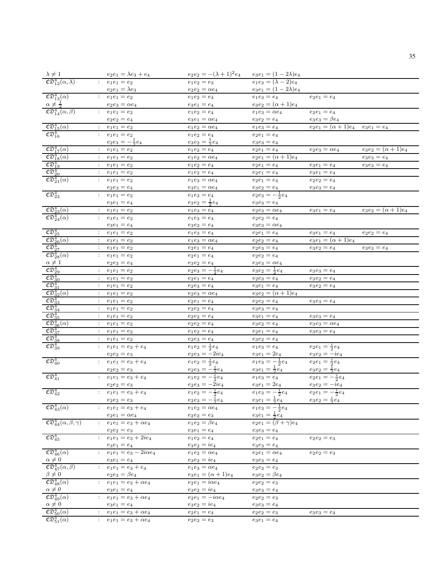|                                                                                |                               | $e_2e_1 = \lambda e_3 + e_4$                 | $e_2e_2 = -(\lambda + 1)^2 e_4$ | $e_3e_1 = (1 - 2\lambda)e_4$                                                                |                                                   |                            |
|--------------------------------------------------------------------------------|-------------------------------|----------------------------------------------|---------------------------------|---------------------------------------------------------------------------------------------|---------------------------------------------------|----------------------------|
| $\lambda \neq 1$<br>$\mathfrak{CD}_{12}^4(\alpha, \lambda)$                    |                               | : $e_1e_1 = e_2$                             | $e_1e_2 = e_3$                  | $e_1e_3=(\lambda-2)e_4$                                                                     |                                                   |                            |
|                                                                                |                               | $e_2e_1 = \lambda e_3$                       | $e_2e_2 = \alpha e_4$           | $e_3e_1 = (1 - 2\lambda)e_4$                                                                |                                                   |                            |
| $\mathfrak{CD}_{13}^4(\alpha)$                                                 |                               | : $e_1e_1 = e_2$                             | $e_1e_2 = e_4$                  | $e_1e_3 = e_4$                                                                              | $e_2e_1 = e_4$                                    |                            |
| $\alpha \neq \frac{1}{2}$<br>$\mathfrak{C} \mathfrak{D}^4_{14}(\alpha, \beta)$ |                               | $e_2e_3 = \alpha e_4$                        | $e_3e_1 = e_4$                  | $e_3e_2 = (\alpha + 1)e_4$                                                                  |                                                   |                            |
|                                                                                |                               | $\overline{e_1e_1} = e_2$                    | $e_1e_2 = e_4$                  | $e_1e_3 = \alpha e_4$                                                                       | $e_2e_1 = e_4$                                    |                            |
|                                                                                |                               | $e_2e_2 = e_4$                               | $e_3e_1 = \alpha e_4$           | $e_3e_2 = e_4$                                                                              | $e_3e_3=\beta e_4$                                |                            |
| $\mathfrak{CD}_{15}^4(\alpha)$                                                 |                               | : $e_1e_1 = e_2$                             | $e_1e_2 = \alpha e_4$           | $e_1e_3 = e_4$                                                                              | $e_2e_1 = (\alpha + 1)e_4$                        | $e_3e_1 = e_4$             |
| $\mathfrak{CD}_{16}^4$                                                         |                               | : $e_1e_1 = e_2$                             | $e_1e_2 = e_4$                  | $e_2e_1 = e_4$                                                                              |                                                   |                            |
|                                                                                |                               | $e_2e_3=-\frac{1}{2}e_4$                     | $e_3e_2=\frac{1}{2}e_4$         | $e_3e_3 = e_4$                                                                              |                                                   |                            |
| $\mathfrak{CD}^4_{17}(\alpha)$                                                 | $\mathcal{I}^{\mathcal{I}}$ . | $e_1e_1 = e_2$                               | $e_1e_2 = e_4$                  | $e_2e_1 = e_4$                                                                              | $e_2e_3 = \alpha e_4$                             | $e_3e_2 = (\alpha + 1)e_4$ |
| $\mathfrak{CD}_{18}^4(\alpha)$                                                 |                               | : $e_1e_1 = e_2$                             | $e_1e_2 = \alpha e_4$           | $e_2e_1 = (\alpha + 1)e_4$                                                                  |                                                   | $e_3e_3 = e_4$             |
| $\mathfrak{CD}_{19}^4$                                                         |                               | : $e_1e_1 = e_2$                             | $e_1e_2 = e_4$                  | $e_2e_1 = e_4$                                                                              | $e_3e_1 = e_4$                                    | $e_3e_3 = e_4$             |
| $\mathfrak{CD}_{20}^4$                                                         |                               | $\hspace{2.6cm} \, \cdot \quad e_1e_1 = e_2$ | $e_1e_2 = e_4$                  | $e_2e_1 = e_4$                                                                              | $e_3e_1 = e_4$                                    |                            |
| $\mathfrak{CD}_{21}^4(\alpha)$                                                 |                               | : $e_1e_1 = e_2$                             | $e_1e_3 = \alpha e_4$           | $e_2e_1 = e_4$                                                                              | $e_2e_2 = e_4$                                    |                            |
|                                                                                |                               | $e_2e_3 = e_4$                               | $e_3e_1 = \alpha e_4$           | $e_3e_2 = e_4$                                                                              | $e_3e_3=e_4$                                      |                            |
| $\mathfrak{CD}_{22}^4$                                                         |                               | : $e_1e_1 = e_2$                             | $e_1e_3 = e_4$                  | $e_2e_3=-\frac{1}{2}e_4$                                                                    |                                                   |                            |
|                                                                                |                               | $e_3e_1 = e_4$                               | $e_3e_2=\frac{1}{2}e_4$         | $e_3e_3 = e_4$                                                                              |                                                   |                            |
| $\mathfrak{CD}_{23}^4(\alpha)$                                                 |                               | : $e_1e_1 = e_2$                             | $e_1e_3 = e_4$                  | $e_2e_3 = \alpha e_4$                                                                       | $e_3e_1 = e_4$                                    | $e_3e_2 = (\alpha + 1)e_4$ |
| $\mathfrak{CD}_{24}^4(\alpha)$                                                 |                               | $e_1e_1 = e_2$                               | $e_1e_3 = e_4$                  | $e_2e_2 = e_4$                                                                              |                                                   |                            |
|                                                                                |                               | $e_3e_1 = e_4$                               | $e_3e_2 = e_4$                  | $e_3e_3=\alpha e_4$                                                                         |                                                   |                            |
| $\mathfrak{CD}_{25}^4$                                                         |                               | : $e_1e_1 = e_2$                             | $e_1e_3 = e_4$                  | $e_2e_1 = e_4$                                                                              | $e_3e_1 = e_4$                                    | $e_2e_2 = e_4$             |
| $\mathfrak{CD}_{26}^4(\alpha)$                                                 |                               | : $e_1e_1 = e_2$                             | $e_1e_3 = \alpha e_4$           | $e_2e_2 = e_4$                                                                              | $e_3e_1 = (\alpha + 1)e_4$                        |                            |
| $\mathfrak{CD}^4_{27}$                                                         |                               | : $e_1e_1 = e_2$                             | $e_2e_1 = e_4$                  | $e_2e_3 = e_4$                                                                              | $e_3e_2 = e_4$                                    | $e_3e_3 = e_4$             |
| $\mathfrak{CD}_{28}^4(\alpha)$                                                 |                               | : $e_1e_1 = e_2$                             | $e_2e_1 = e_4$                  | $e_2e_2 = e_4$                                                                              |                                                   |                            |
| $\alpha \neq 1$                                                                |                               | $e_2e_3 = e_4$                               | $e_3e_2 = e_4$                  | $e_3e_3 = \alpha e_4$                                                                       |                                                   |                            |
| $\mathfrak{CD}_{29}^4$                                                         |                               | : $e_1e_1 = e_2$                             | $e_2e_3=-\frac{1}{2}e_4$        | $e_3e_2=\frac{1}{2}e_4$                                                                     | $e_3e_3=e_4$                                      |                            |
| $\mathfrak{CD}^4_{30}$                                                         |                               | $e_1e_1 = e_2$                               | $e_2e_1 = e_4$                  | $e_2e_3 = e_4$                                                                              | $e_3e_2 = e_4$                                    |                            |
| $\mathfrak{CD}^4_{31}$                                                         |                               | : $e_1e_1 = e_2$                             | $e_2e_3=e_4$                    | $e_3e_1 = e_4$                                                                              | $e_3e_2 = e_4$                                    |                            |
| $\overline{\mathfrak{CD}_{32}^4(\alpha)}$                                      |                               | : $e_1e_1 = e_2$                             | $e_2e_3 = \alpha e_4$           | $e_3e_2 = (\alpha + 1)e_4$                                                                  |                                                   |                            |
| $\mathfrak{CD}_2^4$                                                            |                               | : $e_1e_1 = e_2$                             | $e_2e_1 = e_4$                  | $e_2e_2 = e_4$                                                                              | $e_3e_3=e_4$                                      |                            |
| $\mathfrak{CD}_{34}^4$                                                         |                               | : $e_1e_1 = e_2$                             | $e_2e_2 = e_4$                  | $e_3e_3 = e_4$                                                                              |                                                   |                            |
| $\mathfrak{CD}^4_{35}$                                                         |                               | : $e_1e_1 = e_2$                             | $e_2e_2 = e_4$                  | $e_3e_1 = e_4$                                                                              | $e_3e_3=e_4$                                      |                            |
| $\mathfrak{CD}_{36}^4(\alpha)$                                                 |                               | : $e_1e_1 = e_2$                             | $e_2e_2 = e_4$                  | $e_3e_2 = e_4$                                                                              | $e_3e_3 = \alpha e_4$                             |                            |
| $\mathfrak{CD}^4_{37}$                                                         |                               | : $e_1e_1 = e_2$                             | $e_1e_2 = e_4$                  | $e_2e_1=e_4$                                                                                | $e_3e_3=e_4$                                      |                            |
| $\mathfrak{CD}^4_{38}$                                                         |                               | : $e_1e_1 = e_2$                             | $e_2e_3 = e_4$                  | $e_3e_2 = e_4$                                                                              |                                                   |                            |
| $\mathfrak{CD}^4_{39}$                                                         |                               | $e_1e_1 = e_3 + e_4$                         | $e_1e_2=\frac{i}{2}e_4$         | $e_1e_3=e_4$                                                                                | $e_2e_1 = \frac{i}{2}e_4$                         |                            |
|                                                                                |                               | $e_2e_2 = e_3$                               | $e_2e_3 = -2ie_4$               | $e_3e_1=2e_4$                                                                               | $e_3e_2 = -ie_4$                                  |                            |
| $\mathfrak{CD}_{40}^4$                                                         |                               | : $e_1e_1 = e_3 + e_4$                       | $e_1e_2=\frac{i}{2}e_4$         | $e_1e_3=-\frac{1}{2}e_4$                                                                    | $e_2e_1=\frac{i}{2}e_4$                           |                            |
|                                                                                |                               | $e_2e_2=e_3$                                 | $e_2e_3=-\frac{i}{2}e_4$        | $e_3e_1=\frac{1}{2}e_4$                                                                     | $e_3e_2=\frac{i}{2}e_4$                           |                            |
| $\mathfrak{CD}^4_{41}$                                                         |                               | : $e_1e_1 = e_3 + e_4$                       | $e_1e_2=-\frac{i}{2}e_4$        | $e_1e_3=e_4$                                                                                | $e_2e_1=-\frac{i}{2}e_4$                          |                            |
|                                                                                |                               | $e_2e_2=e_3$                                 | $e_2e_3 = -2ie_4$               | $\ensuremath{\mathnormal{e}}_3\ensuremath{\mathnormal{e}}_1=2\ensuremath{\mathnormal{e}}_4$ |                                                   |                            |
| $\mathfrak{CD}^4_{42}$                                                         |                               | : $e_1e_1 = e_3 + e_4$                       | $e_1e_2=-\frac{i}{2}e_4$        | $e_1e_3=-\frac{1}{2}e_4$                                                                    | $\frac{e_3e_2 = -ie_4}{e_2e_1 = -\frac{i}{2}e_4}$ |                            |
|                                                                                |                               | $e_2e_2=e_3$                                 | $e_2e_3=-\frac{e}{2}e_4$        | $e_3e_1=\frac{1}{2}e_4$                                                                     | $e_3e_2=\frac{i}{2}e_4$                           |                            |
| $\mathfrak{CD}^4_{43}(\alpha)$                                                 |                               | $e_1e_1 = e_3 + e_4$                         | $e_1e_2 = \alpha e_4$           | $e_1e_3=-\frac{1}{2}e_4$                                                                    |                                                   |                            |
|                                                                                |                               | $e_2e_1 = \alpha e_4$                        | $e_2e_2 = e_3$                  | $e_3e_1=\frac{1}{2}e_4$                                                                     |                                                   |                            |
| $\mathfrak{CD}^4_{44}(\alpha,\beta,\gamma)$                                    |                               | $e_1e_1=e_3+\overline{\alpha e_4}$           | $e_1e_2 = \beta e_4$            | $e_2e_1 = (\beta + \gamma)e_4$                                                              |                                                   |                            |
|                                                                                |                               | $e_2e_2=e_3$                                 | $e_3e_1 = e_4$                  | $e_3e_3 = e_4$                                                                              |                                                   |                            |
| $\mathfrak{CD}_{45}^4$                                                         |                               | : $e_1e_1 = \overline{e_3 + 2ie_4}$          | $e_1e_2 = e_4$                  | $e_2e_1 = e_4$                                                                              | $e_2e_2=e_3$                                      |                            |
|                                                                                |                               | $e_3e_1 = e_4$                               | $e_3e_2 = ie_4$                 | $e_3e_3=e_4$                                                                                |                                                   |                            |
| $\mathfrak{CD}^4_{46}(\alpha)$                                                 |                               | $e_1e_1 = e_3 - 2i\alpha e_4$                | $e_1e_2 = \alpha e_4$           | $e_2e_1 = \alpha e_4$                                                                       | $e_2e_2=e_3$                                      |                            |
| $\alpha \neq 0$                                                                |                               | $e_3e_1 = e_4$                               | $e_3e_2 = ie_4$                 | $e_3e_3 = e_4$                                                                              |                                                   |                            |
| $\overline{\mathfrak{C}\mathfrak{D}^4_{47}(\alpha,\beta)}$                     |                               | $e_1e_1 = e_3 + e_4$                         | $e_1e_3 = \alpha e_4$           | $e_2e_2 = e_3$                                                                              |                                                   |                            |
| $\beta \neq 0$                                                                 |                               | $e_2e_3 = \beta e_4$                         | $e_3e_1 = (\alpha + 1)e_4$      | $e_3e_2 = \beta e_4$                                                                        |                                                   |                            |
| $\mathfrak{CD}^4_{48}(\alpha)$                                                 |                               | $e_1e_1 = e_3 + \alpha e_4$                  | $e_2e_1 = i\alpha e_4$          | $e_2e_2 = e_3$                                                                              |                                                   |                            |
| $\alpha \neq 0$                                                                |                               | $e_3e_1 = e_4$                               | $e_3e_2 = ie_4$                 | $e_3e_3 = e_4$                                                                              |                                                   |                            |
| $\overline{\mathfrak{C}\mathfrak{D}^4_{49}(\alpha)}$                           |                               | $e_1e_1 = e_3 + \alpha e_4$                  | $e_2e_1 = -i\alpha e_4$         | $e_2e_2 = e_3$                                                                              |                                                   |                            |
| $\alpha\neq 0$                                                                 |                               | $e_3e_1 = e_4$                               | $e_3e_2 = ie_4$                 | $e_3e_3 = e_4$                                                                              |                                                   |                            |
| $\mathfrak{CD}^4_{50}(\alpha)$                                                 | $\mathcal{L}_{\rm{max}}$      | $e_1e_1 = e_3 + \alpha e_4$                  | $e_2e_1 = e_4$                  | $e_2e_2 = e_3$                                                                              | $e_3e_3 = e_4$                                    |                            |
| $\mathfrak{CD}_{51}^4(\alpha)$                                                 |                               | $e_1e_1 = e_3 + \alpha e_4$                  | $e_2e_2 = e_3$                  | $e_3e_1 = e_4$                                                                              |                                                   |                            |
|                                                                                |                               |                                              |                                 |                                                                                             |                                                   |                            |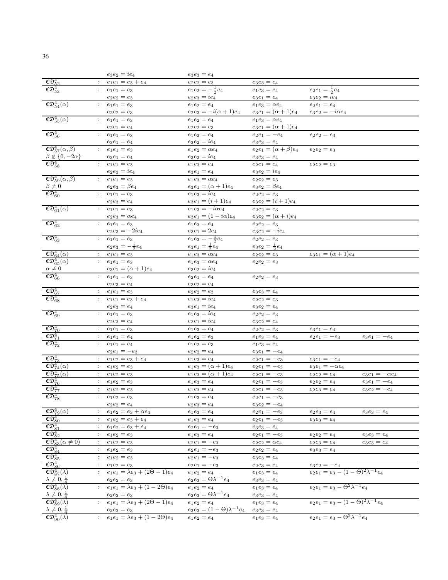|                                                                    |                               | $e_3e_2=ie_4$                                               | $e_3e_3=e_4$                           |                                            |                                                  |                        |
|--------------------------------------------------------------------|-------------------------------|-------------------------------------------------------------|----------------------------------------|--------------------------------------------|--------------------------------------------------|------------------------|
| $\mathfrak{CD}_{52}^4$                                             |                               | : $e_1e_1 = e_3 + e_4$                                      | $e_2e_2 = e_3$                         | $e_3e_3 = e_4$                             |                                                  |                        |
| $\mathfrak{CD}_{53}^4$                                             |                               | : $e_1e_1 = e_3$                                            | $e_1e_2=-\frac{1}{2}e_4$               | $e_1e_3 = e_4$                             | $e_2e_1=\frac{1}{2}e_4$                          |                        |
|                                                                    |                               | $e_2e_2=e_3$                                                | $e_2e_3 = ie_4$                        | $e_3e_1 = e_4$                             | $e_3e_2 = ie_4$                                  |                        |
| $\mathfrak{CD}_{54}^4(\alpha)$                                     |                               | $e_1e_1 = e_3$                                              | $e_1e_2 = e_4$                         | $e_1e_3 = \alpha e_4$                      | $e_2e_1 = e_4$                                   |                        |
|                                                                    |                               | $e_2e_2=e_3$                                                | $e_2e_3=-i(\alpha+1)e_4$               | $e_3e_1 = (\alpha + 1)e_4$                 | $e_3e_2 = -i\alpha e_4$                          |                        |
| $\mathfrak{CD}_{55}^{4}(\alpha)$                                   |                               | : $e_1e_1 = e_3$                                            | $e_1e_2 = e_4$                         | $e_1e_3 = \alpha e_4$                      |                                                  |                        |
|                                                                    |                               | $e_2e_1 = e_4$                                              | $e_2e_2 = e_3$                         | $e_3e_1 = (\alpha + 1)e_4$                 |                                                  |                        |
| $\mathfrak{CD}^4_{56}$                                             |                               | : $e_1e_1 = e_3$                                            | $e_1e_2 = e_4$                         | $e_2e_1 = -e_4$                            | $e_2e_2 = e_3$                                   |                        |
|                                                                    |                               | $e_3e_1 = e_4$                                              | $e_3e_2=ie_4$                          | $e_3e_3 = e_4$                             |                                                  |                        |
| $\mathfrak{CD}_{57}^4(\alpha,\beta)$                               |                               | : $e_1e_1 = e_3$                                            | $e_1e_2 = \alpha e_4$                  | $e_2e_1 = (\alpha + \beta)e_4$             | $e_2e_2=e_3$                                     |                        |
| $\beta \notin \{0, -2\alpha\}$                                     |                               | $e_3e_1 = e_4$                                              | $e_3e_2 = ie_4$                        | $e_3e_3=e_4$                               |                                                  |                        |
| $\mathfrak{CD}_{58}^4$                                             |                               | : $e_1e_1 = e_3$                                            | $e_1e_3 = e_4$                         | $e_2e_1 = e_4$                             | $e_2e_2=e_3$                                     |                        |
|                                                                    |                               | $e_2e_3=ie_4$                                               | $e_3e_1 = e_4$                         | $e_3e_2 = ie_4$                            |                                                  |                        |
| $\mathfrak{CD}_{59}^4(\alpha,\beta)$                               |                               | : $e_1e_1 = e_3$                                            | $e_1e_3 = \alpha e_4$                  | $e_2e_2 = e_3$                             |                                                  |                        |
|                                                                    |                               | $e_2e_3 = \beta e_4$                                        | $e_3e_1 = (\alpha + 1)e_4$             | $e_3e_2 = \beta e_4$                       |                                                  |                        |
| $\beta \neq 0$<br>$\mathfrak{CD}^4_{60}$                           |                               | $e_1e_1 = e_3$                                              | $e_1e_3=ie_4$                          | $e_2e_2 = e_3$                             |                                                  |                        |
|                                                                    |                               |                                                             | $e_3e_1 = (i+1)e_4$                    | $e_3e_2=(i+1)e_4$                          |                                                  |                        |
| $\mathfrak{CD}^4_{61}(\alpha)$                                     |                               | $e_2e_3=e_4$                                                | $e_1e_3 = -i\alpha e_4$                |                                            |                                                  |                        |
|                                                                    |                               | : $e_1e_1 = e_3$                                            | $e_3e_1 = (1 - i\alpha)e_4$            | $e_2e_2=e_3$<br>$e_3e_2 = (\alpha + i)e_4$ |                                                  |                        |
| $\mathfrak{CD}^4_{62}$                                             |                               | $e_2e_3 = \alpha e_4$                                       |                                        |                                            |                                                  |                        |
|                                                                    |                               | : $e_1e_1 = e_3$                                            | $e_1e_3 = e_4$                         | $e_2e_2 = e_3$                             |                                                  |                        |
|                                                                    |                               | $e_2e_3 = -2ie_4$                                           | $e_3e_1=2e_4$                          | $e_3e_2 = -ie_4$                           |                                                  |                        |
| $\mathfrak{CD}^4_{63}$                                             |                               | : $e_1e_1 = e_3$                                            | $e_1e_3=-\frac{1}{2}e_4$               | $e_2e_2=e_3$                               |                                                  |                        |
|                                                                    |                               | $e_2e_3=-\frac{i}{2}e_4$                                    | $e_3e_1=\frac{1}{2}e_4$                | $e_3e_2=\frac{i}{2}e_4$                    |                                                  |                        |
| $\mathfrak{CD}^4_{64}(\alpha)$                                     |                               | : $e_1e_1 = e_3$                                            | $e_1e_3 = \alpha e_4$                  | $e_2e_2=e_3$                               | $e_3e_1 = (\alpha + 1)e_4$                       |                        |
| $\mathfrak{CD}^4_{65}(\alpha)$                                     |                               | : $e_1e_1 = e_3$                                            | $e_1e_3 = \alpha e_4$                  | $e_2e_2=e_3$                               |                                                  |                        |
| $\frac{\alpha\neq 0}{\mathfrak{C}\mathfrak{D}^4_{66}}$             |                               | $e_3e_1 = (\alpha + 1)e_4$                                  | $e_3e_2 = ie_4$                        |                                            |                                                  |                        |
|                                                                    |                               | : $e_1e_1 = e_3$                                            | $e_2e_1 = e_4$                         | $e_2e_2 = e_3$                             |                                                  |                        |
|                                                                    |                               | $e_2e_3 = e_4$                                              | $e_3e_2 = e_4$                         |                                            |                                                  |                        |
| $\mathfrak{CD}_{67}^4$                                             | ÷.                            | $e_1e_1 = e_3$                                              | $e_2e_2=e_3$                           | $e_3e_3 = e_4$                             |                                                  |                        |
| $\mathfrak{CD}^4_{68}$                                             |                               | $e_1e_1 = e_3 + e_4$                                        | $e_1e_3=ie_4$                          | $e_2e_2=e_3$                               |                                                  |                        |
|                                                                    |                               | $e_2e_3=e_4$                                                | $e_3e_1 = ie_4$                        | $e_3e_2 = e_4$                             |                                                  |                        |
| $\mathfrak{CD}^4_{69}$                                             |                               | : $e_1e_1 = e_3$                                            | $e_1e_3 = ie_4$                        | $e_2e_2 = e_3$                             |                                                  |                        |
|                                                                    |                               | $e_2e_3 = e_4$                                              | $e_3e_1 = ie_4$                        | $e_3e_2 = e_4$                             |                                                  |                        |
| $\mathfrak{CD}_{70}^4$                                             | $\mathcal{I}^{\mathcal{I}}$ . | $e_1e_1 = e_3$                                              | $e_1e_3 = e_4$                         | $e_2e_2=e_3$                               | $e_3e_1 = e_4$                                   |                        |
| $\mathfrak{CD}_{71}^4$                                             | $\ddot{\phantom{a}}$ .        | $e_1e_1 = e_4$                                              | $e_1e_2=e_3$                           | $e_1e_3 = e_4$                             | $e_2e_1 = -e_3$                                  | $e_3e_1 = -e_4$        |
| $\mathfrak{CD}_{72}^4$                                             |                               | $e_1e_1 = e_4$                                              | $e_1e_2 = e_3$                         | $e_1e_3 = e_4$                             |                                                  |                        |
|                                                                    |                               | $e_2e_1 = -e_3$                                             | $e_2e_2 = e_4$                         | $e_3e_1 = -e_4$                            |                                                  |                        |
| $\mathfrak{CD}_{73}^4$                                             | ÷                             | $e_1e_2 = e_3 + e_4$                                        | $e_1e_3 = e_4$                         | $e_2e_1 = -e_3$                            | $e_3e_1 = -e_4$                                  |                        |
| $\mathfrak{CD}_{74}^4(\alpha)$                                     | $\mathcal{I}^{\mathcal{I}}$ . | $e_1e_2=e_3$                                                | $e_1e_3 = (\alpha + 1)e_4$             | $e_2e_1 = -e_3$                            | $e_3e_1 = -\alpha e_4$                           |                        |
| $\mathfrak{CD}_{75}^4(\alpha)$                                     |                               | : $e_1e_2 = e_3$                                            | $e_1e_3 = (\alpha + 1)e_4$             | $e_2e_1 = -e_3$                            | $e_2e_2 = e_4$                                   | $e_3e_1 = -\alpha e_4$ |
| $\mathfrak{CD}_{76}^4$                                             | $\ddot{\phantom{a}}$ .        | $e_1e_2 = e_3$                                              | $e_1e_3 = e_4$                         | $e_2e_1 = -e_3$                            | $e_2e_2 = e_4$                                   | $e_3e_1 = -e_4$        |
| $\mathfrak{CD}^4_{77}$                                             | ÷                             | $e_1e_2 = e_3$                                              | $e_1e_3 = e_4$                         | $e_2e_1 = -e_3$                            | $e_2e_3 = e_4$                                   | $e_3e_2 = -e_4$        |
| $\mathfrak{CD}_{78}^4$                                             |                               | $e_1e_2=e_3$                                                | $e_1e_3 = e_4$                         | $e_2e_1 = -e_3$                            |                                                  |                        |
|                                                                    |                               | $e_2e_2=e_4$                                                | $e_2e_3 = e_4$                         | $e_3e_2 = -e_4$                            |                                                  |                        |
| $\mathfrak{CD}_{79}^4(\alpha)$                                     |                               | $e_1e_2 = e_3 + \alpha e_4$                                 | $e_1e_3 = e_4$                         | $e_2e_1 = -e_3$                            | $e_2e_3 = e_4$                                   | $e_3e_3 = e_4$         |
| $\mathfrak{CD}^4_{80}$                                             | $\mathcal{I}^{\mathcal{I}}$ . | $e_1e_2 = e_3 + e_4$                                        | $e_1e_3 = e_4$                         | $e_2e_1 = -e_3$                            | $e_3e_3=e_4$                                     |                        |
| $\mathfrak{CD}^4_{81}$                                             |                               | $e_1e_2 = e_3 + e_4$                                        | $e_2e_1 = -e_3$                        | $e_3e_3 = e_4$                             |                                                  |                        |
| $\mathfrak{CD}^4_{82}$                                             | $\ddot{\cdot}$                | $e_1e_2=e_3$                                                | $e_1e_3=e_4$                           | $e_2e_1 = -e_3$                            | $e_2e_2=e_4$                                     | $e_3e_3=e_4$           |
| $\mathfrak{CD}_{83}^4(\alpha \neq 0)$                              | $\mathbb{Z}^n$                | $e_1e_2=e_3$                                                | $e_2e_1 = -e_3$                        | $e_2e_2 = \alpha e_4$                      | $e_2e_3=e_4$                                     | $e_3e_3 = e_4$         |
| $\mathfrak{CD}_{84}^4$                                             | $\ddot{\phantom{a}}$          | $e_1e_2 = e_3$                                              | $e_2e_1 = -e_3$                        | $e_2e_2 = e_4$                             | $e_3e_3=e_4$                                     |                        |
| $\mathfrak{CD}^4_{85}$                                             | $\ddot{\phantom{a}}$ .        | $e_1e_2 = e_3$                                              | $e_2e_1 = -e_3$                        | $e_3e_3 = e_4$                             |                                                  |                        |
| $\mathfrak{CD}^4_{86}$                                             | $\ddot{\phantom{a}}$          | $e_1e_2 = e_3$                                              | $e_2e_1 = -e_3$                        | $e_2e_3 = e_4$                             | $e_3e_2 = -e_4$                                  |                        |
| $\mathfrak{CD}_{87}^4(\lambda)$                                    |                               | $e_1e_1 = \lambda e_3 + (2\Theta - 1)e_4$                   | $e_1e_2 = e_4$                         | $e_1e_3=e_4$                               | $e_2e_1 = e_3 - (1 - \Theta)^2 \lambda^{-1} e_4$ |                        |
|                                                                    |                               | $e_2e_2=e_3$                                                | $e_2e_3 = \Theta \lambda^{-1}e_4$      | $e_3e_3=e_4$                               |                                                  |                        |
| $\lambda \neq 0, \frac{1}{4}$<br>$\mathfrak{CD}_{88}^{4}(\lambda)$ |                               | $e_1e_1 = \lambda e_3 + (1 - 2\Theta)e_4$                   | $e_1e_2 = e_4$                         | $e_1e_3 = e_4$                             | $e_2e_1 = e_3 - \Theta^2 \lambda^{-1} e_4$       |                        |
|                                                                    |                               | $e_2e_2=e_3$                                                | $e_2e_3 = \Theta \lambda^{-1}e_4$      | $e_3e_3 = e_4$                             |                                                  |                        |
| $\lambda \neq 0, \frac{1}{4}$<br>$\mathfrak{CD}_{89}^4(\lambda)$   |                               | $e_1e_1 = \lambda e_3 + (2\Theta - 1)e_4$                   | $e_1e_2 = e_4$                         | $e_1e_3 = e_4$                             | $e_2e_1 = e_3 - (1 - \Theta)^2 \lambda^{-1} e_4$ |                        |
| $\lambda \neq 0, \frac{1}{4}$                                      |                               |                                                             | $e_2e_3 = (1 - \Theta)\lambda^{-1}e_4$ |                                            |                                                  |                        |
| $\mathfrak{CD}_{90}^{4}(\lambda)$                                  |                               | $e_2e_2=e_3$<br>: $e_1e_1 = \lambda e_3 + (1 - 2\Theta)e_4$ | $e_1e_2 = e_4$                         | $e_3e_3 = e_4$                             | $e_2e_1 = e_3 - \Theta^2\lambda^{-1}e_4$         |                        |
|                                                                    |                               |                                                             |                                        | $e_1e_3 = e_4$                             |                                                  |                        |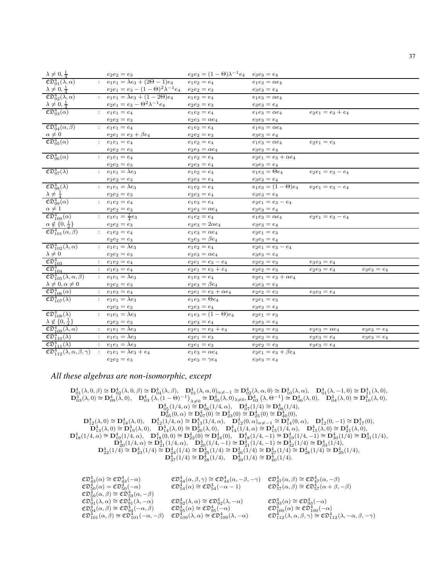| $\lambda \neq 0, \frac{1}{4}$                                                        |                            | $e_2e_2=e_3$                                     | $e_2e_3 = (1 - \Theta)\lambda^{-1}e_4$ | $e_3e_3 = e_4$              |                       |                |
|--------------------------------------------------------------------------------------|----------------------------|--------------------------------------------------|----------------------------------------|-----------------------------|-----------------------|----------------|
| $\mathfrak{CD}_{91}^4(\lambda,\alpha)$                                               |                            | : $e_1e_1 = \lambda e_3 + (2\Theta - 1)e_4$      | $e_1e_2 = e_4$                         | $e_1e_3 = \alpha e_4$       |                       |                |
| $\lambda \neq 0, \frac{1}{4}$<br>$\mathfrak{C} \mathfrak{D}^4_{92}(\lambda, \alpha)$ |                            | $e_2e_1 = e_3 - (1 - \Theta)^2 \lambda^{-1} e_4$ | $e_2e_2=e_3$                           | $e_3e_3 = e_4$              |                       |                |
|                                                                                      |                            | $e_1e_1 = \lambda e_3 + (1-2\Theta)e_4$          | $e_1e_2 = e_4$                         | $e_1e_3 = \alpha e_4$       |                       |                |
| $\lambda \neq 0, \frac{1}{4}$                                                        |                            | $e_2e_1=e_3-\Theta^2\lambda^{-1}e_4$             | $e_2e_2 = e_3$                         | $e_3e_3 = e_4$              |                       |                |
| $\mathfrak{CD}_{93}^4(\alpha)$                                                       |                            | : $e_1e_1 = e_4$                                 | $e_1e_2 = e_4$                         | $e_1e_3 = \alpha e_4$       | $e_2e_1 = e_3 + e_4$  |                |
|                                                                                      |                            | $e_2e_2=e_3$                                     | $e_2e_3 = \alpha e_4$                  | $e_3e_3 = e_4$              |                       |                |
| $\mathfrak{CD}^4_{94}(\alpha,\beta)$                                                 |                            | : $e_1e_1 = e_4$                                 | $e_1e_2 = e_4$                         | $e_1e_3 = \alpha e_4$       |                       |                |
| $\alpha \neq 0$                                                                      |                            | $e_2e_1 = e_3 + \beta e_4$                       | $e_2e_2 = e_3$                         | $e_3e_3 = e_4$              |                       |                |
| $\mathfrak{CD}_{95}^4(\alpha)$                                                       |                            | $e_1e_1 = e_4$                                   | $e_1e_2 = e_4$                         | $e_1e_3 = \alpha e_4$       | $e_2e_1 = e_3$        |                |
|                                                                                      |                            | $e_2e_2=e_3$                                     | $e_2e_3 = \alpha e_4$                  | $e_3e_3 = e_4$              |                       |                |
| $\mathfrak{CD}_{96}^4(\alpha)$                                                       |                            | : $e_1e_1 = e_4$                                 | $e_1e_2 = e_4$                         | $e_2e_1 = e_3 + \alpha e_4$ |                       |                |
|                                                                                      |                            | $e_2e_2=e_3$                                     | $e_2e_3 = e_4$                         | $e_3e_3 = e_4$              |                       |                |
| $\mathfrak{CD}_{97}^4(\lambda)$                                                      |                            | $e_1e_1 = \lambda e_3$                           | $e_1e_2 = e_4$                         | $e_1e_3 = \Theta e_4$       | $e_2e_1 = e_3 - e_4$  |                |
|                                                                                      |                            | $e_2e_2=e_3$                                     | $e_2e_3 = e_4$                         | $e_3e_3=e_4$                |                       |                |
| $\mathfrak{CD}_{98}^4(\lambda)$                                                      |                            | $e_1e_1 = \lambda e_3$                           | $e_1e_2 = e_4$                         | $e_1e_3 = (1 - \Theta)e_4$  | $e_2e_1 = e_3 - e_4$  |                |
| $\frac{\lambda \neq \frac{1}{4}}{\mathfrak{C} \mathfrak{D}_{99}^4(\alpha)}$          |                            | $e_2e_2=e_3$                                     | $e_2e_3 = e_4$                         | $e_3e_3 = e_4$              |                       |                |
|                                                                                      |                            | : $e_1e_2 = e_4$                                 | $e_1e_3 = e_4$                         | $e_2e_1 = e_3 - e_4$        |                       |                |
|                                                                                      |                            | $e_2e_2=e_3$                                     | $e_2e_3 = \alpha e_4$                  | $e_3e_3=e_4$                |                       |                |
| $\alpha \neq 1$ $\mathfrak{C} \mathfrak{D}^4_{100}(\alpha)$                          |                            | : $e_1e_1 = \frac{1}{4}e_3$                      | $e_1e_2 = e_4$                         | $e_1e_3 = \alpha e_4$       | $e_2e_1 = e_3 - e_4$  |                |
| $\alpha \notin \{0, \frac{1}{2}\}\$<br>$\mathfrak{CD}_{101}^4(\alpha, \beta)$        |                            | $e_2e_2=e_3$                                     | $e_2e_3=2\alpha e_4$                   | $e_3e_3 = e_4$              |                       |                |
|                                                                                      |                            | : $e_1e_2 = e_4$                                 | $e_1e_3 = \alpha e_4$                  | $e_2e_1 = e_3$              |                       |                |
|                                                                                      |                            | $e_2e_2=e_3$                                     | $e_2e_3=\beta e_4$                     | $e_3e_3 = e_4$              |                       |                |
| $\mathfrak{CD}_{102}^4(\lambda,\alpha)$                                              |                            | $e_1e_1=\lambda e_3$                             | $e_1e_2 = e_4$                         | $e_2e_1 = e_3 - e_4$        |                       |                |
| $\lambda \neq 0$                                                                     |                            | $e_2e_2=e_3$                                     | $e_2e_3 = \alpha e_4$                  | $e_3e_3=e_4$                |                       |                |
| $\mathfrak{C} \mathfrak{D}^4_{103}$                                                  |                            | $e_1e_2 = e_4$                                   | $e_2e_1 = e_3 - e_4$                   | $e_2e_2 = e_3$              | $e_3e_3=e_4$          |                |
| $\mathfrak{CD}^{4}_{104}$                                                            |                            | : $e_1e_3 = e_4$                                 | $e_2e_1 = e_3 + e_4$                   | $e_2e_2=e_3$                | $e_2e_3=e_4$          | $e_3e_3 = e_4$ |
| $\mathfrak{CD}^4_{105}(\lambda,\alpha,\beta)$                                        |                            | $\therefore$ $e_1e_1 = \lambda e_3$              | $e_1e_3 = e_4$                         | $e_2e_1 = e_3 + \alpha e_4$ |                       |                |
| $\lambda \neq 0, \alpha \neq 0$                                                      |                            | $e_2e_2=e_3$                                     | $e_2e_3 = \beta e_4$                   | $e_3e_3 = e_4$              |                       |                |
| $\mathfrak{CD}^4_{106}(\alpha)$                                                      |                            | $e_1e_3 = e_4$                                   | $e_2e_1=e_3+\alpha e_4$                | $e_2e_2 = e_3$              | $e_3e_3 = e_4$        |                |
| $\mathfrak{C} \mathfrak{D}^4_{107}(\lambda)$                                         |                            | $\therefore$ $e_1e_1 = \lambda e_3$              | $e_1e_3 = \Theta e_4$                  | $e_2e_1 = e_3$              |                       |                |
|                                                                                      |                            | $e_2e_2=e_3$                                     | $e_2e_3=e_4$                           | $e_3e_3 = e_4$              |                       |                |
| $\overline{\mathfrak{CD}^4_{108}(\lambda)}$                                          |                            | $\therefore$ $e_1e_1 = \lambda e_3$              | $e_1e_3 = (1 - \Theta)e_4$             | $e_2e_1 = e_3$              |                       |                |
| $\lambda \notin \{0, \frac{1}{4}\}\$                                                 |                            | $e_2e_2=e_3$                                     | $e_2e_3=e_4$                           | $e_3e_3 = e_4$              |                       |                |
| $\mathfrak{CD}_{109}^4(\lambda,\alpha)$                                              |                            | $e_1e_1 = \lambda e_3$                           | $e_2e_1 = e_3 + e_4$                   | $e_2e_2 = e_3$              | $e_2e_3 = \alpha e_4$ | $e_3e_3 = e_4$ |
| $\mathfrak{C} \mathfrak{D}^4_{110}(\lambda)$                                         | $\mathcal{L}^{\text{max}}$ | $e_1e_1 = \lambda e_3$                           | $e_2e_1 = e_3$                         | $e_2e_2=e_3$                | $e_2e_3 = e_4$        | $e_3e_3=e_4$   |
| $\mathfrak{CD}^4_{111}(\lambda)$                                                     | $\mathbb{Z}^n$ .           | $e_1e_1 = \lambda e_3$                           | $e_2e_1 = e_3$                         | $e_2e_2=e_3$                | $e_3e_3=e_4$          |                |
| $\mathfrak{CD}^4_{112}(\lambda,\alpha,\beta,\gamma)$                                 |                            | $e_1e_1 = \lambda e_3 + e_4$                     | $e_1e_3 = \alpha e_4$                  | $e_2e_1 = e_3 + \beta e_4$  |                       |                |
|                                                                                      |                            | $e_2e_2=e_3$                                     | $e_2e_3 = \gamma e_4$                  | $e_3e_3=e_4$                |                       |                |

#### All these algebras are non-isomorphic, except

 $\begin{array}{c} {\bf D_{01}^{4}}(\lambda,0,\beta)\cong {\bf D_{02}^{4}}(\lambda,0,\beta)\cong {\bf D_{03}^{4}}(\lambda,\beta), \quad {\bf D_{01}^{4}}(\lambda,\alpha,0)_{\alpha\neq -1}\cong {\bf D_{02}^{4}}(\lambda,\alpha,0)\cong {\bf D_{10}^{4}}(\lambda,\alpha), \quad {\bf D_{01}^{4}}(\lambda,-1,0)\cong {\bf D_{11}^{4}}(\lambda,0),\\ {\bf D_{03}^{4}}(\lambda,0)\cong {\bf D_{09}^{4}}(\lambda,0), \quad {\bf D_{03}^{4}}(\lambda,(1-\Theta)^{-1})_{\ \lambda\$  $D_{03}^{4}(\lambda,0) = D_{09}^{4}(\lambda,0), D_{03}^{4}(\lambda,0) = D_{03}^{4}(\lambda,0) = D_{03}^{4}(\lambda,0) = D_{03}^{4}(\lambda,0) = D_{10}^{4}(\lambda,0) = D_{10}^{4}(\lambda,0) = D_{10}^{4}(\lambda,0) = D_{10}^{4}(\lambda,0) = D_{10}^{4}(\lambda,0) = D_{10}^{4}(\lambda,0) = D_{10}^{4}(\lambda,0) = D_{10}^{4}(\lambda,0) = D_{10}^{4}(\lambda,0) = D_{10}^{4}(\lambda,$  $\mathbf{D}_{22}^4(1/4) \cong \mathbf{D}_{23}^4(1/4) \cong \mathbf{D}_{24}^4(1/4) \cong \mathbf{D}_{25}^4(1/4) \cong \mathbf{D}_{26}^4(1/4) \cong \mathbf{D}_{26}^4(1/4) \cong \mathbf{D}_{27}^4(1/4) \cong \mathbf{D}_{28}^4(1/4) \cong \mathbf{D}_{28}^4(1/4),$ <br> $\mathbf{D}_{37}^4(1/4) \cong \mathbf{D}_{38}^4(1/4), \quad \mathbf{D}_{39}^4($ 

| $\mathfrak{C} \mathfrak{D}^4_{43}(\alpha) \cong \mathfrak{C} \mathfrak{D}^4_{43}(-\alpha)$              | $\mathfrak{C} \mathfrak{D}^4_{44}(\alpha, \beta, \gamma) \cong \mathfrak{C} \mathfrak{D}^4_{44}(\alpha, -\beta, -\gamma)$ | $\mathfrak{C} \mathfrak{D}^4_{47}(\alpha, \beta) \cong \mathfrak{C} \mathfrak{D}^4_{47}(\alpha, -\beta)$              |
|---------------------------------------------------------------------------------------------------------|---------------------------------------------------------------------------------------------------------------------------|-----------------------------------------------------------------------------------------------------------------------|
| $\mathfrak{CD}_{50}^4(\alpha) = \mathfrak{CD}_{50}^4(-\alpha)$                                          | $\mathfrak{CD}_{54}^4(\alpha) \cong \mathfrak{CD}_{54}^4(-\alpha-1)$                                                      | $\mathfrak{CD}_{57}^4(\alpha,\beta) \cong \mathfrak{CD}_{57}^4(\alpha+\beta,-\beta)$                                  |
| $\mathfrak{CD}_{59}^4(\alpha,\beta) \cong \mathfrak{CD}_{59}^4(\alpha,-\beta)$                          |                                                                                                                           |                                                                                                                       |
| $\mathfrak{CD}^4_{91}(\lambda, \alpha) \cong \mathfrak{CD}^4_{91}(\lambda, -\alpha)$                    | $\mathfrak{CD}_{92}^4(\lambda, \alpha) \cong \mathfrak{CD}_{92}^4(\lambda, -\alpha)$                                      | $\mathfrak{CD}_{93}^4(\alpha) \cong \mathfrak{CD}_{93}^4(-\alpha)$                                                    |
| $\mathfrak{CD}_{94}^4(\alpha,\beta) \cong \mathfrak{CD}_{94}^4(-\alpha,\beta)$                          | $\mathfrak{CD}_{95}^4(\alpha) \cong \mathfrak{CD}_{95}^4(-\alpha)$                                                        | $\mathfrak{CD}^4_{100}(\alpha) \cong \mathfrak{CD}^4_{100}(-\alpha)$                                                  |
| $\mathfrak{C}\mathfrak{D}^4_{101}(\alpha,\beta) \cong \mathfrak{C}\mathfrak{D}^4_{101}(-\alpha,-\beta)$ | $\mathfrak{CD}_{109}^4(\lambda, \alpha) \cong \mathfrak{CD}_{109}^4(\lambda, -\alpha)$                                    | $\mathfrak{CD}_{112}^4(\lambda, \alpha, \beta, \gamma) \cong \mathfrak{CD}_{112}^4(\lambda, -\alpha, \beta, -\gamma)$ |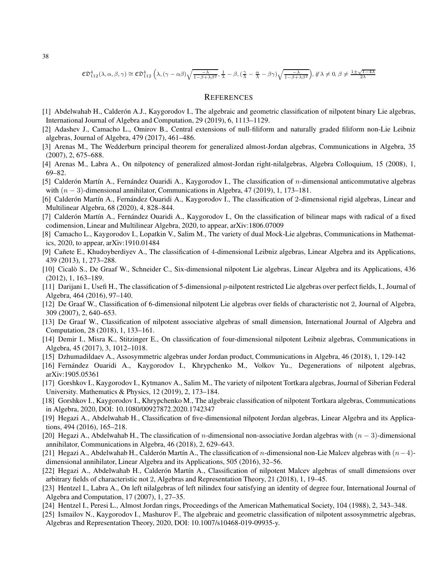$$
\mathfrak{CD}^4_{112}(\lambda,\alpha,\beta,\gamma) \cong \mathfrak{CD}^4_{112}\left(\lambda,(\gamma-\alpha\beta)\sqrt{\frac{-\lambda}{1-\beta+\lambda\beta^2}},\frac{1}{\lambda}-\beta,(\frac{\gamma}{\lambda}-\frac{\alpha}{\lambda}-\beta\gamma)\sqrt{\frac{-\lambda}{1-\beta+\lambda\beta^2}}\right), if \lambda \neq 0, \beta \neq \frac{1\pm\sqrt{1-4\lambda}}{2\lambda}
$$

#### **REFERENCES**

- <span id="page-37-11"></span><span id="page-37-0"></span>[1] Abdelwahab H., Calderón A.J., Kaygorodov I., The algebraic and geometric classification of nilpotent binary Lie algebras, International Journal of Algebra and Computation, 29 (2019), 6, 1113–1129.
- <span id="page-37-7"></span>[2] Adashev J., Camacho L., Omirov B., Central extensions of null-filiform and naturally graded filiform non-Lie Leibniz algebras, Journal of Algebra, 479 (2017), 461–486.
- <span id="page-37-8"></span>[3] Arenas M., The Wedderburn principal theorem for generalized almost-Jordan algebras, Communications in Algebra, 35 (2007), 2, 675–688.
- <span id="page-37-14"></span>[4] Arenas M., Labra A., On nilpotency of generalized almost-Jordan right-nilalgebras, Algebra Colloquium, 15 (2008), 1, 69–82.
- <span id="page-37-1"></span>[5] Calderón Martín A., Fernández Ouaridi A., Kaygorodov I., The classification of  $n$ -dimensional anticommutative algebras with  $(n-3)$ -dimensional annihilator, Communications in Algebra, 47 (2019), 1, 173–181.
- [6] Calderón Martín A., Fernández Ouaridi A., Kaygorodov I., The classification of 2-dimensional rigid algebras, Linear and Multilinear Algebra, 68 (2020), 4, 828–844.
- <span id="page-37-15"></span>[7] Calderón Martín A., Fernández Ouaridi A., Kaygorodov I., On the classification of bilinear maps with radical of a fixed codimension, Linear and Multilinear Algebra, 2020, to appear, arXiv:1806.07009
- <span id="page-37-2"></span>[8] Camacho L., Kaygorodov I., Lopatkin V., Salim M., The variety of dual Mock-Lie algebras, Communications in Mathematics, 2020, to appear, arXiv:1910.01484
- [9] Cañete E., Khudoyberdiyev A., The classification of 4-dimensional Leibniz algebras, Linear Algebra and its Applications, 439 (2013), 1, 273–288.
- <span id="page-37-20"></span>[10] Cicalò S., De Graaf W., Schneider C., Six-dimensional nilpotent Lie algebras, Linear Algebra and its Applications, 436 (2012), 1, 163–189.
- <span id="page-37-18"></span>[11] Darijani I., Usefi H., The classification of 5-dimensional p-nilpotent restricted Lie algebras over perfect fields, I., Journal of Algebra, 464 (2016), 97–140.
- <span id="page-37-21"></span>[12] De Graaf W., Classification of 6-dimensional nilpotent Lie algebras over fields of characteristic not 2, Journal of Algebra, 309 (2007), 2, 640–653.
- <span id="page-37-17"></span>[13] De Graaf W., Classification of nilpotent associative algebras of small dimension, International Journal of Algebra and Computation, 28 (2018), 1, 133–161.
- <span id="page-37-3"></span>[14] Demir I., Misra K., Stitzinger E., On classification of four-dimensional nilpotent Leibniz algebras, Communications in Algebra, 45 (2017), 3, 1012–1018.
- <span id="page-37-16"></span><span id="page-37-10"></span>[15] Dzhumadildaev A., Assosymmetric algebras under Jordan product, Communications in Algebra, 46 (2018), 1, 129-142
- <span id="page-37-22"></span>[16] Fernández Ouaridi A., Kaygorodov I., Khrypchenko M., Volkov Yu., Degenerations of nilpotent algebras, arXiv:1905.05361
- [17] Gorshkov I., Kaygorodov I., Kytmanov A., Salim M., The variety of nilpotent Tortkara algebras, Journal of Siberian Federal University. Mathematics & Physics, 12 (2019), 2, 173–184.
- <span id="page-37-23"></span>[18] Gorshkov I., Kaygorodov I., Khrypchenko M., The algebraic classification of nilpotent Tortkara algebras, Communications in Algebra, 2020, DOI: 10.1080/00927872.2020.1742347
- <span id="page-37-19"></span>[19] Hegazi A., Abdelwahab H., Classification of five-dimensional nilpotent Jordan algebras, Linear Algebra and its Applications, 494 (2016), 165–218.
- <span id="page-37-13"></span>[20] Hegazi A., Abdelwahab H., The classification of n-dimensional non-associative Jordan algebras with  $(n-3)$ -dimensional annihilator, Communications in Algebra, 46 (2018), 2, 629–643.
- <span id="page-37-12"></span>[21] Hegazi A., Abdelwahab H., Calderón Martín A., The classification of n-dimensional non-Lie Malcev algebras with  $(n-4)$ dimensional annihilator, Linear Algebra and its Applications, 505 (2016), 32–56.
- <span id="page-37-4"></span>[22] Hegazi A., Abdelwahab H., Calderón Martín A., Classification of nilpotent Malcev algebras of small dimensions over arbitrary fields of characteristic not 2, Algebras and Representation Theory, 21 (2018), 1, 19–45.
- <span id="page-37-9"></span>[23] Hentzel I., Labra A., On left nilalgebras of left nilindex four satisfying an identity of degree four, International Journal of Algebra and Computation, 17 (2007), 1, 27–35.
- <span id="page-37-6"></span><span id="page-37-5"></span>[24] Hentzel I., Peresi L., Almost Jordan rings, Proceedings of the American Mathematical Society, 104 (1988), 2, 343–348.
- [25] Ismailov N., Kaygorodov I., Mashurov F., The algebraic and geometric classification of nilpotent assosymmetric algebras, Algebras and Representation Theory, 2020, DOI: 10.1007/s10468-019-09935-y.

38